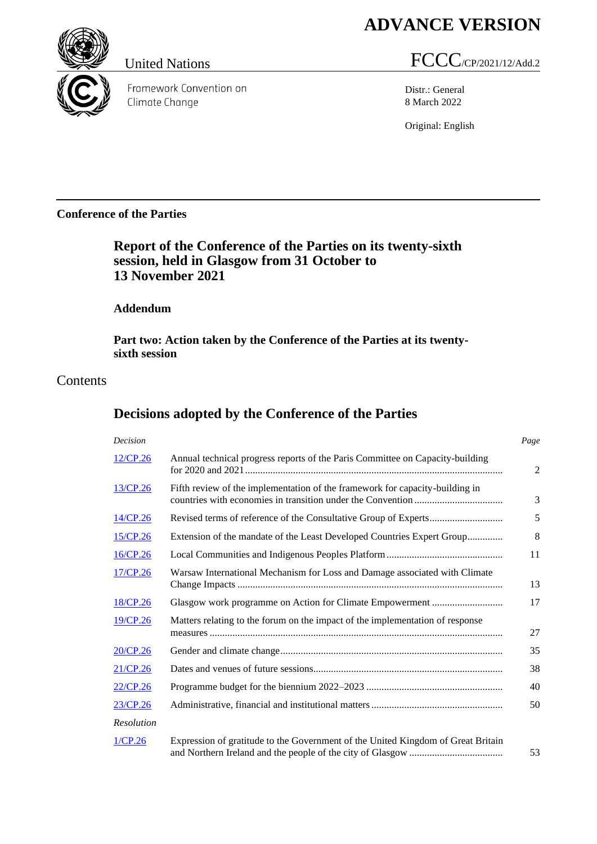# **ADVANCE VERSION**



Framework Convention on Climate Change

# United Nations FCCC/CP/2021/12/Add.2

Distr.: General 8 March 2022

Original: English

## **Conference of the Parties**

## **Report of the Conference of the Parties on its twenty-sixth session, held in Glasgow from 31 October to 13 November 2021**

## **Addendum**

**Part two: Action taken by the Conference of the Parties at its twentysixth session**

## Contents

## **Decisions adopted by the Conference of the Parties**

<span id="page-0-0"></span>

| Decision    |                                                                                  | Page |
|-------------|----------------------------------------------------------------------------------|------|
| 12/CP.26    | Annual technical progress reports of the Paris Committee on Capacity-building    |      |
| 13/CP.26    | Fifth review of the implementation of the framework for capacity-building in     |      |
| $14$ /CP.26 |                                                                                  |      |
| 15/CP.26    | Extension of the mandate of the Least Developed Countries Expert Group           |      |
| 16/CP.26    |                                                                                  |      |
| 17/CP.26    | Warsaw International Mechanism for Loss and Damage associated with Climate       |      |
| 18/CP.26    |                                                                                  |      |
| 19/CP.26    | Matters relating to the forum on the impact of the implementation of response    |      |
| 20/CP.26    |                                                                                  |      |
| 21/CP.26    |                                                                                  |      |
| 22/CP.26    |                                                                                  |      |
| 23/CP.26    |                                                                                  |      |
| Resolution  |                                                                                  |      |
| 1/CP.26     | Expression of gratitude to the Government of the United Kingdom of Great Britain |      |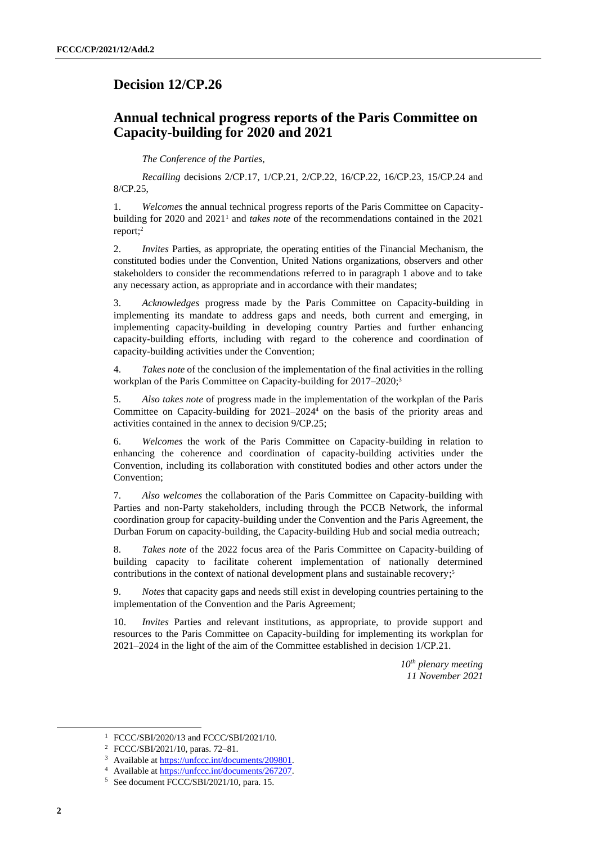## **Decision 12/CP.26**

## **Annual technical progress reports of the Paris Committee on Capacity-building for 2020 and 2021**

*The Conference of the Parties*,

*Recalling* decisions 2/CP.17, 1/CP.21, 2/CP.22, 16/CP.22, 16/CP.23, 15/CP.24 and 8/CP.25,

1. *Welcomes* the annual technical progress reports of the Paris Committee on Capacitybuilding for 2020 and 2021<sup>1</sup> and *takes note* of the recommendations contained in the 2021 report; 2

2. *Invites* Parties, as appropriate, the operating entities of the Financial Mechanism, the constituted bodies under the Convention, United Nations organizations, observers and other stakeholders to consider the recommendations referred to in paragraph 1 above and to take any necessary action, as appropriate and in accordance with their mandates;

3. *Acknowledges* progress made by the Paris Committee on Capacity-building in implementing its mandate to address gaps and needs, both current and emerging, in implementing capacity-building in developing country Parties and further enhancing capacity-building efforts, including with regard to the coherence and coordination of capacity-building activities under the Convention;

4. *Takes note* of the conclusion of the implementation of the final activities in the rolling workplan of the Paris Committee on Capacity-building for 2017–2020;<sup>3</sup>

5. *Also takes note* of progress made in the implementation of the workplan of the Paris Committee on Capacity-building for 2021–2024 <sup>4</sup> on the basis of the priority areas and activities contained in the annex to decision 9/CP.25;

6. *Welcomes* the work of the Paris Committee on Capacity-building in relation to enhancing the coherence and coordination of capacity-building activities under the Convention, including its collaboration with constituted bodies and other actors under the Convention;

7. *Also welcomes* the collaboration of the Paris Committee on Capacity-building with Parties and non-Party stakeholders, including through the PCCB Network, the informal coordination group for capacity-building under the Convention and the Paris Agreement, the Durban Forum on capacity-building, the Capacity-building Hub and social media outreach;

8. *Takes note* of the 2022 focus area of the Paris Committee on Capacity-building of building capacity to facilitate coherent implementation of nationally determined contributions in the context of national development plans and sustainable recovery; 5

9. *Notes* that capacity gaps and needs still exist in developing countries pertaining to the implementation of the Convention and the Paris Agreement;

10. *Invites* Parties and relevant institutions, as appropriate, to provide support and resources to the Paris Committee on Capacity-building for implementing its workplan for 2021–2024 in the light of the aim of the Committee established in decision 1/CP.21.

> *10th plenary meeting 11 November 2021*

<sup>1</sup> FCCC/SBI/2020/13 and FCCC/SBI/2021/10.

<sup>2</sup> FCCC/SBI/2021/10, paras. 72–81.

<sup>3</sup> Available a[t https://unfccc.int/documents/209801.](https://unfccc.int/documents/209801)

<sup>4</sup> Available a[t https://unfccc.int/documents/267207.](https://unfccc.int/documents/267207)

<sup>5</sup> See document FCCC/SBI/2021/10, para. 15.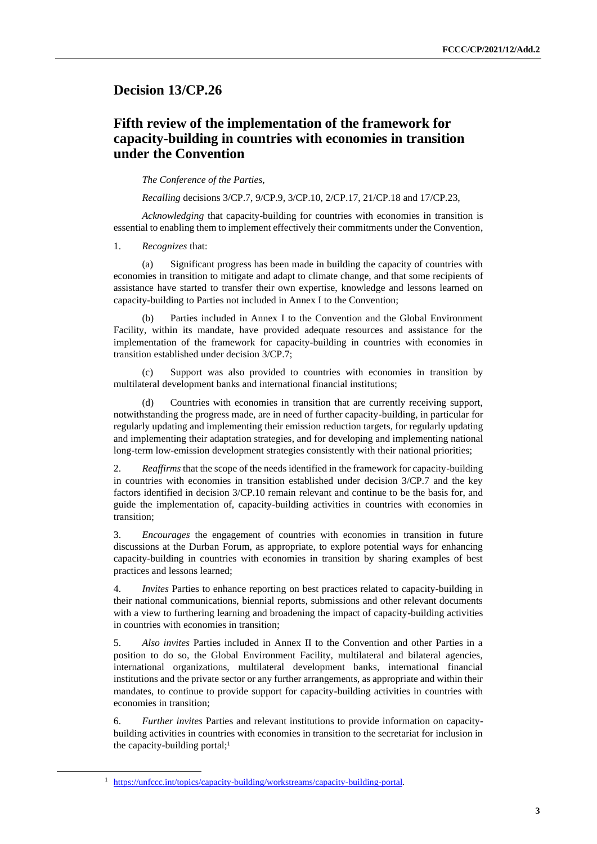## <span id="page-2-0"></span>**Decision 13/CP.26**

## **Fifth review of the implementation of the framework for capacity-building in countries with economies in transition under the Convention**

*The Conference of the Parties*,

*Recalling* decisions 3/CP.7, 9/CP.9, 3/CP.10, 2/CP.17, 21/CP.18 and 17/CP.23,

*Acknowledging* that capacity-building for countries with economies in transition is essential to enabling them to implement effectively their commitments under the Convention,

1. *Recognizes* that:

(a) Significant progress has been made in building the capacity of countries with economies in transition to mitigate and adapt to climate change, and that some recipients of assistance have started to transfer their own expertise, knowledge and lessons learned on capacity-building to Parties not included in Annex I to the Convention;

(b) Parties included in Annex I to the Convention and the Global Environment Facility, within its mandate, have provided adequate resources and assistance for the implementation of the framework for capacity-building in countries with economies in transition established under decision 3/CP.7;

(c) Support was also provided to countries with economies in transition by multilateral development banks and international financial institutions;

(d) Countries with economies in transition that are currently receiving support, notwithstanding the progress made, are in need of further capacity-building, in particular for regularly updating and implementing their emission reduction targets, for regularly updating and implementing their adaptation strategies, and for developing and implementing national long-term low-emission development strategies consistently with their national priorities;

2. *Reaffirms* that the scope of the needs identified in the framework for capacity-building in countries with economies in transition established under decision 3/CP.7 and the key factors identified in decision 3/CP.10 remain relevant and continue to be the basis for, and guide the implementation of, capacity-building activities in countries with economies in transition;

3. *Encourages* the engagement of countries with economies in transition in future discussions at the Durban Forum, as appropriate, to explore potential ways for enhancing capacity-building in countries with economies in transition by sharing examples of best practices and lessons learned;

4. *Invites* Parties to enhance reporting on best practices related to capacity-building in their national communications, biennial reports, submissions and other relevant documents with a view to furthering learning and broadening the impact of capacity-building activities in countries with economies in transition;

5. *Also invites* Parties included in Annex II to the Convention and other Parties in a position to do so, the Global Environment Facility, multilateral and bilateral agencies, international organizations, multilateral development banks, international financial institutions and the private sector or any further arrangements, as appropriate and within their mandates, to continue to provide support for capacity-building activities in countries with economies in transition;

6. *Further invites* Parties and relevant institutions to provide information on capacitybuilding activities in countries with economies in transition to the secretariat for inclusion in the capacity-building portal; $<sup>1</sup>$ </sup>

<sup>1</sup> [https://unfccc.int/topics/capacity-building/workstreams/capacity-building-portal.](https://unfccc.int/topics/capacity-building/workstreams/capacity-building-portal)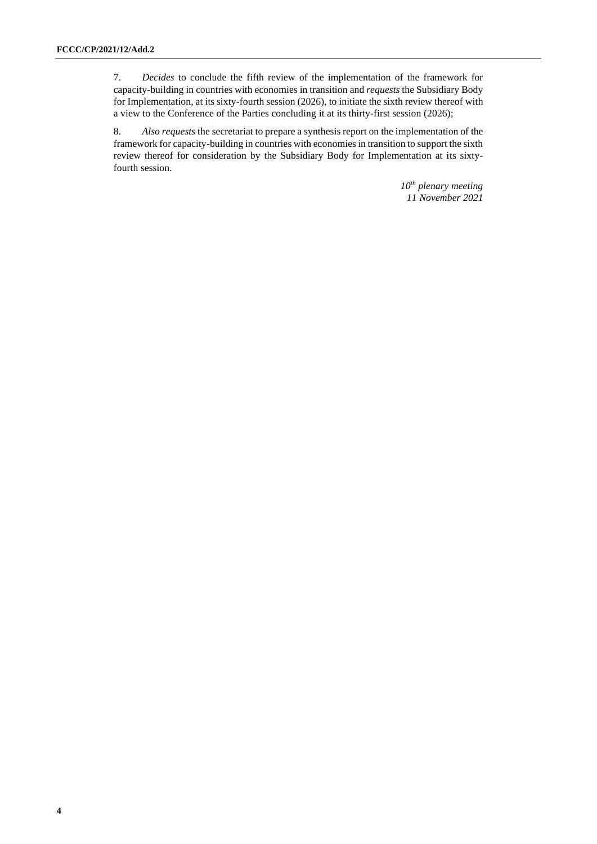7. *Decides* to conclude the fifth review of the implementation of the framework for capacity-building in countries with economies in transition and *requests* the Subsidiary Body for Implementation, at its sixty-fourth session (2026), to initiate the sixth review thereof with a view to the Conference of the Parties concluding it at its thirty-first session (2026);

8. *Also requests* the secretariat to prepare a synthesis report on the implementation of the framework for capacity-building in countries with economies in transition to support the sixth review thereof for consideration by the Subsidiary Body for Implementation at its sixtyfourth session.

> *10th plenary meeting 11 November 2021*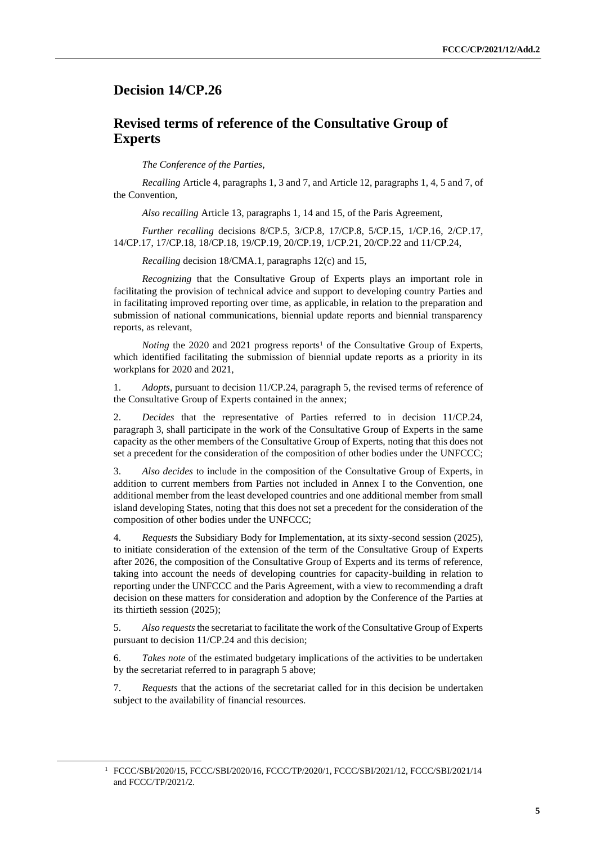### <span id="page-4-0"></span>**Decision 14/CP.26**

## **Revised terms of reference of the Consultative Group of Experts**

*The Conference of the Parties*,

*Recalling* Article 4, paragraphs 1, 3 and 7, and Article 12, paragraphs 1, 4, 5 and 7, of the Convention,

*Also recalling* Article 13, paragraphs 1, 14 and 15, of the Paris Agreement,

*Further recalling* decisions 8/CP.5, 3/CP.8, 17/CP.8, 5/CP.15, 1/CP.16, 2/CP.17, 14/CP.17, 17/CP.18, 18/CP.18, 19/CP.19, 20/CP.19, 1/CP.21, 20/CP.22 and 11/CP.24,

*Recalling* decision 18/CMA.1, paragraphs 12(c) and 15,

*Recognizing* that the Consultative Group of Experts plays an important role in facilitating the provision of technical advice and support to developing country Parties and in facilitating improved reporting over time, as applicable, in relation to the preparation and submission of national communications, biennial update reports and biennial transparency reports, as relevant,

*Noting* the 2020 and 2021 progress reports<sup>1</sup> of the Consultative Group of Experts, which identified facilitating the submission of biennial update reports as a priority in its workplans for 2020 and 2021,

1. *Adopts*, pursuant to decision 11/CP.24, paragraph 5, the revised terms of reference of the Consultative Group of Experts contained in the annex;

2. *Decides* that the representative of Parties referred to in decision 11/CP.24, paragraph 3, shall participate in the work of the Consultative Group of Experts in the same capacity as the other members of the Consultative Group of Experts, noting that this does not set a precedent for the consideration of the composition of other bodies under the UNFCCC;

3. *Also decides* to include in the composition of the Consultative Group of Experts, in addition to current members from Parties not included in Annex I to the Convention, one additional member from the least developed countries and one additional member from small island developing States, noting that this does not set a precedent for the consideration of the composition of other bodies under the UNFCCC;

4. *Requests* the Subsidiary Body for Implementation, at its sixty-second session (2025), to initiate consideration of the extension of the term of the Consultative Group of Experts after 2026, the composition of the Consultative Group of Experts and its terms of reference, taking into account the needs of developing countries for capacity-building in relation to reporting under the UNFCCC and the Paris Agreement, with a view to recommending a draft decision on these matters for consideration and adoption by the Conference of the Parties at its thirtieth session (2025);

5. *Also requests* the secretariat to facilitate the work of the Consultative Group of Experts pursuant to decision 11/CP.24 and this decision;

6. *Takes note* of the estimated budgetary implications of the activities to be undertaken by the secretariat referred to in paragraph 5 above;

7. *Requests* that the actions of the secretariat called for in this decision be undertaken subject to the availability of financial resources.

<sup>1</sup> FCCC/SBI/2020/15, FCCC/SBI/2020/16, FCCC/TP/2020/1, FCCC/SBI/2021/12, FCCC/SBI/2021/14 and FCCC/TP/2021/2.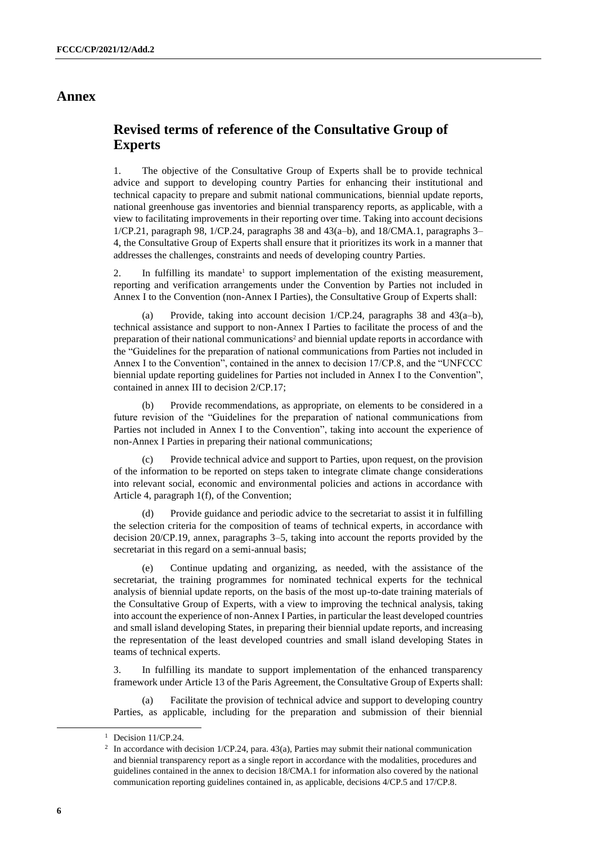### **Annex**

## **Revised terms of reference of the Consultative Group of Experts**

1. The objective of the Consultative Group of Experts shall be to provide technical advice and support to developing country Parties for enhancing their institutional and technical capacity to prepare and submit national communications, biennial update reports, national greenhouse gas inventories and biennial transparency reports, as applicable, with a view to facilitating improvements in their reporting over time. Taking into account decisions 1/CP.21, paragraph 98, 1/CP.24, paragraphs 38 and 43(a–b), and 18/CMA.1, paragraphs 3– 4, the Consultative Group of Experts shall ensure that it prioritizes its work in a manner that addresses the challenges, constraints and needs of developing country Parties.

2. In fulfilling its mandate<sup>1</sup> to support implementation of the existing measurement, reporting and verification arrangements under the Convention by Parties not included in Annex I to the Convention (non-Annex I Parties), the Consultative Group of Experts shall:

(a) Provide, taking into account decision 1/CP.24, paragraphs 38 and 43(a–b), technical assistance and support to non-Annex I Parties to facilitate the process of and the preparation of their national communications<sup>2</sup> and biennial update reports in accordance with the "Guidelines for the preparation of national communications from Parties not included in Annex I to the Convention", contained in the annex to decision 17/CP.8, and the "UNFCCC biennial update reporting guidelines for Parties not included in Annex I to the Convention", contained in annex III to decision 2/CP.17;

(b) Provide recommendations, as appropriate, on elements to be considered in a future revision of the "Guidelines for the preparation of national communications from Parties not included in Annex I to the Convention", taking into account the experience of non-Annex I Parties in preparing their national communications;

Provide technical advice and support to Parties, upon request, on the provision of the information to be reported on steps taken to integrate climate change considerations into relevant social, economic and environmental policies and actions in accordance with Article 4, paragraph 1(f), of the Convention;

Provide guidance and periodic advice to the secretariat to assist it in fulfilling the selection criteria for the composition of teams of technical experts, in accordance with decision 20/CP.19, annex, paragraphs 3–5, taking into account the reports provided by the secretariat in this regard on a semi-annual basis;

(e) Continue updating and organizing, as needed, with the assistance of the secretariat, the training programmes for nominated technical experts for the technical analysis of biennial update reports, on the basis of the most up-to-date training materials of the Consultative Group of Experts, with a view to improving the technical analysis, taking into account the experience of non-Annex I Parties, in particular the least developed countries and small island developing States, in preparing their biennial update reports, and increasing the representation of the least developed countries and small island developing States in teams of technical experts.

3. In fulfilling its mandate to support implementation of the enhanced transparency framework under Article 13 of the Paris Agreement, the Consultative Group of Experts shall:

(a) Facilitate the provision of technical advice and support to developing country Parties, as applicable, including for the preparation and submission of their biennial

<sup>&</sup>lt;sup>1</sup> Decision 11/CP.24.

<sup>&</sup>lt;sup>2</sup> In accordance with decision 1/CP.24, para. 43(a), Parties may submit their national communication and biennial transparency report as a single report in accordance with the modalities, procedures and guidelines contained in the annex to decision 18/CMA.1 for information also covered by the national communication reporting guidelines contained in, as applicable, decisions 4/CP.5 and 17/CP.8.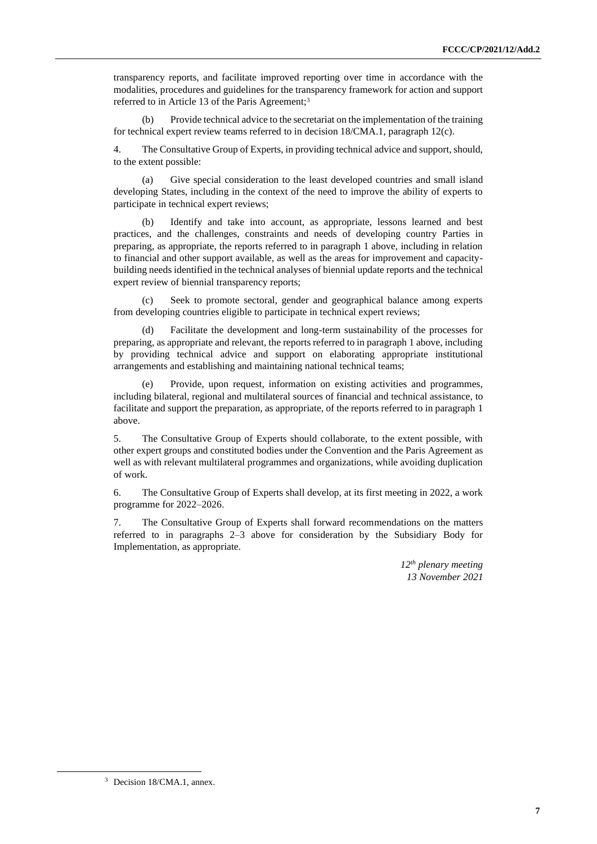transparency reports, and facilitate improved reporting over time in accordance with the modalities, procedures and guidelines for the transparency framework for action and support referred to in Article 13 of the Paris Agreement;<sup>3</sup>

(b) Provide technical advice to the secretariat on the implementation of the training for technical expert review teams referred to in decision 18/CMA.1, paragraph 12(c).

4. The Consultative Group of Experts, in providing technical advice and support, should, to the extent possible:

(a) Give special consideration to the least developed countries and small island developing States, including in the context of the need to improve the ability of experts to participate in technical expert reviews;

Identify and take into account, as appropriate, lessons learned and best practices, and the challenges, constraints and needs of developing country Parties in preparing, as appropriate, the reports referred to in paragraph 1 above, including in relation to financial and other support available, as well as the areas for improvement and capacitybuilding needs identified in the technical analyses of biennial update reports and the technical expert review of biennial transparency reports;

Seek to promote sectoral, gender and geographical balance among experts from developing countries eligible to participate in technical expert reviews;

(d) Facilitate the development and long-term sustainability of the processes for preparing, as appropriate and relevant, the reports referred to in paragraph 1 above, including by providing technical advice and support on elaborating appropriate institutional arrangements and establishing and maintaining national technical teams;

(e) Provide, upon request, information on existing activities and programmes, including bilateral, regional and multilateral sources of financial and technical assistance, to facilitate and support the preparation, as appropriate, of the reports referred to in paragraph 1 above.

5. The Consultative Group of Experts should collaborate, to the extent possible, with other expert groups and constituted bodies under the Convention and the Paris Agreement as well as with relevant multilateral programmes and organizations, while avoiding duplication of work.

6. The Consultative Group of Experts shall develop, at its first meeting in 2022, a work programme for 2022–2026.

7. The Consultative Group of Experts shall forward recommendations on the matters referred to in paragraphs 2–3 above for consideration by the Subsidiary Body for Implementation, as appropriate.

> *12th plenary meeting 13 November 2021*

<sup>3</sup> Decision 18/CMA.1, annex.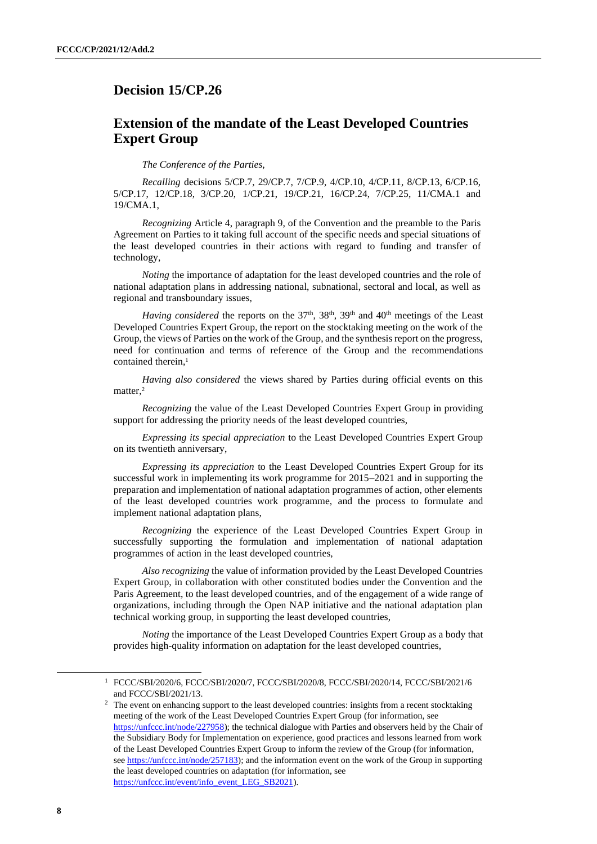## <span id="page-7-0"></span>**Decision 15/CP.26**

## **Extension of the mandate of the Least Developed Countries Expert Group**

*The Conference of the Parties*,

*Recalling* decisions 5/CP.7, 29/CP.7, 7/CP.9, 4/CP.10, 4/CP.11, 8/CP.13, 6/CP.16, 5/CP.17, 12/CP.18, 3/CP.20, 1/CP.21, 19/CP.21, 16/CP.24, 7/CP.25, 11/CMA.1 and 19/CMA.1,

*Recognizing* Article 4, paragraph 9, of the Convention and the preamble to the Paris Agreement on Parties to it taking full account of the specific needs and special situations of the least developed countries in their actions with regard to funding and transfer of technology,

*Noting* the importance of adaptation for the least developed countries and the role of national adaptation plans in addressing national, subnational, sectoral and local, as well as regional and transboundary issues,

*Having considered* the reports on the 37<sup>th</sup>, 38<sup>th</sup>, 39<sup>th</sup> and 40<sup>th</sup> meetings of the Least Developed Countries Expert Group, the report on the stocktaking meeting on the work of the Group, the views of Parties on the work of the Group, and the synthesis report on the progress, need for continuation and terms of reference of the Group and the recommendations contained therein,<sup>1</sup>

*Having also considered* the views shared by Parties during official events on this matter.<sup>2</sup>

*Recognizing* the value of the Least Developed Countries Expert Group in providing support for addressing the priority needs of the least developed countries,

*Expressing its special appreciation* to the Least Developed Countries Expert Group on its twentieth anniversary,

*Expressing its appreciation* to the Least Developed Countries Expert Group for its successful work in implementing its work programme for 2015–2021 and in supporting the preparation and implementation of national adaptation programmes of action, other elements of the least developed countries work programme, and the process to formulate and implement national adaptation plans,

*Recognizing* the experience of the Least Developed Countries Expert Group in successfully supporting the formulation and implementation of national adaptation programmes of action in the least developed countries,

*Also recognizing* the value of information provided by the Least Developed Countries Expert Group, in collaboration with other constituted bodies under the Convention and the Paris Agreement, to the least developed countries, and of the engagement of a wide range of organizations, including through the Open NAP initiative and the national adaptation plan technical working group, in supporting the least developed countries,

*Noting* the importance of the Least Developed Countries Expert Group as a body that provides high-quality information on adaptation for the least developed countries,

<sup>1</sup> FCCC/SBI/2020/6, FCCC/SBI/2020/7, FCCC/SBI/2020/8, FCCC/SBI/2020/14, FCCC/SBI/2021/6 and FCCC/SBI/2021/13.

<sup>&</sup>lt;sup>2</sup> The event on enhancing support to the least developed countries: insights from a recent stocktaking meeting of the work of the Least Developed Countries Expert Group (for information, see [https://unfccc.int/node/227958\)](https://unfccc.int/node/227958); the technical dialogue with Parties and observers held by the Chair of the Subsidiary Body for Implementation on experience, good practices and lessons learned from work of the Least Developed Countries Expert Group to inform the review of the Group (for information, see [https://unfccc.int/node/257183\)](https://unfccc.int/node/257183); and the information event on the work of the Group in supporting the least developed countries on adaptation (for information, see [https://unfccc.int/event/info\\_event\\_LEG\\_SB2021\)](https://unfccc.int/event/info_event_LEG_SB2021).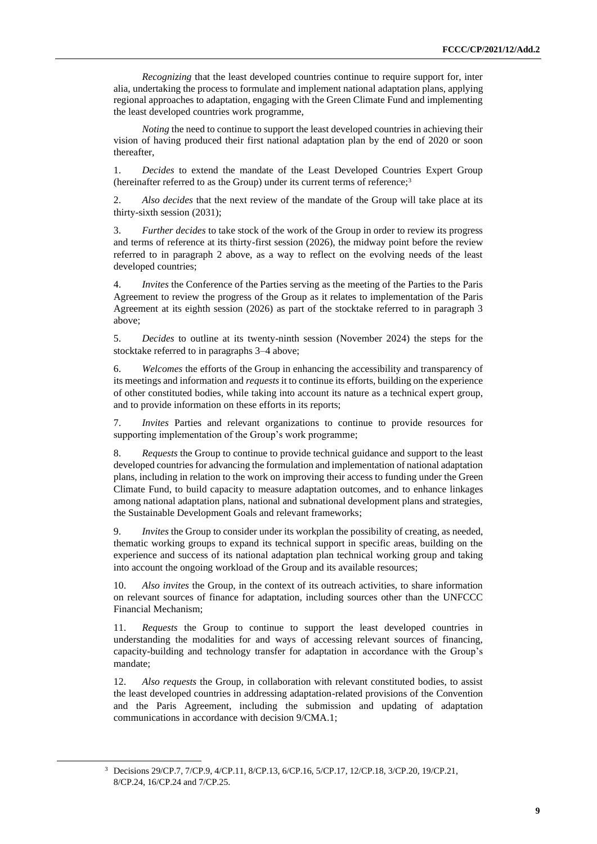*Recognizing* that the least developed countries continue to require support for, inter alia, undertaking the process to formulate and implement national adaptation plans, applying regional approaches to adaptation, engaging with the Green Climate Fund and implementing the least developed countries work programme,

*Noting* the need to continue to support the least developed countries in achieving their vision of having produced their first national adaptation plan by the end of 2020 or soon thereafter,

1. *Decides* to extend the mandate of the Least Developed Countries Expert Group (hereinafter referred to as the Group) under its current terms of reference;<sup>3</sup>

2. *Also decides* that the next review of the mandate of the Group will take place at its thirty-sixth session (2031);

3. *Further decides* to take stock of the work of the Group in order to review its progress and terms of reference at its thirty-first session (2026), the midway point before the review referred to in paragraph 2 above, as a way to reflect on the evolving needs of the least developed countries;

4. *Invites* the Conference of the Parties serving as the meeting of the Parties to the Paris Agreement to review the progress of the Group as it relates to implementation of the Paris Agreement at its eighth session (2026) as part of the stocktake referred to in paragraph 3 above;

5. *Decides* to outline at its twenty-ninth session (November 2024) the steps for the stocktake referred to in paragraphs 3–4 above;

6. *Welcomes* the efforts of the Group in enhancing the accessibility and transparency of its meetings and information and *requests* it to continue its efforts, building on the experience of other constituted bodies, while taking into account its nature as a technical expert group, and to provide information on these efforts in its reports;

7. *Invites* Parties and relevant organizations to continue to provide resources for supporting implementation of the Group's work programme;

8. *Requests* the Group to continue to provide technical guidance and support to the least developed countries for advancing the formulation and implementation of national adaptation plans, including in relation to the work on improving their access to funding under the Green Climate Fund, to build capacity to measure adaptation outcomes, and to enhance linkages among national adaptation plans, national and subnational development plans and strategies, the Sustainable Development Goals and relevant frameworks;

9. *Invites* the Group to consider under its workplan the possibility of creating, as needed, thematic working groups to expand its technical support in specific areas, building on the experience and success of its national adaptation plan technical working group and taking into account the ongoing workload of the Group and its available resources;

10. *Also invites* the Group, in the context of its outreach activities, to share information on relevant sources of finance for adaptation, including sources other than the UNFCCC Financial Mechanism;

*Requests* the Group to continue to support the least developed countries in understanding the modalities for and ways of accessing relevant sources of financing, capacity-building and technology transfer for adaptation in accordance with the Group's mandate;

12. *Also requests* the Group, in collaboration with relevant constituted bodies, to assist the least developed countries in addressing adaptation-related provisions of the Convention and the Paris Agreement, including the submission and updating of adaptation communications in accordance with decision 9/CMA.1;

<sup>3</sup> Decisions 29/CP.7, 7/CP.9, 4/CP.11, 8/CP.13, 6/CP.16, 5/CP.17, 12/CP.18, 3/CP.20, 19/CP.21, 8/CP.24, 16/CP.24 and 7/CP.25.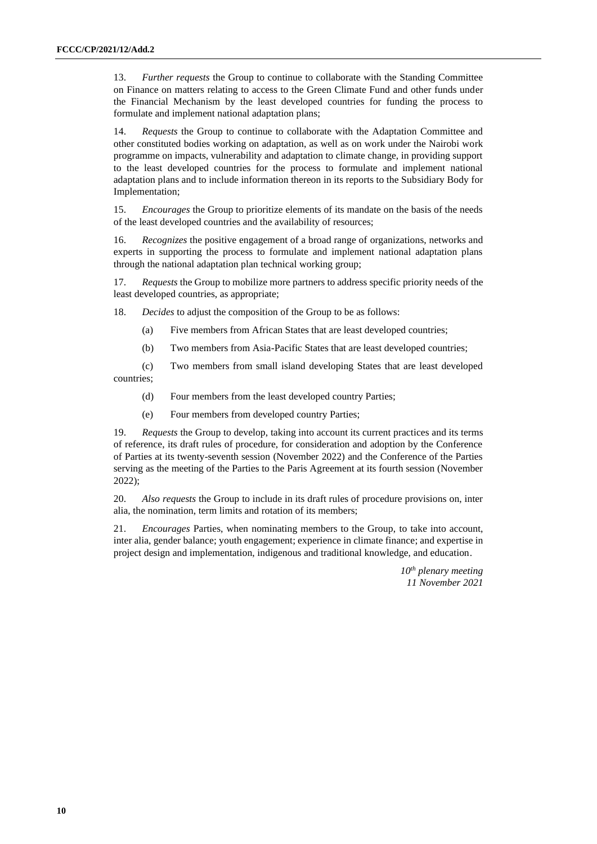13. *Further requests* the Group to continue to collaborate with the Standing Committee on Finance on matters relating to access to the Green Climate Fund and other funds under the Financial Mechanism by the least developed countries for funding the process to formulate and implement national adaptation plans;

14. *Requests* the Group to continue to collaborate with the Adaptation Committee and other constituted bodies working on adaptation, as well as on work under the Nairobi work programme on impacts, vulnerability and adaptation to climate change, in providing support to the least developed countries for the process to formulate and implement national adaptation plans and to include information thereon in its reports to the Subsidiary Body for Implementation;

15. *Encourages* the Group to prioritize elements of its mandate on the basis of the needs of the least developed countries and the availability of resources;

16. *Recognizes* the positive engagement of a broad range of organizations, networks and experts in supporting the process to formulate and implement national adaptation plans through the national adaptation plan technical working group;

17. *Requests* the Group to mobilize more partners to address specific priority needs of the least developed countries, as appropriate;

18. *Decides* to adjust the composition of the Group to be as follows:

- (a) Five members from African States that are least developed countries;
- (b) Two members from Asia-Pacific States that are least developed countries;

(c) Two members from small island developing States that are least developed countries;

- (d) Four members from the least developed country Parties;
- (e) Four members from developed country Parties;

19. *Requests* the Group to develop, taking into account its current practices and its terms of reference, its draft rules of procedure, for consideration and adoption by the Conference of Parties at its twenty-seventh session (November 2022) and the Conference of the Parties serving as the meeting of the Parties to the Paris Agreement at its fourth session (November 2022);

20. *Also requests* the Group to include in its draft rules of procedure provisions on, inter alia, the nomination, term limits and rotation of its members;

21. *Encourages* Parties, when nominating members to the Group, to take into account, inter alia, gender balance; youth engagement; experience in climate finance; and expertise in project design and implementation, indigenous and traditional knowledge, and education.

> *10th plenary meeting 11 November 2021*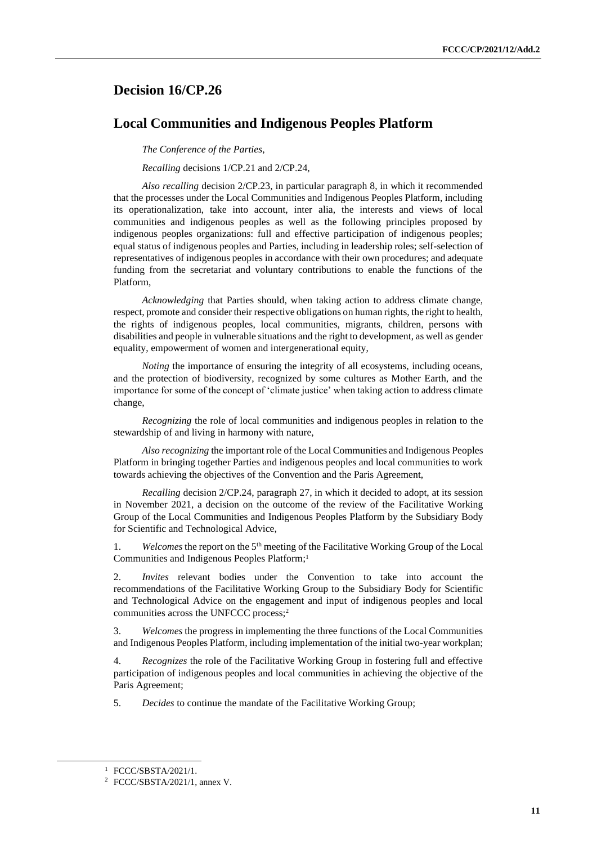## <span id="page-10-0"></span>**Decision 16/CP.26**

### **Local Communities and Indigenous Peoples Platform**

*The Conference of the Parties*,

*Recalling* decisions 1/CP.21 and 2/CP.24,

*Also recalling* decision 2/CP.23, in particular paragraph 8, in which it recommended that the processes under the Local Communities and Indigenous Peoples Platform, including its operationalization, take into account, inter alia, the interests and views of local communities and indigenous peoples as well as the following principles proposed by indigenous peoples organizations: full and effective participation of indigenous peoples; equal status of indigenous peoples and Parties, including in leadership roles; self-selection of representatives of indigenous peoples in accordance with their own procedures; and adequate funding from the secretariat and voluntary contributions to enable the functions of the Platform,

*Acknowledging* that Parties should, when taking action to address climate change, respect, promote and consider their respective obligations on human rights, the right to health, the rights of indigenous peoples, local communities, migrants, children, persons with disabilities and people in vulnerable situations and the right to development, as well as gender equality, empowerment of women and intergenerational equity,

*Noting* the importance of ensuring the integrity of all ecosystems, including oceans, and the protection of biodiversity, recognized by some cultures as Mother Earth, and the importance for some of the concept of 'climate justice' when taking action to address climate change,

*Recognizing* the role of local communities and indigenous peoples in relation to the stewardship of and living in harmony with nature,

*Also recognizing* the important role of the Local Communities and Indigenous Peoples Platform in bringing together Parties and indigenous peoples and local communities to work towards achieving the objectives of the Convention and the Paris Agreement,

*Recalling* decision 2/CP.24, paragraph 27, in which it decided to adopt, at its session in November 2021, a decision on the outcome of the review of the Facilitative Working Group of the Local Communities and Indigenous Peoples Platform by the Subsidiary Body for Scientific and Technological Advice,

1. *Welcomes* the report on the 5th meeting of the Facilitative Working Group of the Local Communities and Indigenous Peoples Platform; 1

2. *Invites* relevant bodies under the Convention to take into account the recommendations of the Facilitative Working Group to the Subsidiary Body for Scientific and Technological Advice on the engagement and input of indigenous peoples and local communities across the UNFCCC process;<sup>2</sup>

3. *Welcomes* the progress in implementing the three functions of the Local Communities and Indigenous Peoples Platform, including implementation of the initial two-year workplan;

4. *Recognizes* the role of the Facilitative Working Group in fostering full and effective participation of indigenous peoples and local communities in achieving the objective of the Paris Agreement;

5. *Decides* to continue the mandate of the Facilitative Working Group;

<sup>1</sup> FCCC/SBSTA/2021/1.

<sup>2</sup> FCCC/SBSTA/2021/1, annex V.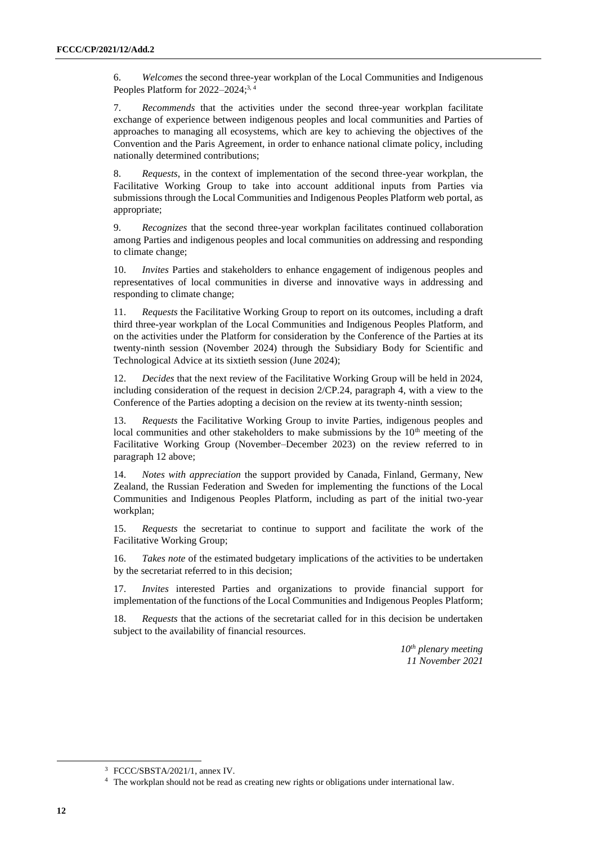6. *Welcomes* the second three-year workplan of the Local Communities and Indigenous Peoples Platform for 2022–2024;<sup>3, 4</sup>

7. *Recommends* that the activities under the second three-year workplan facilitate exchange of experience between indigenous peoples and local communities and Parties of approaches to managing all ecosystems, which are key to achieving the objectives of the Convention and the Paris Agreement, in order to enhance national climate policy, including nationally determined contributions;

8. *Requests*, in the context of implementation of the second three-year workplan, the Facilitative Working Group to take into account additional inputs from Parties via submissions through the Local Communities and Indigenous Peoples Platform web portal, as appropriate;

9. *Recognizes* that the second three-year workplan facilitates continued collaboration among Parties and indigenous peoples and local communities on addressing and responding to climate change;

10. *Invites* Parties and stakeholders to enhance engagement of indigenous peoples and representatives of local communities in diverse and innovative ways in addressing and responding to climate change;

11. *Requests* the Facilitative Working Group to report on its outcomes, including a draft third three-year workplan of the Local Communities and Indigenous Peoples Platform, and on the activities under the Platform for consideration by the Conference of the Parties at its twenty-ninth session (November 2024) through the Subsidiary Body for Scientific and Technological Advice at its sixtieth session (June 2024);

12. *Decides* that the next review of the Facilitative Working Group will be held in 2024, including consideration of the request in decision 2/CP.24, paragraph 4, with a view to the Conference of the Parties adopting a decision on the review at its twenty-ninth session;

13. *Requests* the Facilitative Working Group to invite Parties, indigenous peoples and local communities and other stakeholders to make submissions by the  $10<sup>th</sup>$  meeting of the Facilitative Working Group (November–December 2023) on the review referred to in paragraph 12 above;

14. *Notes with appreciation* the support provided by Canada, Finland, Germany, New Zealand, the Russian Federation and Sweden for implementing the functions of the Local Communities and Indigenous Peoples Platform, including as part of the initial two-year workplan;

15. *Requests* the secretariat to continue to support and facilitate the work of the Facilitative Working Group;

16. *Takes note* of the estimated budgetary implications of the activities to be undertaken by the secretariat referred to in this decision;

17. *Invites* interested Parties and organizations to provide financial support for implementation of the functions of the Local Communities and Indigenous Peoples Platform;

18. *Requests* that the actions of the secretariat called for in this decision be undertaken subject to the availability of financial resources.

> *10th plenary meeting 11 November 2021*

<sup>3</sup> FCCC/SBSTA/2021/1, annex IV.

<sup>4</sup> The workplan should not be read as creating new rights or obligations under international law.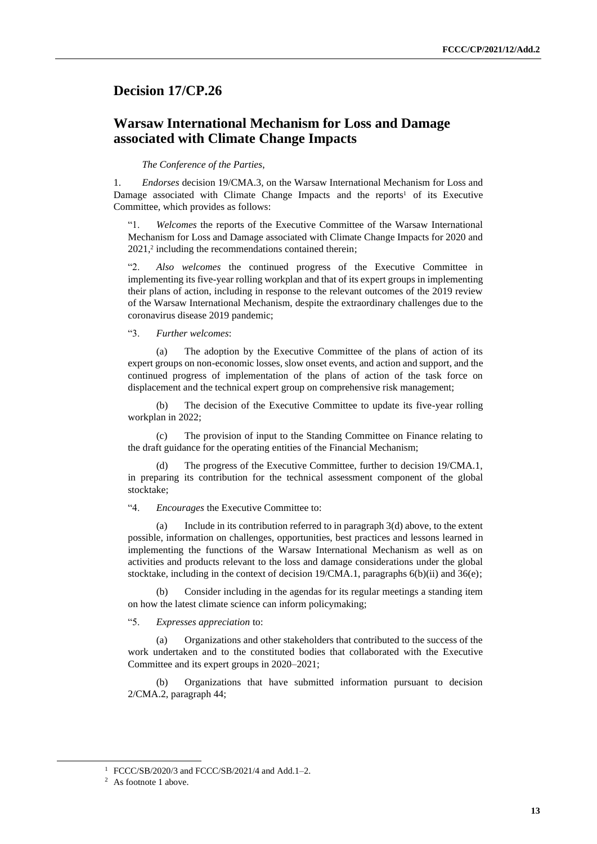### <span id="page-12-0"></span>**Decision 17/CP.26**

## **Warsaw International Mechanism for Loss and Damage associated with Climate Change Impacts**

#### *The Conference of the Parties*,

1. *Endorses* decision 19/CMA.3, on the Warsaw International Mechanism for Loss and Damage associated with Climate Change Impacts and the reports<sup>1</sup> of its Executive Committee, which provides as follows:

Welcomes the reports of the Executive Committee of the Warsaw International Mechanism for Loss and Damage associated with Climate Change Impacts for 2020 and 2021,<sup>2</sup> including the recommendations contained therein;

"2. *Also welcomes* the continued progress of the Executive Committee in implementing its five-year rolling workplan and that of its expert groups in implementing their plans of action, including in response to the relevant outcomes of the 2019 review of the Warsaw International Mechanism, despite the extraordinary challenges due to the coronavirus disease 2019 pandemic;

"3. *Further welcomes*:

(a) The adoption by the Executive Committee of the plans of action of its expert groups on non-economic losses, slow onset events, and action and support, and the continued progress of implementation of the plans of action of the task force on displacement and the technical expert group on comprehensive risk management;

(b) The decision of the Executive Committee to update its five-year rolling workplan in 2022;

(c) The provision of input to the Standing Committee on Finance relating to the draft guidance for the operating entities of the Financial Mechanism;

(d) The progress of the Executive Committee, further to decision 19/CMA.1, in preparing its contribution for the technical assessment component of the global stocktake;

"4. *Encourages* the Executive Committee to:

(a) Include in its contribution referred to in paragraph 3(d) above, to the extent possible, information on challenges, opportunities, best practices and lessons learned in implementing the functions of the Warsaw International Mechanism as well as on activities and products relevant to the loss and damage considerations under the global stocktake, including in the context of decision 19/CMA.1, paragraphs  $6(b)(ii)$  and  $36(e)$ ;

(b) Consider including in the agendas for its regular meetings a standing item on how the latest climate science can inform policymaking;

"5. *Expresses appreciation* to:

(a) Organizations and other stakeholders that contributed to the success of the work undertaken and to the constituted bodies that collaborated with the Executive Committee and its expert groups in 2020–2021;

(b) Organizations that have submitted information pursuant to decision 2/CMA.2, paragraph 44;

<sup>1</sup> FCCC/SB/2020/3 and FCCC/SB/2021/4 and Add.1–2.

<sup>&</sup>lt;sup>2</sup> As footnote 1 above.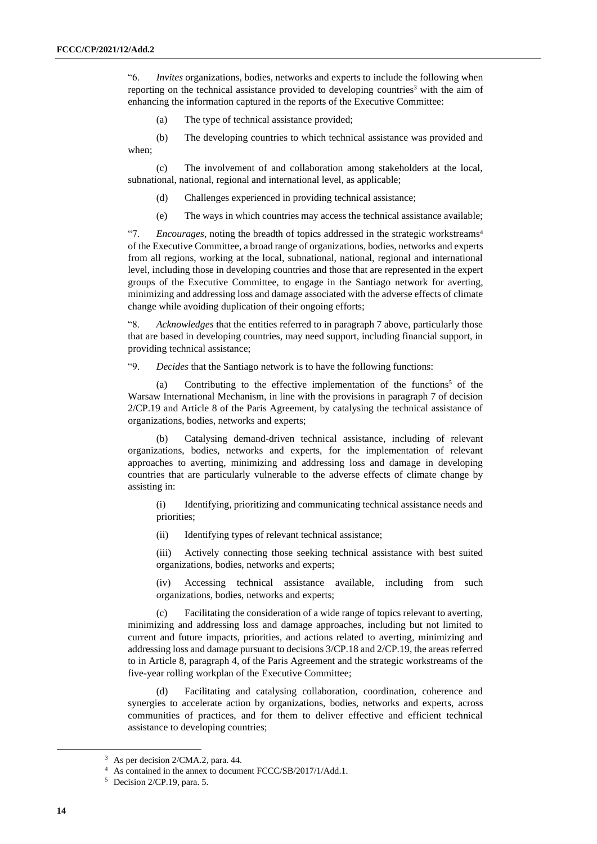"6. *Invites* organizations, bodies, networks and experts to include the following when reporting on the technical assistance provided to developing countries<sup>3</sup> with the aim of enhancing the information captured in the reports of the Executive Committee:

(a) The type of technical assistance provided;

(b) The developing countries to which technical assistance was provided and when;

(c) The involvement of and collaboration among stakeholders at the local, subnational, national, regional and international level, as applicable;

- (d) Challenges experienced in providing technical assistance;
- (e) The ways in which countries may access the technical assistance available;

"7. *Encourages*, noting the breadth of topics addressed in the strategic workstreams<sup>4</sup> of the Executive Committee, a broad range of organizations, bodies, networks and experts from all regions, working at the local, subnational, national, regional and international level, including those in developing countries and those that are represented in the expert groups of the Executive Committee, to engage in the Santiago network for averting, minimizing and addressing loss and damage associated with the adverse effects of climate change while avoiding duplication of their ongoing efforts;

"8. *Acknowledges* that the entities referred to in paragraph 7 above, particularly those that are based in developing countries, may need support, including financial support, in providing technical assistance;

"9. *Decides* that the Santiago network is to have the following functions:

(a) Contributing to the effective implementation of the functions<sup>5</sup> of the Warsaw International Mechanism, in line with the provisions in paragraph 7 of decision 2/CP.19 and Article 8 of the Paris Agreement, by catalysing the technical assistance of organizations, bodies, networks and experts;

(b) Catalysing demand-driven technical assistance, including of relevant organizations, bodies, networks and experts, for the implementation of relevant approaches to averting, minimizing and addressing loss and damage in developing countries that are particularly vulnerable to the adverse effects of climate change by assisting in:

(i) Identifying, prioritizing and communicating technical assistance needs and priorities;

(ii) Identifying types of relevant technical assistance;

(iii) Actively connecting those seeking technical assistance with best suited organizations, bodies, networks and experts;

(iv) Accessing technical assistance available, including from such organizations, bodies, networks and experts;

(c) Facilitating the consideration of a wide range of topics relevant to averting, minimizing and addressing loss and damage approaches, including but not limited to current and future impacts, priorities, and actions related to averting, minimizing and addressing loss and damage pursuant to decisions 3/CP.18 and 2/CP.19, the areas referred to in Article 8, paragraph 4, of the Paris Agreement and the strategic workstreams of the five-year rolling workplan of the Executive Committee;

Facilitating and catalysing collaboration, coordination, coherence and synergies to accelerate action by organizations, bodies, networks and experts, across communities of practices, and for them to deliver effective and efficient technical assistance to developing countries;

<sup>&</sup>lt;sup>3</sup> As per decision 2/CMA.2, para. 44.

<sup>4</sup> As contained in the annex to document FCCC/SB/2017/1/Add.1.

<sup>5</sup> Decision 2/CP.19, para. 5.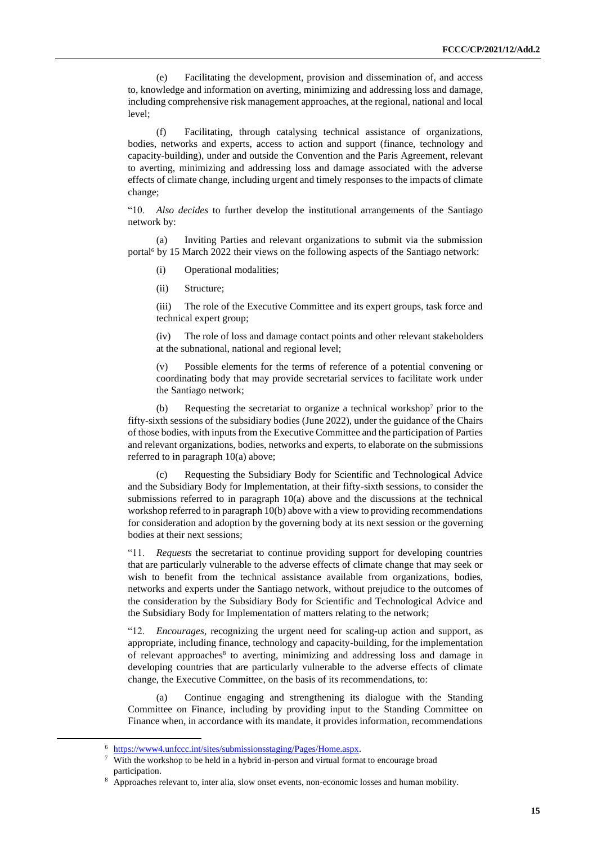(e) Facilitating the development, provision and dissemination of, and access to, knowledge and information on averting, minimizing and addressing loss and damage, including comprehensive risk management approaches, at the regional, national and local level;

(f) Facilitating, through catalysing technical assistance of organizations, bodies, networks and experts, access to action and support (finance, technology and capacity-building), under and outside the Convention and the Paris Agreement, relevant to averting, minimizing and addressing loss and damage associated with the adverse effects of climate change, including urgent and timely responses to the impacts of climate change;

"10. *Also decides* to further develop the institutional arrangements of the Santiago network by:

(a) Inviting Parties and relevant organizations to submit via the submission portal<sup>6</sup> by 15 March 2022 their views on the following aspects of the Santiago network:

- (i) Operational modalities;
- (ii) Structure;

(iii) The role of the Executive Committee and its expert groups, task force and technical expert group;

(iv) The role of loss and damage contact points and other relevant stakeholders at the subnational, national and regional level;

(v) Possible elements for the terms of reference of a potential convening or coordinating body that may provide secretarial services to facilitate work under the Santiago network;

(b) Requesting the secretariat to organize a technical workshop<sup>7</sup> prior to the fifty-sixth sessions of the subsidiary bodies (June 2022), under the guidance of the Chairs of those bodies, with inputs from the Executive Committee and the participation of Parties and relevant organizations, bodies, networks and experts, to elaborate on the submissions referred to in paragraph 10(a) above;

(c) Requesting the Subsidiary Body for Scientific and Technological Advice and the Subsidiary Body for Implementation, at their fifty-sixth sessions, to consider the submissions referred to in paragraph 10(a) above and the discussions at the technical workshop referred to in paragraph 10(b) above with a view to providing recommendations for consideration and adoption by the governing body at its next session or the governing bodies at their next sessions;

"11. *Requests* the secretariat to continue providing support for developing countries that are particularly vulnerable to the adverse effects of climate change that may seek or wish to benefit from the technical assistance available from organizations, bodies, networks and experts under the Santiago network, without prejudice to the outcomes of the consideration by the Subsidiary Body for Scientific and Technological Advice and the Subsidiary Body for Implementation of matters relating to the network;

"12. *Encourages*, recognizing the urgent need for scaling-up action and support, as appropriate, including finance, technology and capacity-building, for the implementation of relevant approaches<sup>8</sup> to averting, minimizing and addressing loss and damage in developing countries that are particularly vulnerable to the adverse effects of climate change, the Executive Committee, on the basis of its recommendations, to:

(a) Continue engaging and strengthening its dialogue with the Standing Committee on Finance, including by providing input to the Standing Committee on Finance when, in accordance with its mandate, it provides information, recommendations

<sup>6</sup> [https://www4.unfccc.int/sites/submissionsstaging/Pages/Home.aspx.](https://www4.unfccc.int/sites/submissionsstaging/Pages/Home.aspx)

<sup>7</sup> With the workshop to be held in a hybrid in-person and virtual format to encourage broad participation.

Approaches relevant to, inter alia, slow onset events, non-economic losses and human mobility.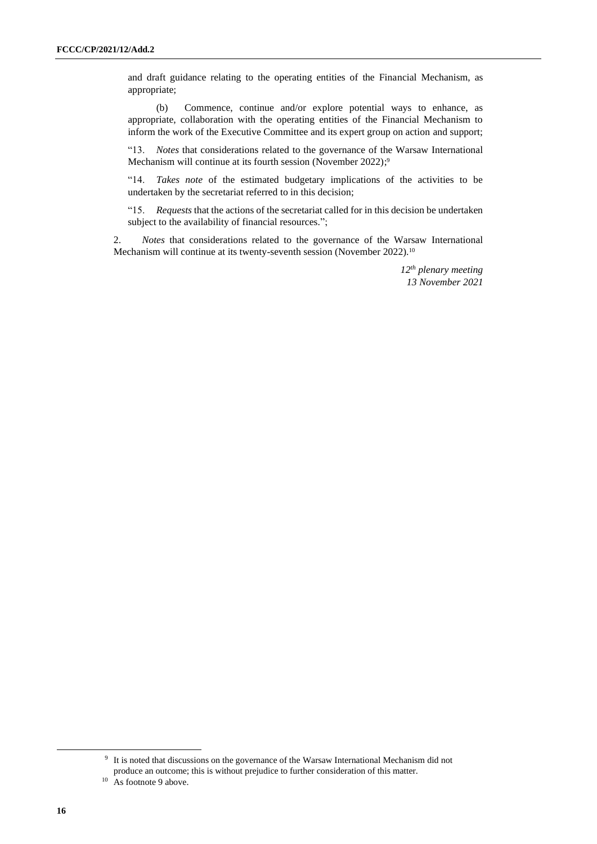and draft guidance relating to the operating entities of the Financial Mechanism, as appropriate;

(b) Commence, continue and/or explore potential ways to enhance, as appropriate, collaboration with the operating entities of the Financial Mechanism to inform the work of the Executive Committee and its expert group on action and support;

"13. *Notes* that considerations related to the governance of the Warsaw International Mechanism will continue at its fourth session (November 2022);<sup>9</sup>

"14. *Takes note* of the estimated budgetary implications of the activities to be undertaken by the secretariat referred to in this decision;

"15. *Requests* that the actions of the secretariat called for in this decision be undertaken subject to the availability of financial resources.";

2. *Notes* that considerations related to the governance of the Warsaw International Mechanism will continue at its twenty-seventh session (November 2022).<sup>10</sup>

> *12th plenary meeting 13 November 2021*

<sup>&</sup>lt;sup>9</sup> It is noted that discussions on the governance of the Warsaw International Mechanism did not produce an outcome; this is without prejudice to further consideration of this matter.

<sup>&</sup>lt;sup>10</sup> As footnote 9 above.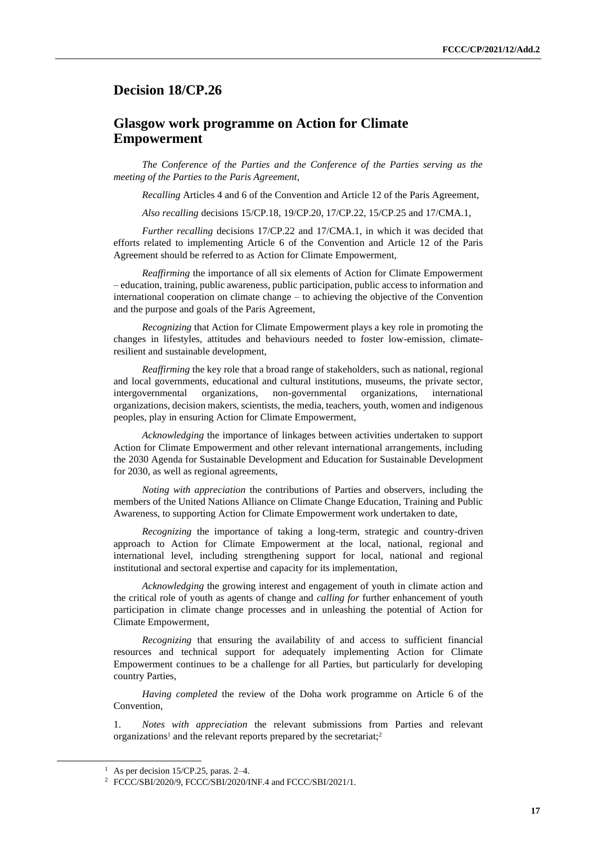### <span id="page-16-0"></span>**Decision 18/CP.26**

### **Glasgow work programme on Action for Climate Empowerment**

*The Conference of the Parties and the Conference of the Parties serving as the meeting of the Parties to the Paris Agreement*,

*Recalling* Articles 4 and 6 of the Convention and Article 12 of the Paris Agreement,

*Also recalling* decisions 15/CP.18, 19/CP.20, 17/CP.22, 15/CP.25 and 17/CMA.1,

*Further recalling* decisions 17/CP.22 and 17/CMA.1, in which it was decided that efforts related to implementing Article 6 of the Convention and Article 12 of the Paris Agreement should be referred to as Action for Climate Empowerment,

*Reaffirming* the importance of all six elements of Action for Climate Empowerment – education, training, public awareness, public participation, public access to information and international cooperation on climate change – to achieving the objective of the Convention and the purpose and goals of the Paris Agreement,

*Recognizing* that Action for Climate Empowerment plays a key role in promoting the changes in lifestyles, attitudes and behaviours needed to foster low-emission, climateresilient and sustainable development,

*Reaffirming* the key role that a broad range of stakeholders, such as national, regional and local governments, educational and cultural institutions, museums, the private sector, intergovernmental organizations, non-governmental organizations, international organizations, decision makers, scientists, the media, teachers, youth, women and indigenous peoples, play in ensuring Action for Climate Empowerment,

*Acknowledging* the importance of linkages between activities undertaken to support Action for Climate Empowerment and other relevant international arrangements, including the 2030 Agenda for Sustainable Development and Education for Sustainable Development for 2030, as well as regional agreements,

*Noting with appreciation* the contributions of Parties and observers, including the members of the United Nations Alliance on Climate Change Education, Training and Public Awareness, to supporting Action for Climate Empowerment work undertaken to date,

*Recognizing* the importance of taking a long-term, strategic and country-driven approach to Action for Climate Empowerment at the local, national, regional and international level, including strengthening support for local, national and regional institutional and sectoral expertise and capacity for its implementation,

*Acknowledging* the growing interest and engagement of youth in climate action and the critical role of youth as agents of change and *calling for* further enhancement of youth participation in climate change processes and in unleashing the potential of Action for Climate Empowerment,

*Recognizing* that ensuring the availability of and access to sufficient financial resources and technical support for adequately implementing Action for Climate Empowerment continues to be a challenge for all Parties, but particularly for developing country Parties,

*Having completed* the review of the Doha work programme on Article 6 of the Convention,

1. *Notes with appreciation* the relevant submissions from Parties and relevant organizations<sup>1</sup> and the relevant reports prepared by the secretariat;<sup>2</sup>

<sup>&</sup>lt;sup>1</sup> As per decision 15/CP.25, paras.  $2-4$ .

<sup>2</sup> FCCC/SBI/2020/9, FCCC/SBI/2020/INF.4 and FCCC/SBI/2021/1.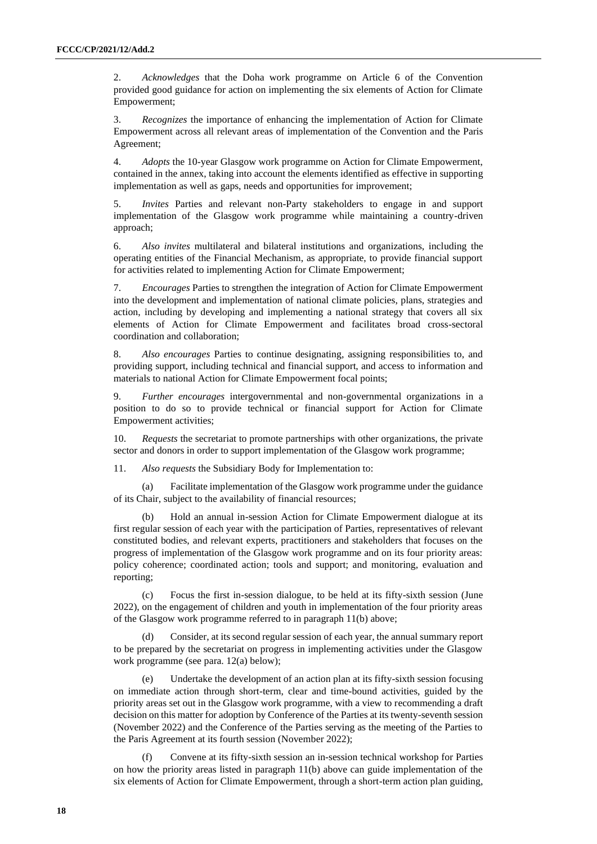2. *Acknowledges* that the Doha work programme on Article 6 of the Convention provided good guidance for action on implementing the six elements of Action for Climate Empowerment;

3. *Recognizes* the importance of enhancing the implementation of Action for Climate Empowerment across all relevant areas of implementation of the Convention and the Paris Agreement;

4. *Adopts* the 10-year Glasgow work programme on Action for Climate Empowerment, contained in the annex, taking into account the elements identified as effective in supporting implementation as well as gaps, needs and opportunities for improvement;

5. *Invites* Parties and relevant non-Party stakeholders to engage in and support implementation of the Glasgow work programme while maintaining a country-driven approach;

6. *Also invites* multilateral and bilateral institutions and organizations, including the operating entities of the Financial Mechanism, as appropriate, to provide financial support for activities related to implementing Action for Climate Empowerment;

7. *Encourages* Parties to strengthen the integration of Action for Climate Empowerment into the development and implementation of national climate policies, plans, strategies and action, including by developing and implementing a national strategy that covers all six elements of Action for Climate Empowerment and facilitates broad cross-sectoral coordination and collaboration;

8. *Also encourages* Parties to continue designating, assigning responsibilities to, and providing support, including technical and financial support, and access to information and materials to national Action for Climate Empowerment focal points;

9. *Further encourages* intergovernmental and non-governmental organizations in a position to do so to provide technical or financial support for Action for Climate Empowerment activities;

10. *Requests* the secretariat to promote partnerships with other organizations, the private sector and donors in order to support implementation of the Glasgow work programme;

11. *Also requests* the Subsidiary Body for Implementation to:

(a) Facilitate implementation of the Glasgow work programme under the guidance of its Chair, subject to the availability of financial resources;

(b) Hold an annual in-session Action for Climate Empowerment dialogue at its first regular session of each year with the participation of Parties, representatives of relevant constituted bodies, and relevant experts, practitioners and stakeholders that focuses on the progress of implementation of the Glasgow work programme and on its four priority areas: policy coherence; coordinated action; tools and support; and monitoring, evaluation and reporting;

(c) Focus the first in-session dialogue, to be held at its fifty-sixth session (June 2022), on the engagement of children and youth in implementation of the four priority areas of the Glasgow work programme referred to in paragraph 11(b) above;

(d) Consider, at its second regular session of each year, the annual summary report to be prepared by the secretariat on progress in implementing activities under the Glasgow work programme (see para. 12(a) below);

(e) Undertake the development of an action plan at its fifty-sixth session focusing on immediate action through short-term, clear and time-bound activities, guided by the priority areas set out in the Glasgow work programme, with a view to recommending a draft decision on this matter for adoption by Conference of the Parties at its twenty-seventh session (November 2022) and the Conference of the Parties serving as the meeting of the Parties to the Paris Agreement at its fourth session (November 2022);

Convene at its fifty-sixth session an in-session technical workshop for Parties on how the priority areas listed in paragraph 11(b) above can guide implementation of the six elements of Action for Climate Empowerment, through a short-term action plan guiding,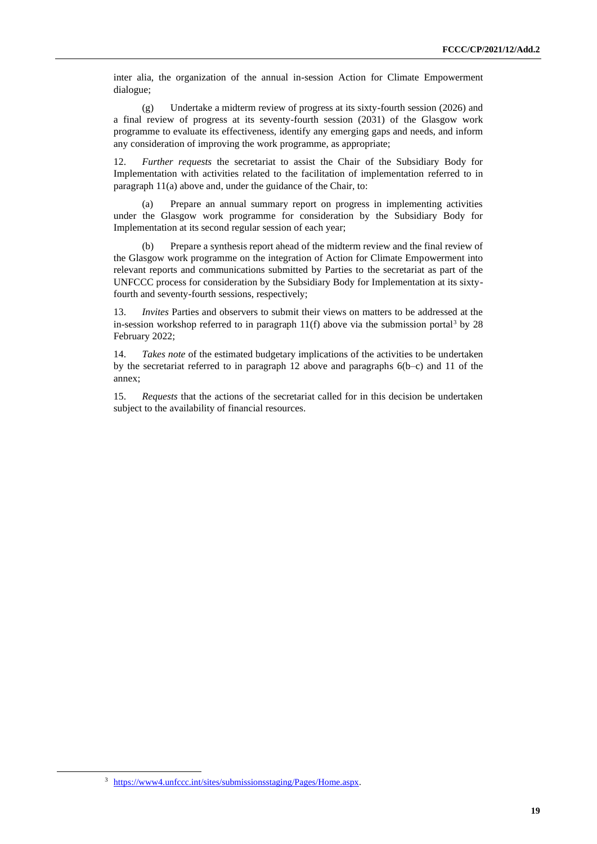inter alia, the organization of the annual in-session Action for Climate Empowerment dialogue;

(g) Undertake a midterm review of progress at its sixty-fourth session (2026) and a final review of progress at its seventy-fourth session (2031) of the Glasgow work programme to evaluate its effectiveness, identify any emerging gaps and needs, and inform any consideration of improving the work programme, as appropriate;

12. *Further requests* the secretariat to assist the Chair of the Subsidiary Body for Implementation with activities related to the facilitation of implementation referred to in paragraph 11(a) above and, under the guidance of the Chair, to:

(a) Prepare an annual summary report on progress in implementing activities under the Glasgow work programme for consideration by the Subsidiary Body for Implementation at its second regular session of each year;

(b) Prepare a synthesis report ahead of the midterm review and the final review of the Glasgow work programme on the integration of Action for Climate Empowerment into relevant reports and communications submitted by Parties to the secretariat as part of the UNFCCC process for consideration by the Subsidiary Body for Implementation at its sixtyfourth and seventy-fourth sessions, respectively;

13. *Invites* Parties and observers to submit their views on matters to be addressed at the in-session workshop referred to in paragraph  $11(f)$  above via the submission portal<sup>3</sup> by 28 February 2022;

14. *Takes note* of the estimated budgetary implications of the activities to be undertaken by the secretariat referred to in paragraph 12 above and paragraphs 6(b–c) and 11 of the annex;

15. *Requests* that the actions of the secretariat called for in this decision be undertaken subject to the availability of financial resources.

<sup>3</sup> [https://www4.unfccc.int/sites/submissionsstaging/Pages/Home.aspx.](https://www4.unfccc.int/sites/submissionsstaging/Pages/Home.aspx)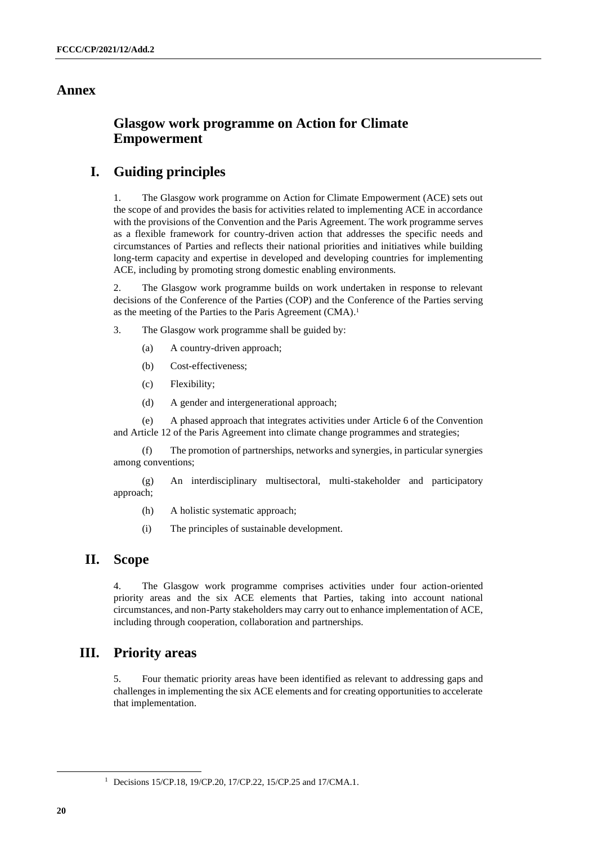#### **Annex**

## **Glasgow work programme on Action for Climate Empowerment**

## **I. Guiding principles**

1. The Glasgow work programme on Action for Climate Empowerment (ACE) sets out the scope of and provides the basis for activities related to implementing ACE in accordance with the provisions of the Convention and the Paris Agreement. The work programme serves as a flexible framework for country-driven action that addresses the specific needs and circumstances of Parties and reflects their national priorities and initiatives while building long-term capacity and expertise in developed and developing countries for implementing ACE, including by promoting strong domestic enabling environments.

2. The Glasgow work programme builds on work undertaken in response to relevant decisions of the Conference of the Parties (COP) and the Conference of the Parties serving as the meeting of the Parties to the Paris Agreement (CMA).<sup>1</sup>

3. The Glasgow work programme shall be guided by:

- (a) A country-driven approach;
- (b) Cost-effectiveness;
- (c) Flexibility;
- (d) A gender and intergenerational approach;

(e) A phased approach that integrates activities under Article 6 of the Convention and Article 12 of the Paris Agreement into climate change programmes and strategies;

(f) The promotion of partnerships, networks and synergies, in particular synergies among conventions;

(g) An interdisciplinary multisectoral, multi-stakeholder and participatory approach;

(h) A holistic systematic approach;

(i) The principles of sustainable development.

### **II. Scope**

4. The Glasgow work programme comprises activities under four action-oriented priority areas and the six ACE elements that Parties, taking into account national circumstances, and non-Party stakeholders may carry out to enhance implementation of ACE, including through cooperation, collaboration and partnerships.

## **III. Priority areas**

5. Four thematic priority areas have been identified as relevant to addressing gaps and challenges in implementing the six ACE elements and for creating opportunities to accelerate that implementation.

<sup>&</sup>lt;sup>1</sup> Decisions 15/CP.18, 19/CP.20, 17/CP.22, 15/CP.25 and 17/CMA.1.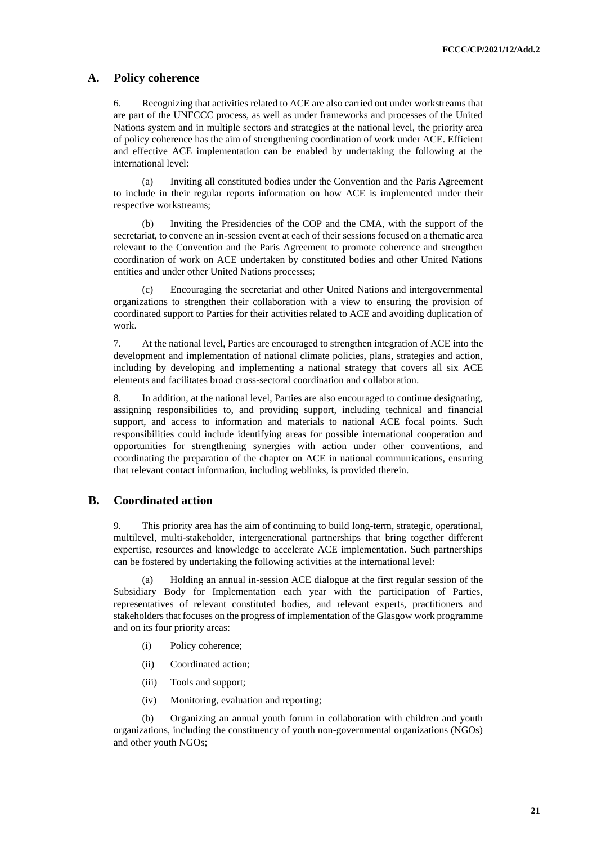#### **A. Policy coherence**

6. Recognizing that activities related to ACE are also carried out under workstreams that are part of the UNFCCC process, as well as under frameworks and processes of the United Nations system and in multiple sectors and strategies at the national level, the priority area of policy coherence has the aim of strengthening coordination of work under ACE. Efficient and effective ACE implementation can be enabled by undertaking the following at the international level:

(a) Inviting all constituted bodies under the Convention and the Paris Agreement to include in their regular reports information on how ACE is implemented under their respective workstreams;

(b) Inviting the Presidencies of the COP and the CMA, with the support of the secretariat, to convene an in-session event at each of their sessions focused on a thematic area relevant to the Convention and the Paris Agreement to promote coherence and strengthen coordination of work on ACE undertaken by constituted bodies and other United Nations entities and under other United Nations processes;

Encouraging the secretariat and other United Nations and intergovernmental organizations to strengthen their collaboration with a view to ensuring the provision of coordinated support to Parties for their activities related to ACE and avoiding duplication of work.

7. At the national level, Parties are encouraged to strengthen integration of ACE into the development and implementation of national climate policies, plans, strategies and action, including by developing and implementing a national strategy that covers all six ACE elements and facilitates broad cross-sectoral coordination and collaboration.

8. In addition, at the national level, Parties are also encouraged to continue designating, assigning responsibilities to, and providing support, including technical and financial support, and access to information and materials to national ACE focal points. Such responsibilities could include identifying areas for possible international cooperation and opportunities for strengthening synergies with action under other conventions, and coordinating the preparation of the chapter on ACE in national communications, ensuring that relevant contact information, including weblinks, is provided therein.

### **B. Coordinated action**

9. This priority area has the aim of continuing to build long-term, strategic, operational, multilevel, multi-stakeholder, intergenerational partnerships that bring together different expertise, resources and knowledge to accelerate ACE implementation. Such partnerships can be fostered by undertaking the following activities at the international level:

(a) Holding an annual in-session ACE dialogue at the first regular session of the Subsidiary Body for Implementation each year with the participation of Parties, representatives of relevant constituted bodies, and relevant experts, practitioners and stakeholders that focuses on the progress of implementation of the Glasgow work programme and on its four priority areas:

- (i) Policy coherence;
- (ii) Coordinated action;
- (iii) Tools and support;
- (iv) Monitoring, evaluation and reporting;

(b) Organizing an annual youth forum in collaboration with children and youth organizations, including the constituency of youth non-governmental organizations (NGOs) and other youth NGOs;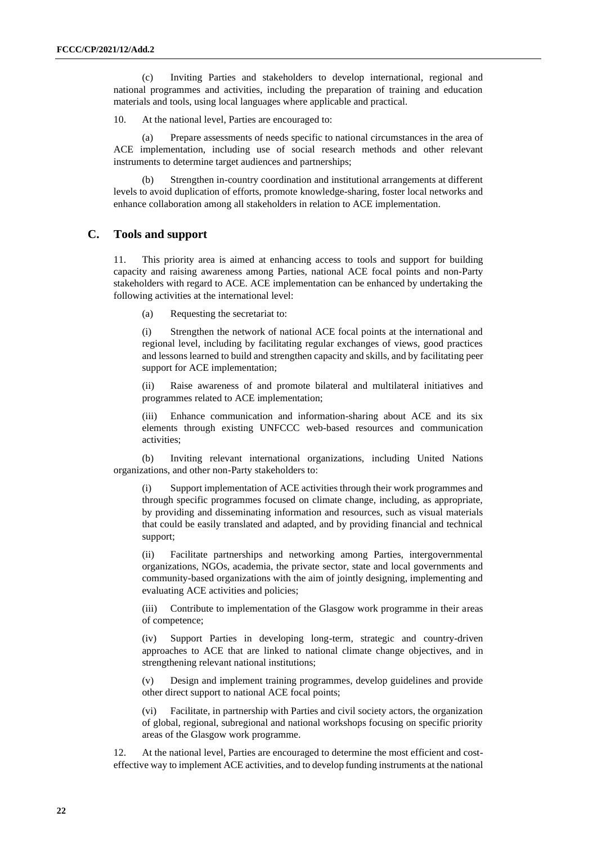(c) Inviting Parties and stakeholders to develop international, regional and national programmes and activities, including the preparation of training and education materials and tools, using local languages where applicable and practical.

10. At the national level, Parties are encouraged to:

Prepare assessments of needs specific to national circumstances in the area of ACE implementation, including use of social research methods and other relevant instruments to determine target audiences and partnerships;

(b) Strengthen in-country coordination and institutional arrangements at different levels to avoid duplication of efforts, promote knowledge-sharing, foster local networks and enhance collaboration among all stakeholders in relation to ACE implementation.

#### **C. Tools and support**

11. This priority area is aimed at enhancing access to tools and support for building capacity and raising awareness among Parties, national ACE focal points and non-Party stakeholders with regard to ACE. ACE implementation can be enhanced by undertaking the following activities at the international level:

(a) Requesting the secretariat to:

(i) Strengthen the network of national ACE focal points at the international and regional level, including by facilitating regular exchanges of views, good practices and lessons learned to build and strengthen capacity and skills, and by facilitating peer support for ACE implementation;

(ii) Raise awareness of and promote bilateral and multilateral initiatives and programmes related to ACE implementation;

(iii) Enhance communication and information-sharing about ACE and its six elements through existing UNFCCC web-based resources and communication activities;

(b) Inviting relevant international organizations, including United Nations organizations, and other non-Party stakeholders to:

(i) Support implementation of ACE activities through their work programmes and through specific programmes focused on climate change, including, as appropriate, by providing and disseminating information and resources, such as visual materials that could be easily translated and adapted, and by providing financial and technical support;

(ii) Facilitate partnerships and networking among Parties, intergovernmental organizations, NGOs, academia, the private sector, state and local governments and community-based organizations with the aim of jointly designing, implementing and evaluating ACE activities and policies;

(iii) Contribute to implementation of the Glasgow work programme in their areas of competence;

(iv) Support Parties in developing long-term, strategic and country-driven approaches to ACE that are linked to national climate change objectives, and in strengthening relevant national institutions;

(v) Design and implement training programmes, develop guidelines and provide other direct support to national ACE focal points;

(vi) Facilitate, in partnership with Parties and civil society actors, the organization of global, regional, subregional and national workshops focusing on specific priority areas of the Glasgow work programme.

12. At the national level, Parties are encouraged to determine the most efficient and costeffective way to implement ACE activities, and to develop funding instruments at the national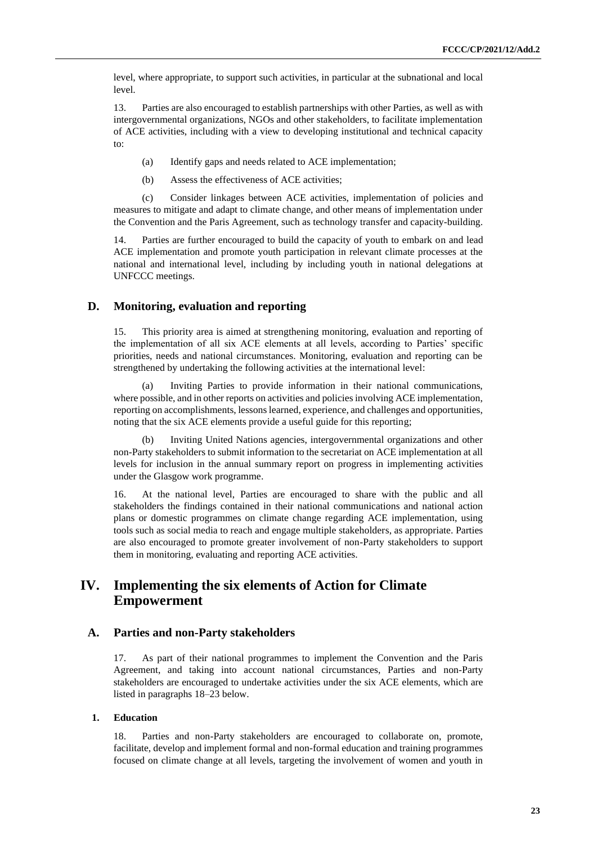level, where appropriate, to support such activities, in particular at the subnational and local level.

13. Parties are also encouraged to establish partnerships with other Parties, as well as with intergovernmental organizations, NGOs and other stakeholders, to facilitate implementation of ACE activities, including with a view to developing institutional and technical capacity to:

- (a) Identify gaps and needs related to ACE implementation;
- (b) Assess the effectiveness of ACE activities;

(c) Consider linkages between ACE activities, implementation of policies and measures to mitigate and adapt to climate change, and other means of implementation under the Convention and the Paris Agreement, such as technology transfer and capacity-building.

14. Parties are further encouraged to build the capacity of youth to embark on and lead ACE implementation and promote youth participation in relevant climate processes at the national and international level, including by including youth in national delegations at UNFCCC meetings.

#### **D. Monitoring, evaluation and reporting**

15. This priority area is aimed at strengthening monitoring, evaluation and reporting of the implementation of all six ACE elements at all levels, according to Parties' specific priorities, needs and national circumstances. Monitoring, evaluation and reporting can be strengthened by undertaking the following activities at the international level:

(a) Inviting Parties to provide information in their national communications, where possible, and in other reports on activities and policies involving ACE implementation, reporting on accomplishments, lessons learned, experience, and challenges and opportunities, noting that the six ACE elements provide a useful guide for this reporting;

(b) Inviting United Nations agencies, intergovernmental organizations and other non-Party stakeholders to submit information to the secretariat on ACE implementation at all levels for inclusion in the annual summary report on progress in implementing activities under the Glasgow work programme.

16. At the national level, Parties are encouraged to share with the public and all stakeholders the findings contained in their national communications and national action plans or domestic programmes on climate change regarding ACE implementation, using tools such as social media to reach and engage multiple stakeholders, as appropriate. Parties are also encouraged to promote greater involvement of non-Party stakeholders to support them in monitoring, evaluating and reporting ACE activities.

## **IV. Implementing the six elements of Action for Climate Empowerment**

#### **A. Parties and non-Party stakeholders**

17. As part of their national programmes to implement the Convention and the Paris Agreement, and taking into account national circumstances, Parties and non-Party stakeholders are encouraged to undertake activities under the six ACE elements, which are listed in paragraphs 18–23 below.

#### **1. Education**

18. Parties and non-Party stakeholders are encouraged to collaborate on, promote, facilitate, develop and implement formal and non-formal education and training programmes focused on climate change at all levels, targeting the involvement of women and youth in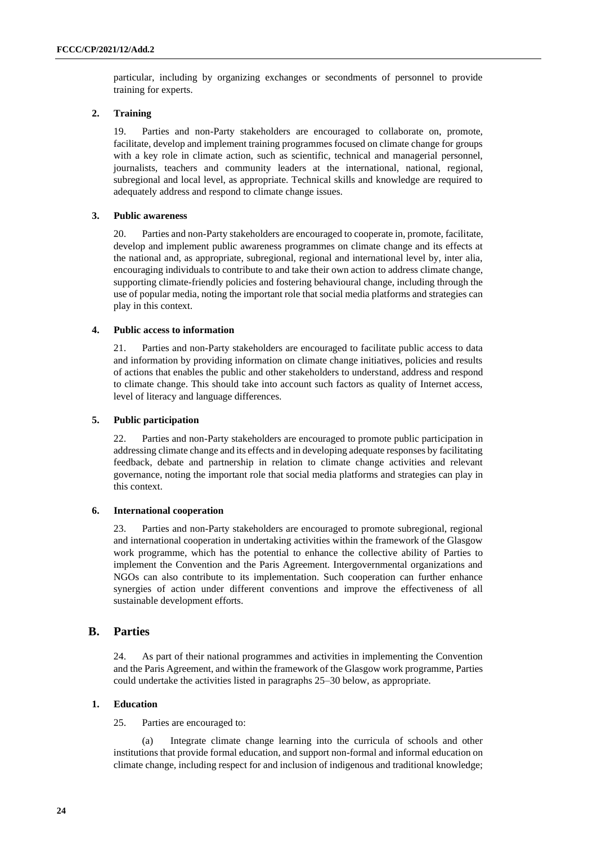particular, including by organizing exchanges or secondments of personnel to provide training for experts.

#### **2. Training**

19. Parties and non-Party stakeholders are encouraged to collaborate on, promote, facilitate, develop and implement training programmes focused on climate change for groups with a key role in climate action, such as scientific, technical and managerial personnel, journalists, teachers and community leaders at the international, national, regional, subregional and local level, as appropriate. Technical skills and knowledge are required to adequately address and respond to climate change issues.

#### **3. Public awareness**

20. Parties and non-Party stakeholders are encouraged to cooperate in, promote, facilitate, develop and implement public awareness programmes on climate change and its effects at the national and, as appropriate, subregional, regional and international level by, inter alia, encouraging individuals to contribute to and take their own action to address climate change, supporting climate-friendly policies and fostering behavioural change, including through the use of popular media, noting the important role that social media platforms and strategies can play in this context.

#### **4. Public access to information**

21. Parties and non-Party stakeholders are encouraged to facilitate public access to data and information by providing information on climate change initiatives, policies and results of actions that enables the public and other stakeholders to understand, address and respond to climate change. This should take into account such factors as quality of Internet access, level of literacy and language differences.

#### **5. Public participation**

22. Parties and non-Party stakeholders are encouraged to promote public participation in addressing climate change and its effects and in developing adequate responses by facilitating feedback, debate and partnership in relation to climate change activities and relevant governance, noting the important role that social media platforms and strategies can play in this context.

#### **6. International cooperation**

23. Parties and non-Party stakeholders are encouraged to promote subregional, regional and international cooperation in undertaking activities within the framework of the Glasgow work programme, which has the potential to enhance the collective ability of Parties to implement the Convention and the Paris Agreement. Intergovernmental organizations and NGOs can also contribute to its implementation. Such cooperation can further enhance synergies of action under different conventions and improve the effectiveness of all sustainable development efforts.

#### **B. Parties**

24. As part of their national programmes and activities in implementing the Convention and the Paris Agreement, and within the framework of the Glasgow work programme, Parties could undertake the activities listed in paragraphs 25–30 below, as appropriate.

#### **1. Education**

25. Parties are encouraged to:

(a) Integrate climate change learning into the curricula of schools and other institutions that provide formal education, and support non-formal and informal education on climate change, including respect for and inclusion of indigenous and traditional knowledge;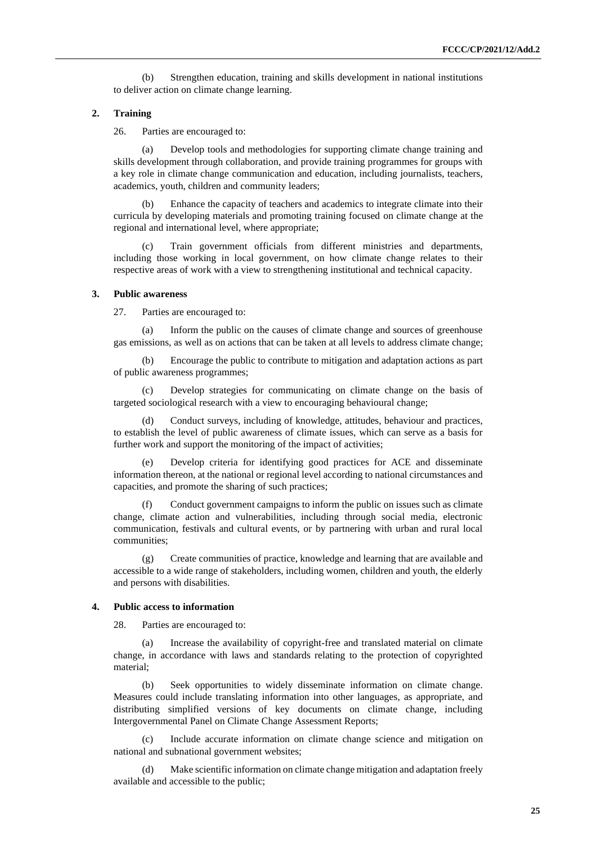(b) Strengthen education, training and skills development in national institutions to deliver action on climate change learning.

#### **2. Training**

26. Parties are encouraged to:

(a) Develop tools and methodologies for supporting climate change training and skills development through collaboration, and provide training programmes for groups with a key role in climate change communication and education, including journalists, teachers, academics, youth, children and community leaders;

(b) Enhance the capacity of teachers and academics to integrate climate into their curricula by developing materials and promoting training focused on climate change at the regional and international level, where appropriate;

Train government officials from different ministries and departments, including those working in local government, on how climate change relates to their respective areas of work with a view to strengthening institutional and technical capacity.

#### **3. Public awareness**

27. Parties are encouraged to:

Inform the public on the causes of climate change and sources of greenhouse gas emissions, as well as on actions that can be taken at all levels to address climate change;

(b) Encourage the public to contribute to mitigation and adaptation actions as part of public awareness programmes;

Develop strategies for communicating on climate change on the basis of targeted sociological research with a view to encouraging behavioural change;

Conduct surveys, including of knowledge, attitudes, behaviour and practices, to establish the level of public awareness of climate issues, which can serve as a basis for further work and support the monitoring of the impact of activities;

(e) Develop criteria for identifying good practices for ACE and disseminate information thereon, at the national or regional level according to national circumstances and capacities, and promote the sharing of such practices;

Conduct government campaigns to inform the public on issues such as climate change, climate action and vulnerabilities, including through social media, electronic communication, festivals and cultural events, or by partnering with urban and rural local communities;

(g) Create communities of practice, knowledge and learning that are available and accessible to a wide range of stakeholders, including women, children and youth, the elderly and persons with disabilities.

#### **4. Public access to information**

28. Parties are encouraged to:

(a) Increase the availability of copyright-free and translated material on climate change, in accordance with laws and standards relating to the protection of copyrighted material;

(b) Seek opportunities to widely disseminate information on climate change. Measures could include translating information into other languages, as appropriate, and distributing simplified versions of key documents on climate change, including Intergovernmental Panel on Climate Change Assessment Reports;

Include accurate information on climate change science and mitigation on national and subnational government websites;

(d) Make scientific information on climate change mitigation and adaptation freely available and accessible to the public;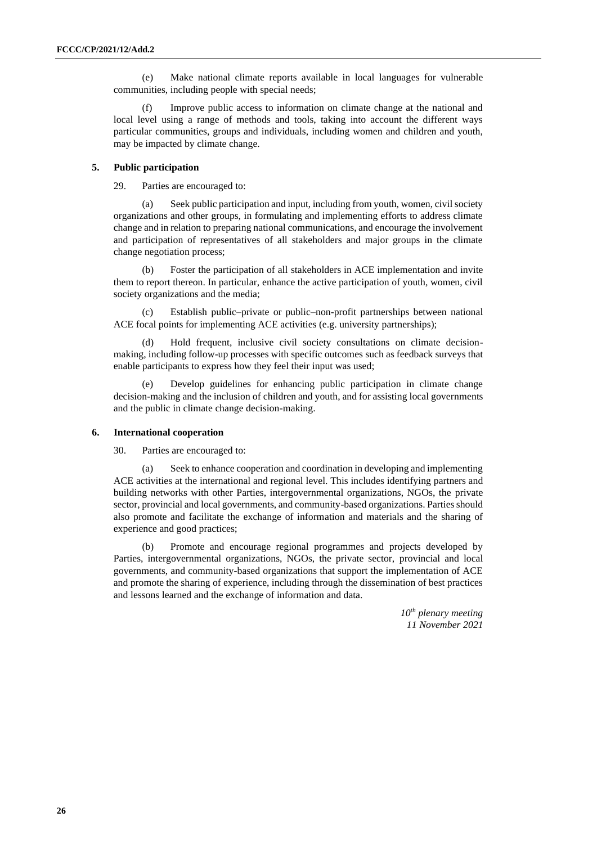(e) Make national climate reports available in local languages for vulnerable communities, including people with special needs;

(f) Improve public access to information on climate change at the national and local level using a range of methods and tools, taking into account the different ways particular communities, groups and individuals, including women and children and youth, may be impacted by climate change.

#### **5. Public participation**

29. Parties are encouraged to:

(a) Seek public participation and input, including from youth, women, civil society organizations and other groups, in formulating and implementing efforts to address climate change and in relation to preparing national communications, and encourage the involvement and participation of representatives of all stakeholders and major groups in the climate change negotiation process;

(b) Foster the participation of all stakeholders in ACE implementation and invite them to report thereon. In particular, enhance the active participation of youth, women, civil society organizations and the media;

Establish public–private or public–non-profit partnerships between national ACE focal points for implementing ACE activities (e.g. university partnerships);

(d) Hold frequent, inclusive civil society consultations on climate decisionmaking, including follow-up processes with specific outcomes such as feedback surveys that enable participants to express how they feel their input was used;

(e) Develop guidelines for enhancing public participation in climate change decision-making and the inclusion of children and youth, and for assisting local governments and the public in climate change decision-making.

#### **6. International cooperation**

30. Parties are encouraged to:

Seek to enhance cooperation and coordination in developing and implementing ACE activities at the international and regional level. This includes identifying partners and building networks with other Parties, intergovernmental organizations, NGOs, the private sector, provincial and local governments, and community-based organizations. Parties should also promote and facilitate the exchange of information and materials and the sharing of experience and good practices;

(b) Promote and encourage regional programmes and projects developed by Parties, intergovernmental organizations, NGOs, the private sector, provincial and local governments, and community-based organizations that support the implementation of ACE and promote the sharing of experience, including through the dissemination of best practices and lessons learned and the exchange of information and data.

> *10th plenary meeting 11 November 2021*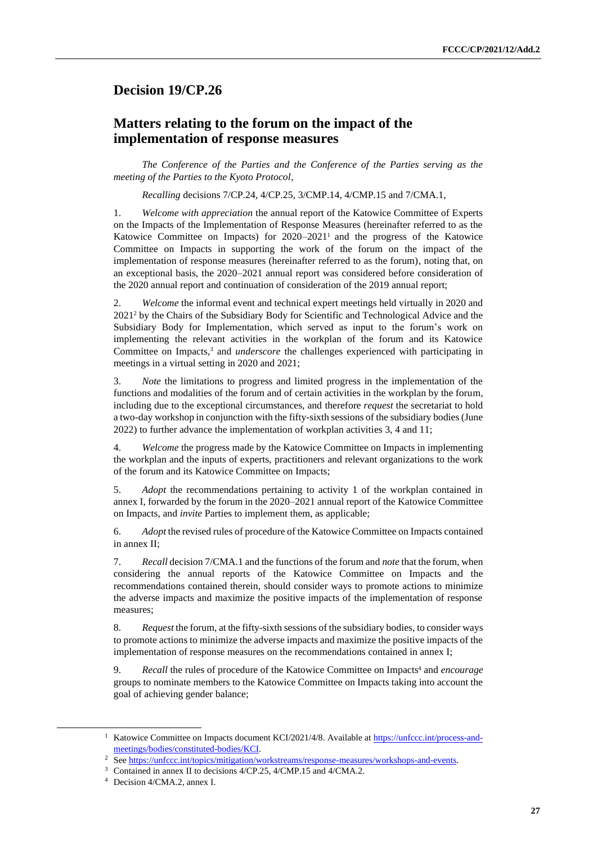## <span id="page-26-0"></span>**Decision 19/CP.26**

## **Matters relating to the forum on the impact of the implementation of response measures**

*The Conference of the Parties and the Conference of the Parties serving as the meeting of the Parties to the Kyoto Protocol*,

*Recalling* decisions 7/CP.24, 4/CP.25, 3/CMP.14, 4/CMP.15 and 7/CMA.1,

1. *Welcome with appreciation* the annual report of the Katowice Committee of Experts on the Impacts of the Implementation of Response Measures (hereinafter referred to as the Katowice Committee on Impacts) for 2020–2021<sup>1</sup> and the progress of the Katowice Committee on Impacts in supporting the work of the forum on the impact of the implementation of response measures (hereinafter referred to as the forum), noting that, on an exceptional basis, the 2020–2021 annual report was considered before consideration of the 2020 annual report and continuation of consideration of the 2019 annual report;

2. *Welcome* the informal event and technical expert meetings held virtually in 2020 and 2021<sup>2</sup> by the Chairs of the Subsidiary Body for Scientific and Technological Advice and the Subsidiary Body for Implementation, which served as input to the forum's work on implementing the relevant activities in the workplan of the forum and its Katowice Committee on Impacts, <sup>3</sup> and *underscore* the challenges experienced with participating in meetings in a virtual setting in 2020 and 2021;

3. *Note* the limitations to progress and limited progress in the implementation of the functions and modalities of the forum and of certain activities in the workplan by the forum, including due to the exceptional circumstances, and therefore *request* the secretariat to hold a two-day workshop in conjunction with the fifty-sixth sessions of the subsidiary bodies (June 2022) to further advance the implementation of workplan activities 3, 4 and 11;

4. *Welcome* the progress made by the Katowice Committee on Impacts in implementing the workplan and the inputs of experts, practitioners and relevant organizations to the work of the forum and its Katowice Committee on Impacts;

5. *Adopt* the recommendations pertaining to activity 1 of the workplan contained in annex I, forwarded by the forum in the 2020–2021 annual report of the Katowice Committee on Impacts, and *invite* Parties to implement them, as applicable;

6. *Adopt* the revised rules of procedure of the Katowice Committee on Impacts contained in annex II;

7. *Recall* decision 7/CMA.1 and the functions of the forum and *note* that the forum, when considering the annual reports of the Katowice Committee on Impacts and the recommendations contained therein, should consider ways to promote actions to minimize the adverse impacts and maximize the positive impacts of the implementation of response measures;

8. *Request* the forum, at the fifty-sixth sessions of the subsidiary bodies, to consider ways to promote actions to minimize the adverse impacts and maximize the positive impacts of the implementation of response measures on the recommendations contained in annex I;

9. *Recall* the rules of procedure of the Katowice Committee on Impacts<sup>4</sup> and *encourage* groups to nominate members to the Katowice Committee on Impacts taking into account the goal of achieving gender balance;

<sup>&</sup>lt;sup>1</sup> Katowice Committee on Impacts document KCI/2021/4/8. Available a[t https://unfccc.int/process-and](https://unfccc.int/process-and-meetings/bodies/constituted-bodies/KCI)[meetings/bodies/constituted-bodies/KCI.](https://unfccc.int/process-and-meetings/bodies/constituted-bodies/KCI)

<sup>&</sup>lt;sup>2</sup> Se[e https://unfccc.int/topics/mitigation/workstreams/response-measures/workshops-and-events.](https://unfccc.int/topics/mitigation/workstreams/response-measures/workshops-and-events)

<sup>&</sup>lt;sup>3</sup> Contained in annex II to decisions 4/CP.25, 4/CMP.15 and 4/CMA.2.

<sup>4</sup> Decision 4/CMA.2, annex I.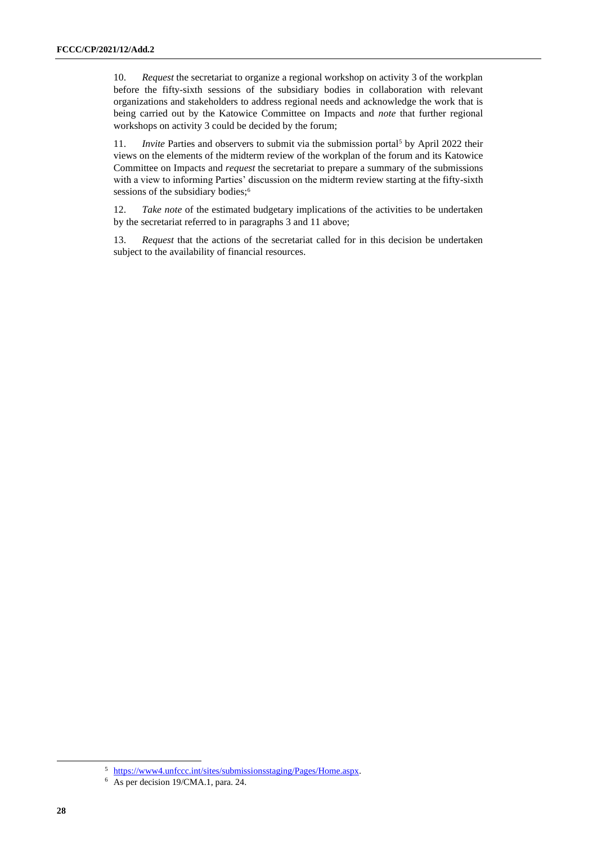10. *Request* the secretariat to organize a regional workshop on activity 3 of the workplan before the fifty-sixth sessions of the subsidiary bodies in collaboration with relevant organizations and stakeholders to address regional needs and acknowledge the work that is being carried out by the Katowice Committee on Impacts and *note* that further regional workshops on activity 3 could be decided by the forum;

11. *Invite* Parties and observers to submit via the submission portal<sup>5</sup> by April 2022 their views on the elements of the midterm review of the workplan of the forum and its Katowice Committee on Impacts and *request* the secretariat to prepare a summary of the submissions with a view to informing Parties' discussion on the midterm review starting at the fifty-sixth sessions of the subsidiary bodies;<sup>6</sup>

12. *Take note* of the estimated budgetary implications of the activities to be undertaken by the secretariat referred to in paragraphs 3 and 11 above;

13. *Request* that the actions of the secretariat called for in this decision be undertaken subject to the availability of financial resources.

<sup>5</sup> [https://www4.unfccc.int/sites/submissionsstaging/Pages/Home.aspx.](https://www4.unfccc.int/sites/submissionsstaging/Pages/Home.aspx)

<sup>6</sup> As per decision 19/CMA.1, para. 24.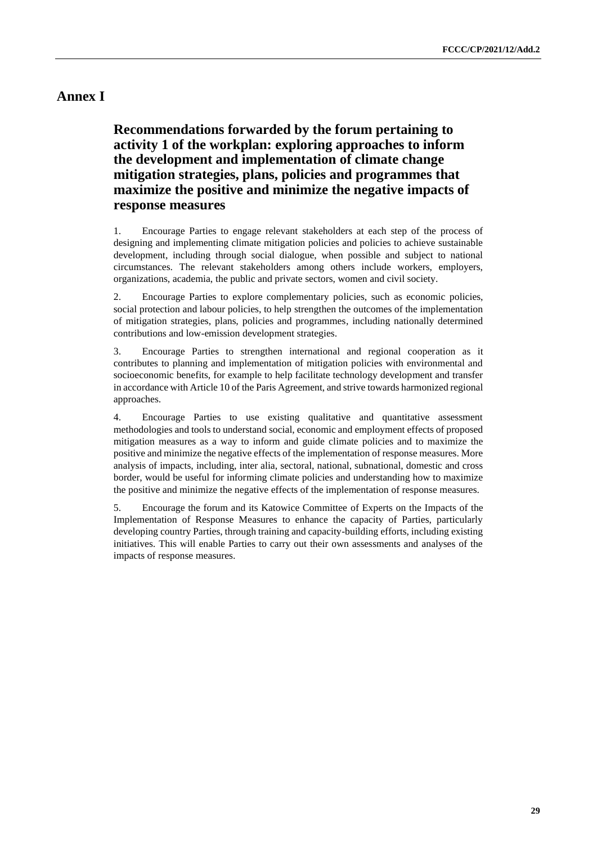## **Annex I**

**Recommendations forwarded by the forum pertaining to activity 1 of the workplan: exploring approaches to inform the development and implementation of climate change mitigation strategies, plans, policies and programmes that maximize the positive and minimize the negative impacts of response measures**

1. Encourage Parties to engage relevant stakeholders at each step of the process of designing and implementing climate mitigation policies and policies to achieve sustainable development, including through social dialogue, when possible and subject to national circumstances. The relevant stakeholders among others include workers, employers, organizations, academia, the public and private sectors, women and civil society.

2. Encourage Parties to explore complementary policies, such as economic policies, social protection and labour policies, to help strengthen the outcomes of the implementation of mitigation strategies, plans, policies and programmes, including nationally determined contributions and low-emission development strategies.

3. Encourage Parties to strengthen international and regional cooperation as it contributes to planning and implementation of mitigation policies with environmental and socioeconomic benefits, for example to help facilitate technology development and transfer in accordance with Article 10 of the Paris Agreement, and strive towards harmonized regional approaches.

4. Encourage Parties to use existing qualitative and quantitative assessment methodologies and tools to understand social, economic and employment effects of proposed mitigation measures as a way to inform and guide climate policies and to maximize the positive and minimize the negative effects of the implementation of response measures. More analysis of impacts, including, inter alia, sectoral, national, subnational, domestic and cross border, would be useful for informing climate policies and understanding how to maximize the positive and minimize the negative effects of the implementation of response measures.

5. Encourage the forum and its Katowice Committee of Experts on the Impacts of the Implementation of Response Measures to enhance the capacity of Parties, particularly developing country Parties, through training and capacity-building efforts, including existing initiatives. This will enable Parties to carry out their own assessments and analyses of the impacts of response measures.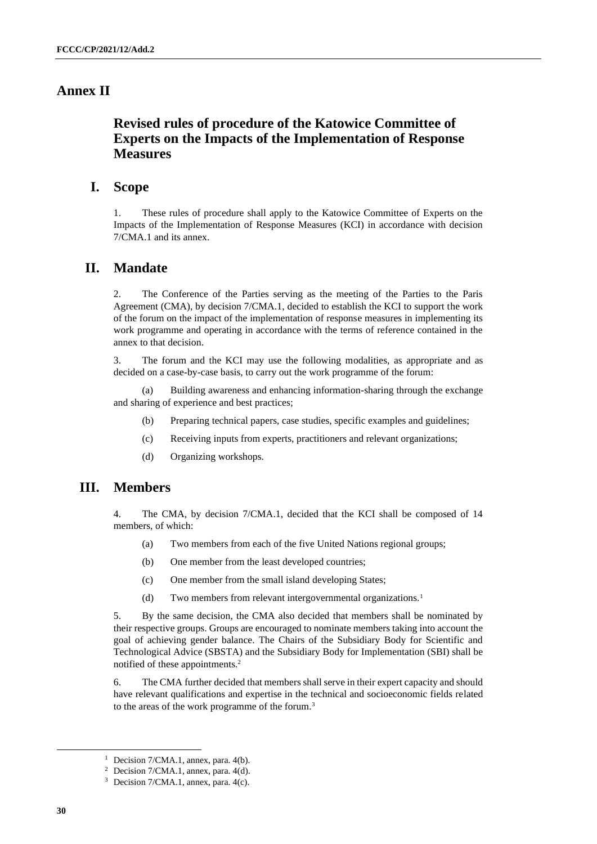### **Annex II**

## **Revised rules of procedure of the Katowice Committee of Experts on the Impacts of the Implementation of Response Measures**

### **I. Scope**

1. These rules of procedure shall apply to the Katowice Committee of Experts on the Impacts of the Implementation of Response Measures (KCI) in accordance with decision 7/CMA.1 and its annex.

#### **II. Mandate**

2. The Conference of the Parties serving as the meeting of the Parties to the Paris Agreement (CMA), by decision 7/CMA.1, decided to establish the KCI to support the work of the forum on the impact of the implementation of response measures in implementing its work programme and operating in accordance with the terms of reference contained in the annex to that decision.

3. The forum and the KCI may use the following modalities, as appropriate and as decided on a case-by-case basis, to carry out the work programme of the forum:

(a) Building awareness and enhancing information-sharing through the exchange and sharing of experience and best practices;

- (b) Preparing technical papers, case studies, specific examples and guidelines;
- (c) Receiving inputs from experts, practitioners and relevant organizations;
- (d) Organizing workshops.

### **III. Members**

4. The CMA, by decision 7/CMA.1, decided that the KCI shall be composed of 14 members, of which:

- (a) Two members from each of the five United Nations regional groups;
- (b) One member from the least developed countries;
- (c) One member from the small island developing States;
- (d) Two members from relevant intergovernmental organizations.<sup>1</sup>

5. By the same decision, the CMA also decided that members shall be nominated by their respective groups. Groups are encouraged to nominate members taking into account the goal of achieving gender balance. The Chairs of the Subsidiary Body for Scientific and Technological Advice (SBSTA) and the Subsidiary Body for Implementation (SBI) shall be notified of these appointments.<sup>2</sup>

6. The CMA further decided that members shall serve in their expert capacity and should have relevant qualifications and expertise in the technical and socioeconomic fields related to the areas of the work programme of the forum.<sup>3</sup>

<sup>&</sup>lt;sup>1</sup> Decision  $7/CMA.1$ , annex, para.  $4(b)$ .

<sup>&</sup>lt;sup>2</sup> Decision 7/CMA.1, annex, para.  $4(d)$ .

<sup>3</sup> Decision 7/CMA.1, annex, para. 4(c).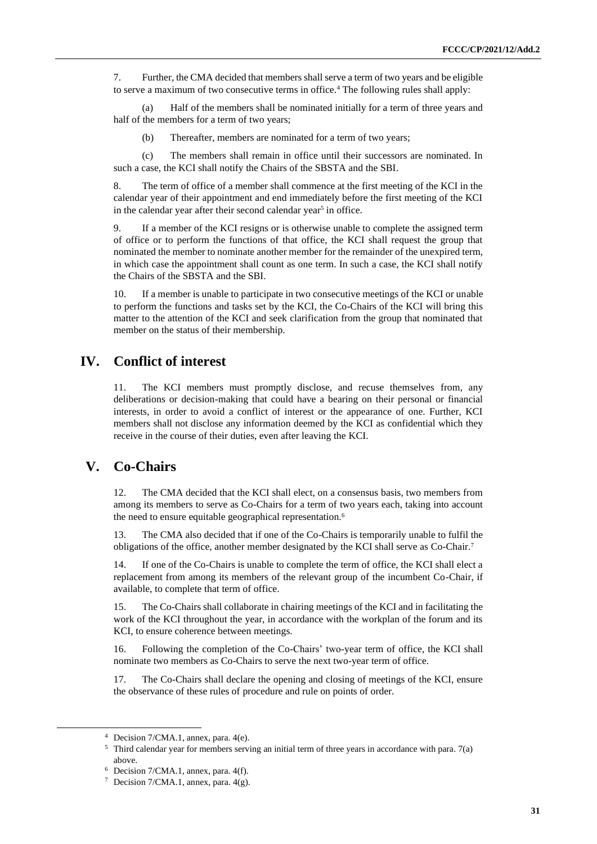7. Further, the CMA decided that members shall serve a term of two years and be eligible to serve a maximum of two consecutive terms in office.<sup>4</sup> The following rules shall apply:

(a) Half of the members shall be nominated initially for a term of three years and half of the members for a term of two years;

(b) Thereafter, members are nominated for a term of two years;

(c) The members shall remain in office until their successors are nominated. In such a case, the KCI shall notify the Chairs of the SBSTA and the SBI.

8. The term of office of a member shall commence at the first meeting of the KCI in the calendar year of their appointment and end immediately before the first meeting of the KCI in the calendar year after their second calendar year<sup>5</sup> in office.

9. If a member of the KCI resigns or is otherwise unable to complete the assigned term of office or to perform the functions of that office, the KCI shall request the group that nominated the member to nominate another member for the remainder of the unexpired term, in which case the appointment shall count as one term. In such a case, the KCI shall notify the Chairs of the SBSTA and the SBI.

10. If a member is unable to participate in two consecutive meetings of the KCI or unable to perform the functions and tasks set by the KCI, the Co-Chairs of the KCI will bring this matter to the attention of the KCI and seek clarification from the group that nominated that member on the status of their membership.

### **IV. Conflict of interest**

11. The KCI members must promptly disclose, and recuse themselves from, any deliberations or decision-making that could have a bearing on their personal or financial interests, in order to avoid a conflict of interest or the appearance of one. Further, KCI members shall not disclose any information deemed by the KCI as confidential which they receive in the course of their duties, even after leaving the KCI.

## **V. Co-Chairs**

12. The CMA decided that the KCI shall elect, on a consensus basis, two members from among its members to serve as Co-Chairs for a term of two years each, taking into account the need to ensure equitable geographical representation.<sup>6</sup>

13. The CMA also decided that if one of the Co-Chairs is temporarily unable to fulfil the obligations of the office, another member designated by the KCI shall serve as Co-Chair.<sup>7</sup>

14. If one of the Co-Chairs is unable to complete the term of office, the KCI shall elect a replacement from among its members of the relevant group of the incumbent Co-Chair, if available, to complete that term of office.

15. The Co-Chairs shall collaborate in chairing meetings of the KCI and in facilitating the work of the KCI throughout the year, in accordance with the workplan of the forum and its KCI, to ensure coherence between meetings.

16. Following the completion of the Co-Chairs' two-year term of office, the KCI shall nominate two members as Co-Chairs to serve the next two-year term of office.

17. The Co-Chairs shall declare the opening and closing of meetings of the KCI, ensure the observance of these rules of procedure and rule on points of order.

<sup>4</sup> Decision 7/CMA.1, annex, para. 4(e).

<sup>5</sup> Third calendar year for members serving an initial term of three years in accordance with para. 7(a) above.

 $6$  Decision 7/CMA.1, annex, para. 4(f).

<sup>7</sup> Decision 7/CMA.1, annex, para. 4(g).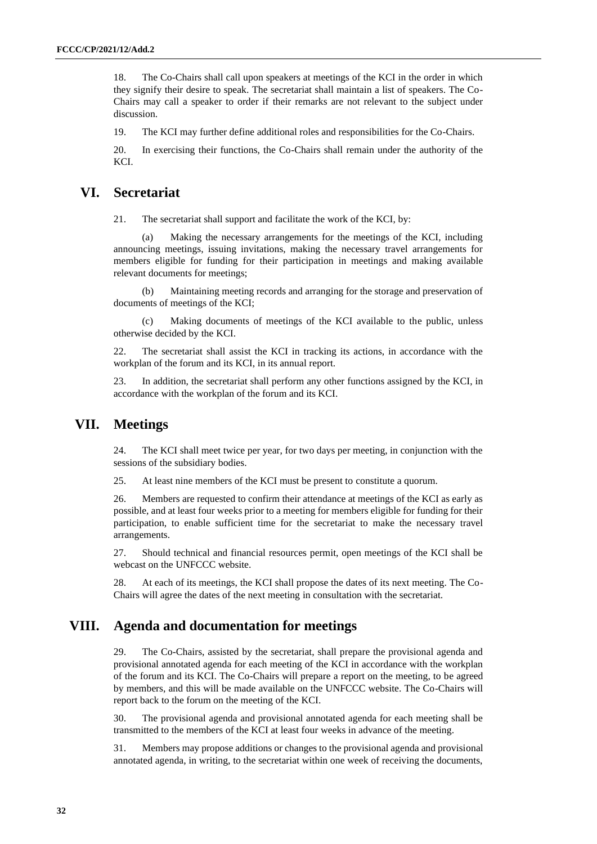18. The Co-Chairs shall call upon speakers at meetings of the KCI in the order in which they signify their desire to speak. The secretariat shall maintain a list of speakers. The Co-Chairs may call a speaker to order if their remarks are not relevant to the subject under discussion.

19. The KCI may further define additional roles and responsibilities for the Co-Chairs.

20. In exercising their functions, the Co-Chairs shall remain under the authority of the KCI.

## **VI. Secretariat**

21. The secretariat shall support and facilitate the work of the KCI, by:

(a) Making the necessary arrangements for the meetings of the KCI, including announcing meetings, issuing invitations, making the necessary travel arrangements for members eligible for funding for their participation in meetings and making available relevant documents for meetings;

(b) Maintaining meeting records and arranging for the storage and preservation of documents of meetings of the KCI;

(c) Making documents of meetings of the KCI available to the public, unless otherwise decided by the KCI.

22. The secretariat shall assist the KCI in tracking its actions, in accordance with the workplan of the forum and its KCI, in its annual report.

23. In addition, the secretariat shall perform any other functions assigned by the KCI, in accordance with the workplan of the forum and its KCI.

### **VII. Meetings**

24. The KCI shall meet twice per year, for two days per meeting, in conjunction with the sessions of the subsidiary bodies.

25. At least nine members of the KCI must be present to constitute a quorum.

26. Members are requested to confirm their attendance at meetings of the KCI as early as possible, and at least four weeks prior to a meeting for members eligible for funding for their participation, to enable sufficient time for the secretariat to make the necessary travel arrangements.

27. Should technical and financial resources permit, open meetings of the KCI shall be webcast on the UNFCCC website.

28. At each of its meetings, the KCI shall propose the dates of its next meeting. The Co-Chairs will agree the dates of the next meeting in consultation with the secretariat.

## **VIII. Agenda and documentation for meetings**

29. The Co-Chairs, assisted by the secretariat, shall prepare the provisional agenda and provisional annotated agenda for each meeting of the KCI in accordance with the workplan of the forum and its KCI. The Co-Chairs will prepare a report on the meeting, to be agreed by members, and this will be made available on the UNFCCC website. The Co-Chairs will report back to the forum on the meeting of the KCI.

30. The provisional agenda and provisional annotated agenda for each meeting shall be transmitted to the members of the KCI at least four weeks in advance of the meeting.

31. Members may propose additions or changes to the provisional agenda and provisional annotated agenda, in writing, to the secretariat within one week of receiving the documents,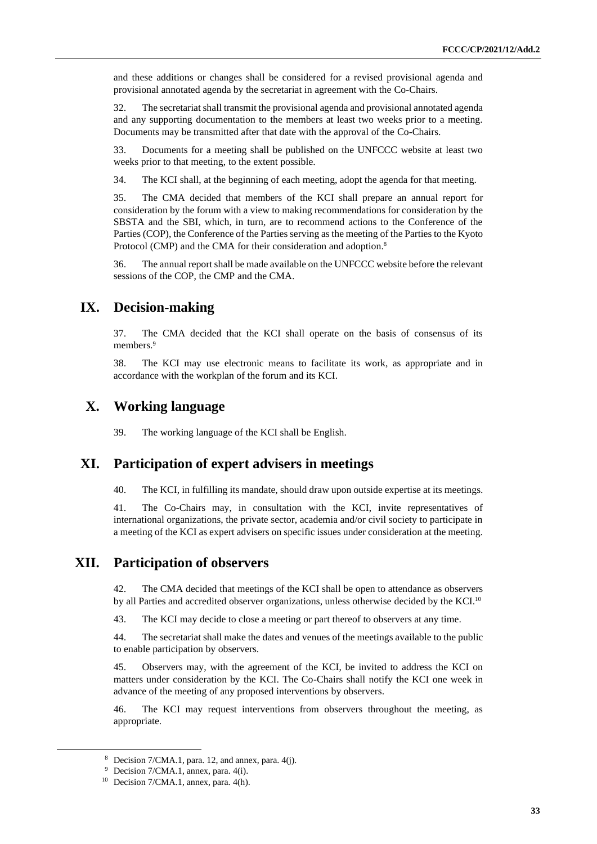and these additions or changes shall be considered for a revised provisional agenda and provisional annotated agenda by the secretariat in agreement with the Co-Chairs.

32. The secretariat shall transmit the provisional agenda and provisional annotated agenda and any supporting documentation to the members at least two weeks prior to a meeting. Documents may be transmitted after that date with the approval of the Co-Chairs.

33. Documents for a meeting shall be published on the UNFCCC website at least two weeks prior to that meeting, to the extent possible.

34. The KCI shall, at the beginning of each meeting, adopt the agenda for that meeting.

35. The CMA decided that members of the KCI shall prepare an annual report for consideration by the forum with a view to making recommendations for consideration by the SBSTA and the SBI, which, in turn, are to recommend actions to the Conference of the Parties (COP), the Conference of the Parties serving as the meeting of the Parties to the Kyoto Protocol (CMP) and the CMA for their consideration and adoption.<sup>8</sup>

36. The annual report shall be made available on the UNFCCC website before the relevant sessions of the COP, the CMP and the CMA.

### **IX. Decision-making**

37. The CMA decided that the KCI shall operate on the basis of consensus of its members.<sup>9</sup>

38. The KCI may use electronic means to facilitate its work, as appropriate and in accordance with the workplan of the forum and its KCI.

### **X. Working language**

39. The working language of the KCI shall be English.

### **XI. Participation of expert advisers in meetings**

40. The KCI, in fulfilling its mandate, should draw upon outside expertise at its meetings.

41. The Co-Chairs may, in consultation with the KCI, invite representatives of international organizations, the private sector, academia and/or civil society to participate in a meeting of the KCI as expert advisers on specific issues under consideration at the meeting.

### **XII. Participation of observers**

42. The CMA decided that meetings of the KCI shall be open to attendance as observers by all Parties and accredited observer organizations, unless otherwise decided by the KCI.<sup>10</sup>

43. The KCI may decide to close a meeting or part thereof to observers at any time.

44. The secretariat shall make the dates and venues of the meetings available to the public to enable participation by observers.

45. Observers may, with the agreement of the KCI, be invited to address the KCI on matters under consideration by the KCI. The Co-Chairs shall notify the KCI one week in advance of the meeting of any proposed interventions by observers.

46. The KCI may request interventions from observers throughout the meeting, as appropriate.

<sup>&</sup>lt;sup>8</sup> Decision  $7/CMA.1$ , para. 12, and annex, para.  $4(i)$ .

<sup>9</sup> Decision 7/CMA.1, annex, para. 4(i).

 $10$  Decision 7/CMA.1, annex, para. 4(h).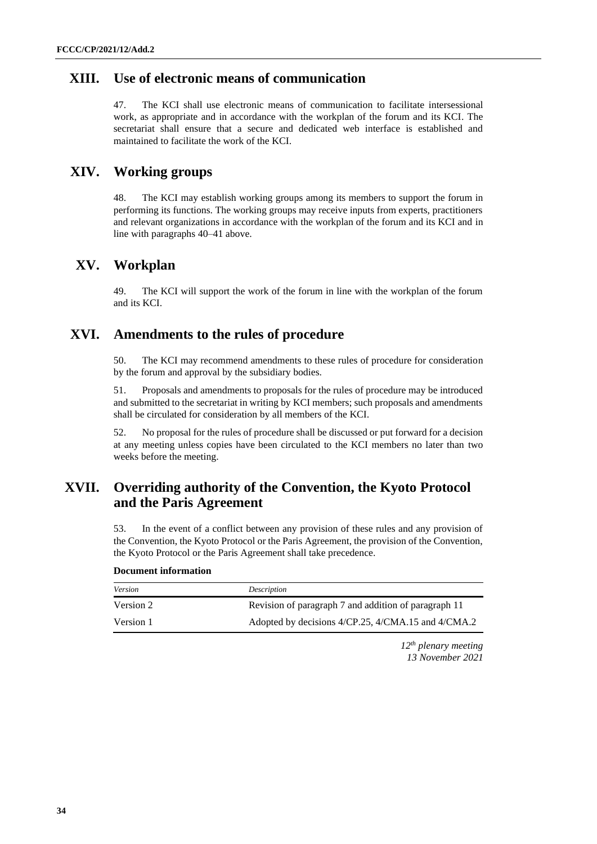## **XIII. Use of electronic means of communication**

47. The KCI shall use electronic means of communication to facilitate intersessional work, as appropriate and in accordance with the workplan of the forum and its KCI. The secretariat shall ensure that a secure and dedicated web interface is established and maintained to facilitate the work of the KCI.

## **XIV. Working groups**

48. The KCI may establish working groups among its members to support the forum in performing its functions. The working groups may receive inputs from experts, practitioners and relevant organizations in accordance with the workplan of the forum and its KCI and in line with paragraphs 40–41 above.

## **XV. Workplan**

49. The KCI will support the work of the forum in line with the workplan of the forum and its KCI.

### **XVI. Amendments to the rules of procedure**

50. The KCI may recommend amendments to these rules of procedure for consideration by the forum and approval by the subsidiary bodies.

51. Proposals and amendments to proposals for the rules of procedure may be introduced and submitted to the secretariat in writing by KCI members; such proposals and amendments shall be circulated for consideration by all members of the KCI.

52. No proposal for the rules of procedure shall be discussed or put forward for a decision at any meeting unless copies have been circulated to the KCI members no later than two weeks before the meeting.

## **XVII. Overriding authority of the Convention, the Kyoto Protocol and the Paris Agreement**

53. In the event of a conflict between any provision of these rules and any provision of the Convention, the Kyoto Protocol or the Paris Agreement, the provision of the Convention, the Kyoto Protocol or the Paris Agreement shall take precedence.

#### **Document information**

| Version   | Description                                          |
|-----------|------------------------------------------------------|
| Version 2 | Revision of paragraph 7 and addition of paragraph 11 |
| Version 1 | Adopted by decisions 4/CP.25, 4/CMA.15 and 4/CMA.2   |

*12th plenary meeting 13 November 2021*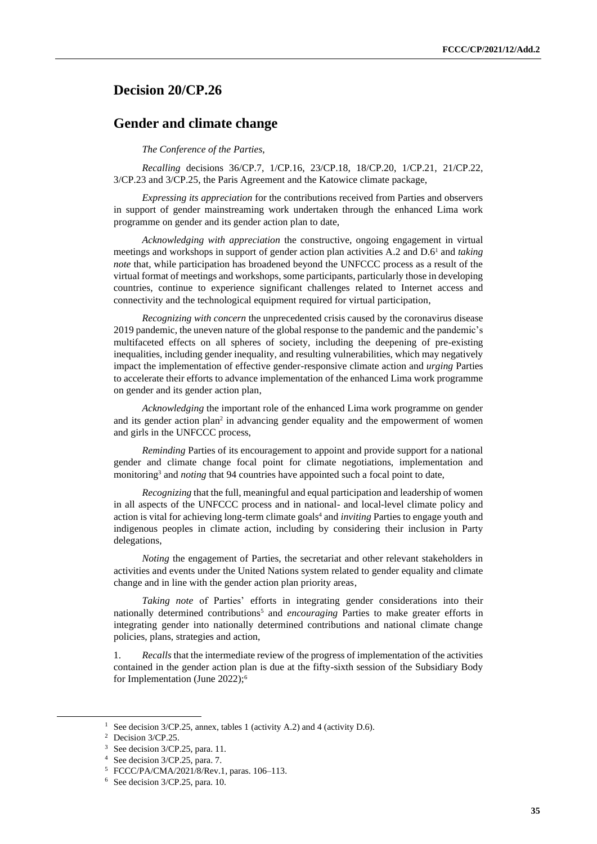### <span id="page-34-0"></span>**Decision 20/CP.26**

#### **Gender and climate change**

*The Conference of the Parties*,

*Recalling* decisions 36/CP.7, 1/CP.16, 23/CP.18, 18/CP.20, 1/CP.21, 21/CP.22, 3/CP.23 and 3/CP.25, the Paris Agreement and the Katowice climate package,

*Expressing its appreciation* for the contributions received from Parties and observers in support of gender mainstreaming work undertaken through the enhanced Lima work programme on gender and its gender action plan to date,

*Acknowledging with appreciation* the constructive, ongoing engagement in virtual meetings and workshops in support of gender action plan activities A.2 and D.6 <sup>1</sup> and *taking note* that, while participation has broadened beyond the UNFCCC process as a result of the virtual format of meetings and workshops, some participants, particularly those in developing countries, continue to experience significant challenges related to Internet access and connectivity and the technological equipment required for virtual participation,

*Recognizing with concern* the unprecedented crisis caused by the coronavirus disease 2019 pandemic, the uneven nature of the global response to the pandemic and the pandemic's multifaceted effects on all spheres of society, including the deepening of pre-existing inequalities, including gender inequality, and resulting vulnerabilities, which may negatively impact the implementation of effective gender-responsive climate action and *urging* Parties to accelerate their efforts to advance implementation of the enhanced Lima work programme on gender and its gender action plan,

*Acknowledging* the important role of the enhanced Lima work programme on gender and its gender action plan<sup>2</sup> in advancing gender equality and the empowerment of women and girls in the UNFCCC process,

*Reminding* Parties of its encouragement to appoint and provide support for a national gender and climate change focal point for climate negotiations, implementation and monitoring<sup>3</sup> and *noting* that 94 countries have appointed such a focal point to date,

*Recognizing* that the full, meaningful and equal participation and leadership of women in all aspects of the UNFCCC process and in national- and local-level climate policy and action is vital for achieving long-term climate goals<sup>4</sup> and *inviting* Parties to engage youth and indigenous peoples in climate action, including by considering their inclusion in Party delegations,

*Noting* the engagement of Parties, the secretariat and other relevant stakeholders in activities and events under the United Nations system related to gender equality and climate change and in line with the gender action plan priority areas,

*Taking note* of Parties' efforts in integrating gender considerations into their nationally determined contributions<sup>5</sup> and *encouraging* Parties to make greater efforts in integrating gender into nationally determined contributions and national climate change policies, plans, strategies and action,

1. *Recalls* that the intermediate review of the progress of implementation of the activities contained in the gender action plan is due at the fifty-sixth session of the Subsidiary Body for Implementation (June 2022);<sup>6</sup>

<sup>&</sup>lt;sup>1</sup> See decision 3/CP.25, annex, tables 1 (activity A.2) and 4 (activity D.6).

<sup>&</sup>lt;sup>2</sup> Decision 3/CP.25.

<sup>&</sup>lt;sup>3</sup> See decision 3/CP.25, para. 11.

<sup>4</sup> See decision 3/CP.25, para. 7.

<sup>5</sup> FCCC/PA/CMA/2021/8/Rev.1, paras. 106–113.

<sup>6</sup> See decision 3/CP.25, para. 10.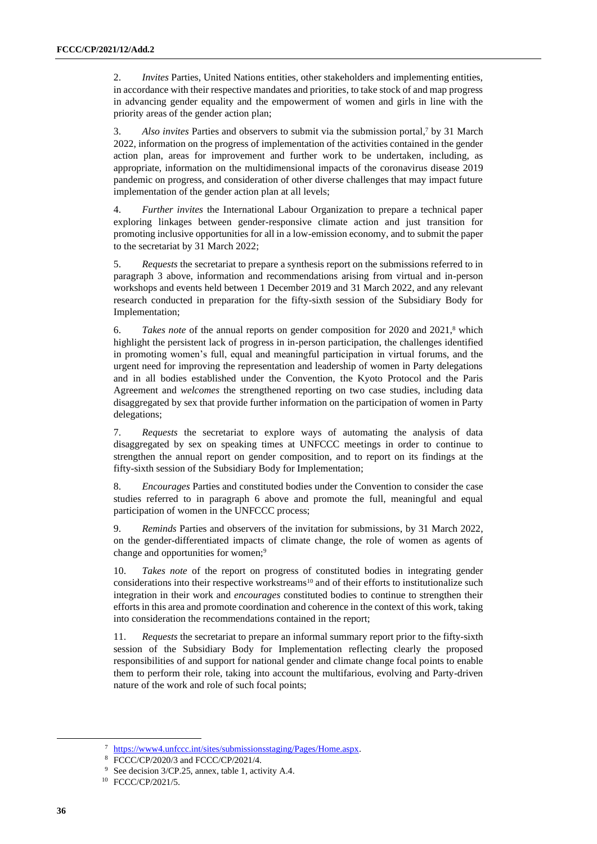2. *Invites* Parties, United Nations entities, other stakeholders and implementing entities, in accordance with their respective mandates and priorities, to take stock of and map progress in advancing gender equality and the empowerment of women and girls in line with the priority areas of the gender action plan;

3. *Also invites* Parties and observers to submit via the submission portal, <sup>7</sup> by 31 March 2022, information on the progress of implementation of the activities contained in the gender action plan, areas for improvement and further work to be undertaken, including, as appropriate, information on the multidimensional impacts of the coronavirus disease 2019 pandemic on progress, and consideration of other diverse challenges that may impact future implementation of the gender action plan at all levels;

4. *Further invites* the International Labour Organization to prepare a technical paper exploring linkages between gender-responsive climate action and just transition for promoting inclusive opportunities for all in a low-emission economy, and to submit the paper to the secretariat by 31 March 2022;

5. *Requests* the secretariat to prepare a synthesis report on the submissions referred to in paragraph 3 above, information and recommendations arising from virtual and in-person workshops and events held between 1 December 2019 and 31 March 2022, and any relevant research conducted in preparation for the fifty-sixth session of the Subsidiary Body for Implementation;

6. *Takes note* of the annual reports on gender composition for 2020 and 2021, <sup>8</sup> which highlight the persistent lack of progress in in-person participation, the challenges identified in promoting women's full, equal and meaningful participation in virtual forums, and the urgent need for improving the representation and leadership of women in Party delegations and in all bodies established under the Convention, the Kyoto Protocol and the Paris Agreement and *welcomes* the strengthened reporting on two case studies, including data disaggregated by sex that provide further information on the participation of women in Party delegations;

7. *Requests* the secretariat to explore ways of automating the analysis of data disaggregated by sex on speaking times at UNFCCC meetings in order to continue to strengthen the annual report on gender composition, and to report on its findings at the fifty-sixth session of the Subsidiary Body for Implementation;

8. *Encourages* Parties and constituted bodies under the Convention to consider the case studies referred to in paragraph 6 above and promote the full, meaningful and equal participation of women in the UNFCCC process;

9. *Reminds* Parties and observers of the invitation for submissions, by 31 March 2022, on the gender-differentiated impacts of climate change, the role of women as agents of change and opportunities for women;<sup>9</sup>

10. *Takes note* of the report on progress of constituted bodies in integrating gender considerations into their respective workstreams<sup>10</sup> and of their efforts to institutionalize such integration in their work and *encourages* constituted bodies to continue to strengthen their efforts in this area and promote coordination and coherence in the context of this work, taking into consideration the recommendations contained in the report;

11. *Requests* the secretariat to prepare an informal summary report prior to the fifty-sixth session of the Subsidiary Body for Implementation reflecting clearly the proposed responsibilities of and support for national gender and climate change focal points to enable them to perform their role, taking into account the multifarious, evolving and Party-driven nature of the work and role of such focal points;

<sup>7</sup> [https://www4.unfccc.int/sites/submissionsstaging/Pages/Home.aspx.](https://www4.unfccc.int/sites/submissionsstaging/Pages/Home.aspx)

<sup>8</sup> FCCC/CP/2020/3 and FCCC/CP/2021/4.

<sup>9</sup> See decision 3/CP.25, annex, table 1, activity A.4.

<sup>10</sup> FCCC/CP/2021/5.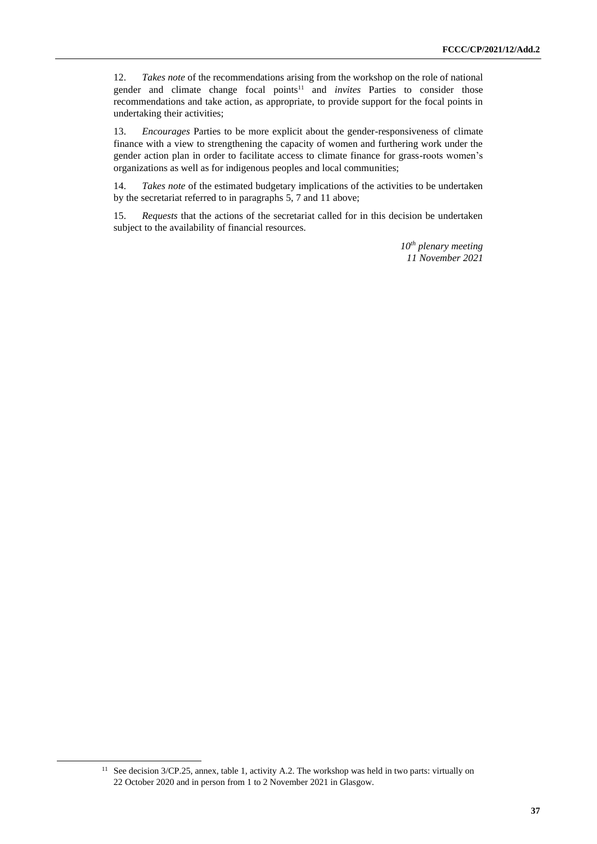12. *Takes note* of the recommendations arising from the workshop on the role of national gender and climate change focal points<sup>11</sup> and *invites* Parties to consider those recommendations and take action, as appropriate, to provide support for the focal points in undertaking their activities;

13. *Encourages* Parties to be more explicit about the gender-responsiveness of climate finance with a view to strengthening the capacity of women and furthering work under the gender action plan in order to facilitate access to climate finance for grass-roots women's organizations as well as for indigenous peoples and local communities;

14. *Takes note* of the estimated budgetary implications of the activities to be undertaken by the secretariat referred to in paragraphs 5, 7 and 11 above;

15. *Requests* that the actions of the secretariat called for in this decision be undertaken subject to the availability of financial resources.

> *10th plenary meeting 11 November 2021*

<sup>&</sup>lt;sup>11</sup> See decision 3/CP.25, annex, table 1, activity A.2. The workshop was held in two parts: virtually on 22 October 2020 and in person from 1 to 2 November 2021 in Glasgow.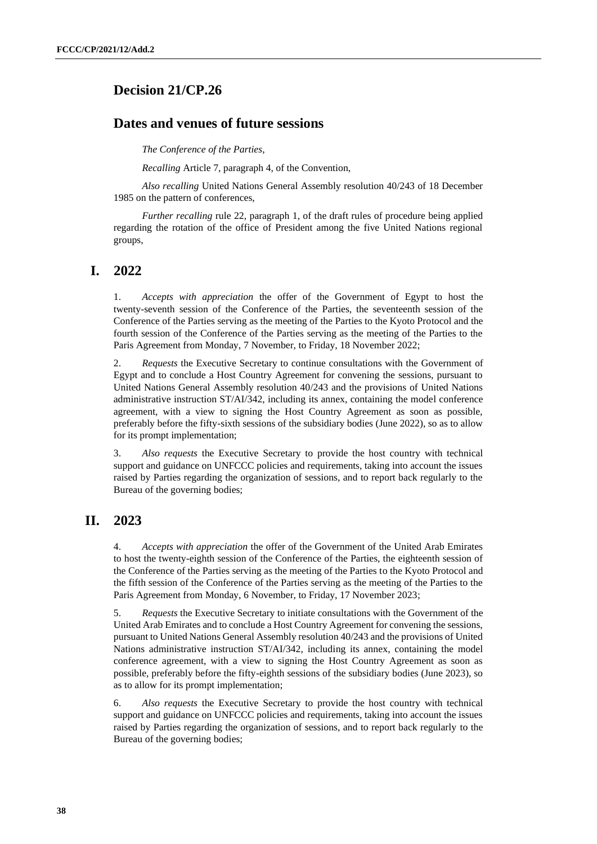## <span id="page-37-0"></span>**Decision 21/CP.26**

## **Dates and venues of future sessions**

*The Conference of the Parties*,

*Recalling* Article 7, paragraph 4, of the Convention,

*Also recalling* United Nations General Assembly resolution 40/243 of 18 December 1985 on the pattern of conferences,

*Further recalling* rule 22, paragraph 1, of the draft rules of procedure being applied regarding the rotation of the office of President among the five United Nations regional groups,

### **I. 2022**

1. *Accepts with appreciation* the offer of the Government of Egypt to host the twenty-seventh session of the Conference of the Parties, the seventeenth session of the Conference of the Parties serving as the meeting of the Parties to the Kyoto Protocol and the fourth session of the Conference of the Parties serving as the meeting of the Parties to the Paris Agreement from Monday, 7 November, to Friday, 18 November 2022;

2. *Requests* the Executive Secretary to continue consultations with the Government of Egypt and to conclude a Host Country Agreement for convening the sessions, pursuant to United Nations General Assembly resolution 40/243 and the provisions of United Nations administrative instruction ST/AI/342, including its annex, containing the model conference agreement, with a view to signing the Host Country Agreement as soon as possible, preferably before the fifty-sixth sessions of the subsidiary bodies (June 2022), so as to allow for its prompt implementation;

3. *Also requests* the Executive Secretary to provide the host country with technical support and guidance on UNFCCC policies and requirements, taking into account the issues raised by Parties regarding the organization of sessions, and to report back regularly to the Bureau of the governing bodies;

## **II. 2023**

4. *Accepts with appreciation* the offer of the Government of the United Arab Emirates to host the twenty-eighth session of the Conference of the Parties, the eighteenth session of the Conference of the Parties serving as the meeting of the Parties to the Kyoto Protocol and the fifth session of the Conference of the Parties serving as the meeting of the Parties to the Paris Agreement from Monday, 6 November, to Friday, 17 November 2023;

5. *Requests* the Executive Secretary to initiate consultations with the Government of the United Arab Emirates and to conclude a Host Country Agreement for convening the sessions, pursuant to United Nations General Assembly resolution 40/243 and the provisions of United Nations administrative instruction ST/AI/342, including its annex, containing the model conference agreement, with a view to signing the Host Country Agreement as soon as possible, preferably before the fifty-eighth sessions of the subsidiary bodies (June 2023), so as to allow for its prompt implementation;

6. *Also requests* the Executive Secretary to provide the host country with technical support and guidance on UNFCCC policies and requirements, taking into account the issues raised by Parties regarding the organization of sessions, and to report back regularly to the Bureau of the governing bodies;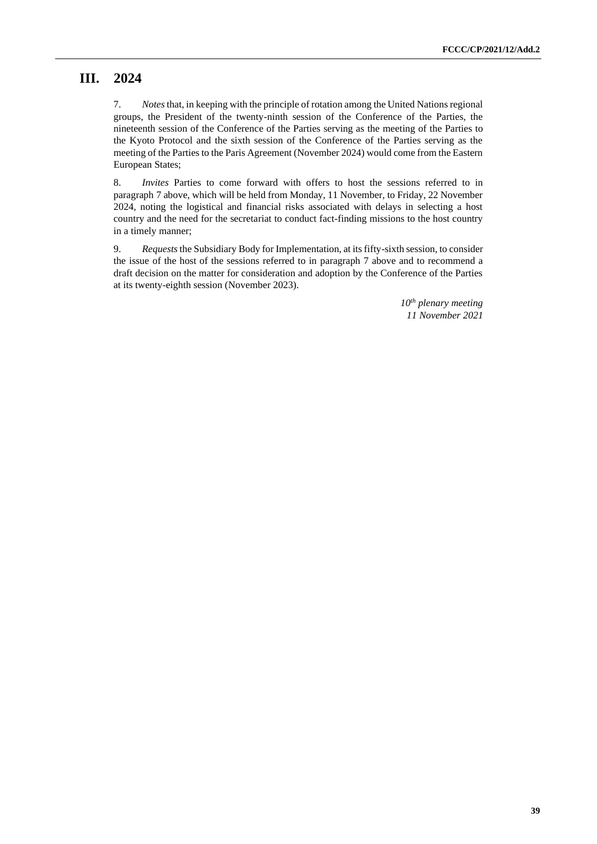## **III. 2024**

7. *Notes*that, in keeping with the principle of rotation among the United Nations regional groups, the President of the twenty-ninth session of the Conference of the Parties, the nineteenth session of the Conference of the Parties serving as the meeting of the Parties to the Kyoto Protocol and the sixth session of the Conference of the Parties serving as the meeting of the Parties to the Paris Agreement (November 2024) would come from the Eastern European States;

8. *Invites* Parties to come forward with offers to host the sessions referred to in paragraph 7 above, which will be held from Monday, 11 November, to Friday, 22 November 2024, noting the logistical and financial risks associated with delays in selecting a host country and the need for the secretariat to conduct fact-finding missions to the host country in a timely manner;

9. *Requests*the Subsidiary Body for Implementation, at its fifty-sixth session, to consider the issue of the host of the sessions referred to in paragraph 7 above and to recommend a draft decision on the matter for consideration and adoption by the Conference of the Parties at its twenty-eighth session (November 2023).

> *10th plenary meeting 11 November 2021*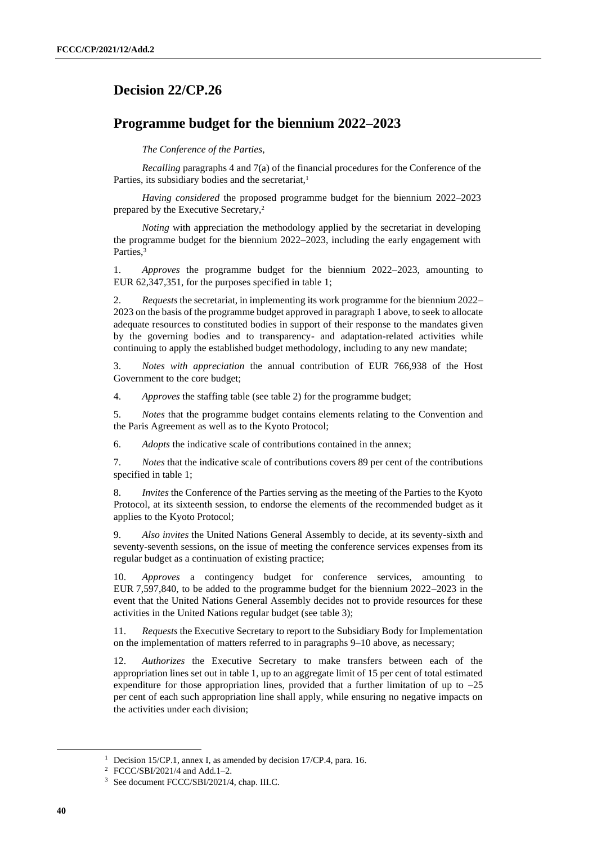## <span id="page-39-0"></span>**Decision 22/CP.26**

## **Programme budget for the biennium 2022–2023**

*The Conference of the Parties*,

*Recalling* paragraphs 4 and 7(a) of the financial procedures for the Conference of the Parties, its subsidiary bodies and the secretariat,<sup>1</sup>

*Having considered* the proposed programme budget for the biennium 2022–2023 prepared by the Executive Secretary,<sup>2</sup>

*Noting* with appreciation the methodology applied by the secretariat in developing the programme budget for the biennium 2022–2023, including the early engagement with Parties,<sup>3</sup>

1. *Approves* the programme budget for the biennium 2022–2023, amounting to EUR 62,347,351, for the purposes specified in table 1;

2. *Requests* the secretariat, in implementing its work programme for the biennium 2022– 2023 on the basis of the programme budget approved in paragraph 1 above, to seek to allocate adequate resources to constituted bodies in support of their response to the mandates given by the governing bodies and to transparency- and adaptation-related activities while continuing to apply the established budget methodology, including to any new mandate;

3. *Notes with appreciation* the annual contribution of EUR 766,938 of the Host Government to the core budget;

4. *Approves* the staffing table (see table 2) for the programme budget;

5. *Notes* that the programme budget contains elements relating to the Convention and the Paris Agreement as well as to the Kyoto Protocol;

6. *Adopts* the indicative scale of contributions contained in the annex;

7. *Notes* that the indicative scale of contributions covers 89 per cent of the contributions specified in table 1;

8. *Invites* the Conference of the Parties serving as the meeting of the Parties to the Kyoto Protocol, at its sixteenth session, to endorse the elements of the recommended budget as it applies to the Kyoto Protocol;

9. *Also invites* the United Nations General Assembly to decide, at its seventy-sixth and seventy-seventh sessions, on the issue of meeting the conference services expenses from its regular budget as a continuation of existing practice;

10. *Approves* a contingency budget for conference services, amounting to EUR 7,597,840, to be added to the programme budget for the biennium 2022–2023 in the event that the United Nations General Assembly decides not to provide resources for these activities in the United Nations regular budget (see table 3);

11. *Requests* the Executive Secretary to report to the Subsidiary Body for Implementation on the implementation of matters referred to in paragraphs 9–10 above, as necessary;

12. *Authorizes* the Executive Secretary to make transfers between each of the appropriation lines set out in table 1, up to an aggregate limit of 15 per cent of total estimated expenditure for those appropriation lines, provided that a further limitation of up to  $-25$ per cent of each such appropriation line shall apply, while ensuring no negative impacts on the activities under each division;

<sup>&</sup>lt;sup>1</sup> Decision 15/CP.1, annex I, as amended by decision 17/CP.4, para. 16.

<sup>2</sup> FCCC/SBI/2021/4 and Add.1–2.

<sup>3</sup> See document FCCC/SBI/2021/4, chap. III.C.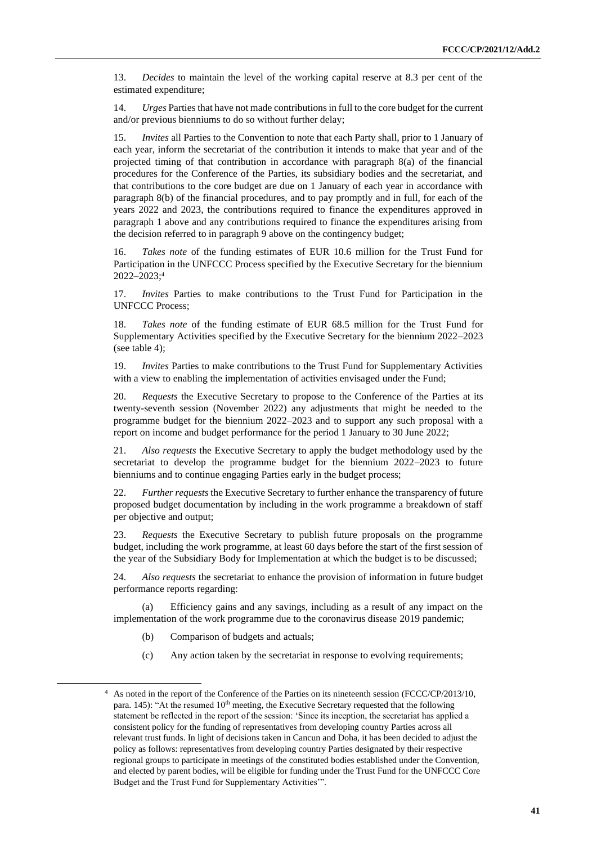13. *Decides* to maintain the level of the working capital reserve at 8.3 per cent of the estimated expenditure;

14. *Urges* Parties that have not made contributions in full to the core budget for the current and/or previous bienniums to do so without further delay;

15. *Invites* all Parties to the Convention to note that each Party shall, prior to 1 January of each year, inform the secretariat of the contribution it intends to make that year and of the projected timing of that contribution in accordance with paragraph 8(a) of the financial procedures for the Conference of the Parties, its subsidiary bodies and the secretariat, and that contributions to the core budget are due on 1 January of each year in accordance with paragraph 8(b) of the financial procedures, and to pay promptly and in full, for each of the years 2022 and 2023, the contributions required to finance the expenditures approved in paragraph 1 above and any contributions required to finance the expenditures arising from the decision referred to in paragraph 9 above on the contingency budget;

16. *Takes note* of the funding estimates of EUR 10.6 million for the Trust Fund for Participation in the UNFCCC Process specified by the Executive Secretary for the biennium 2022–2023;<sup>4</sup>

17. *Invites* Parties to make contributions to the Trust Fund for Participation in the UNFCCC Process;

18. *Takes note* of the funding estimate of EUR 68.5 million for the Trust Fund for Supplementary Activities specified by the Executive Secretary for the biennium 2022–2023 (see table 4);

19. *Invites* Parties to make contributions to the Trust Fund for Supplementary Activities with a view to enabling the implementation of activities envisaged under the Fund;

20. *Requests* the Executive Secretary to propose to the Conference of the Parties at its twenty-seventh session (November 2022) any adjustments that might be needed to the programme budget for the biennium 2022–2023 and to support any such proposal with a report on income and budget performance for the period 1 January to 30 June 2022;

21. *Also requests* the Executive Secretary to apply the budget methodology used by the secretariat to develop the programme budget for the biennium 2022–2023 to future bienniums and to continue engaging Parties early in the budget process;

22. *Further requests* the Executive Secretary to further enhance the transparency of future proposed budget documentation by including in the work programme a breakdown of staff per objective and output;

23. *Requests* the Executive Secretary to publish future proposals on the programme budget, including the work programme, at least 60 days before the start of the first session of the year of the Subsidiary Body for Implementation at which the budget is to be discussed;

24. *Also requests* the secretariat to enhance the provision of information in future budget performance reports regarding:

(a) Efficiency gains and any savings, including as a result of any impact on the implementation of the work programme due to the coronavirus disease 2019 pandemic;

- (b) Comparison of budgets and actuals;
- (c) Any action taken by the secretariat in response to evolving requirements;

<sup>4</sup> As noted in the report of the Conference of the Parties on its nineteenth session (FCCC/CP/2013/10, para. 145): "At the resumed 10<sup>th</sup> meeting, the Executive Secretary requested that the following statement be reflected in the report of the session: 'Since its inception, the secretariat has applied a consistent policy for the funding of representatives from developing country Parties across all relevant trust funds. In light of decisions taken in Cancun and Doha, it has been decided to adjust the policy as follows: representatives from developing country Parties designated by their respective regional groups to participate in meetings of the constituted bodies established under the Convention, and elected by parent bodies, will be eligible for funding under the Trust Fund for the UNFCCC Core Budget and the Trust Fund for Supplementary Activities'".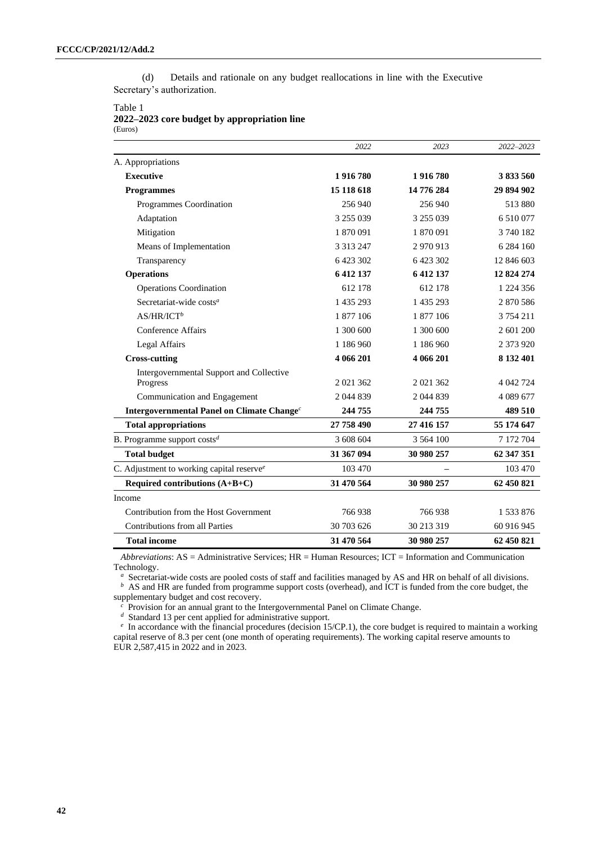(d) Details and rationale on any budget reallocations in line with the Executive Secretary's authorization.

#### Table 1

**2022–2023 core budget by appropriation line** (Euros)

|                                                        | 2022          | 2023        | 2022-2023     |
|--------------------------------------------------------|---------------|-------------|---------------|
| A. Appropriations                                      |               |             |               |
| <b>Executive</b>                                       | 1916780       | 1916780     | 3833560       |
| <b>Programmes</b>                                      | 15 118 618    | 14 776 284  | 29 894 902    |
| Programmes Coordination                                | 256 940       | 256 940     | 513 880       |
| Adaptation                                             | 3 255 039     | 3 255 039   | 6 510 077     |
| Mitigation                                             | 1870091       | 1870091     | 3740182       |
| Means of Implementation                                | 3 3 1 3 2 4 7 | 2970913     | 6 284 160     |
| Transparency                                           | 6 423 302     | 6 423 302   | 12 846 603    |
| <b>Operations</b>                                      | 6 412 137     | 6 412 137   | 12 824 274    |
| <b>Operations Coordination</b>                         | 612 178       | 612 178     | 1 2 2 4 3 5 6 |
| Secretariat-wide costs <sup>a</sup>                    | 1 435 293     | 1 435 293   | 2870586       |
| $AS/HR/ICT^b$                                          | 1 877 106     | 1 877 106   | 3 754 211     |
| Conference Affairs                                     | 1 300 600     | 1 300 600   | 2 601 200     |
| Legal Affairs                                          | 1 186 960     | 1 186 960   | 2 373 920     |
| <b>Cross-cutting</b>                                   | 4 066 201     | 4 066 201   | 8 132 401     |
| Intergovernmental Support and Collective               |               |             |               |
| Progress                                               | 2 021 362     | 2 021 362   | 4 042 724     |
| Communication and Engagement                           | 2 044 839     | 2 044 839   | 4 0 8 9 6 7 7 |
| Intergovernmental Panel on Climate Change <sup>c</sup> | 244 755       | 244 755     | 489 510       |
| <b>Total appropriations</b>                            | 27 758 490    | 27 416 157  | 55 174 647    |
| B. Programme support $\cos\theta$                      | 3 608 604     | 3 5 6 4 100 | 7 172 704     |
| <b>Total budget</b>                                    | 31 367 094    | 30 980 257  | 62 347 351    |
| C. Adjustment to working capital reserve <sup>e</sup>  | 103 470       |             | 103 470       |
| Required contributions $(A+B+C)$                       | 31 470 564    | 30 980 257  | 62 450 821    |
| Income                                                 |               |             |               |
| Contribution from the Host Government                  | 766938        | 766938      | 1533876       |
| Contributions from all Parties                         | 30 703 626    | 30 213 319  | 60 916 945    |
| <b>Total income</b>                                    | 31 470 564    | 30 980 257  | 62 450 821    |

*Abbreviations*: AS = Administrative Services; HR = Human Resources; ICT = Information and Communication Technology.

*a* Secretariat-wide costs are pooled costs of staff and facilities managed by AS and HR on behalf of all divisions. *<sup>b</sup>* AS and HR are funded from programme support costs (overhead), and ICT is funded from the core budget, the supplementary budget and cost recovery.

*<sup>c</sup>* Provision for an annual grant to the Intergovernmental Panel on Climate Change.

*<sup>d</sup>* Standard 13 per cent applied for administrative support.

*e* In accordance with the financial procedures (decision 15/CP.1), the core budget is required to maintain a working capital reserve of 8.3 per cent (one month of operating requirements). The working capital reserve amounts to EUR 2,587,415 in 2022 and in 2023.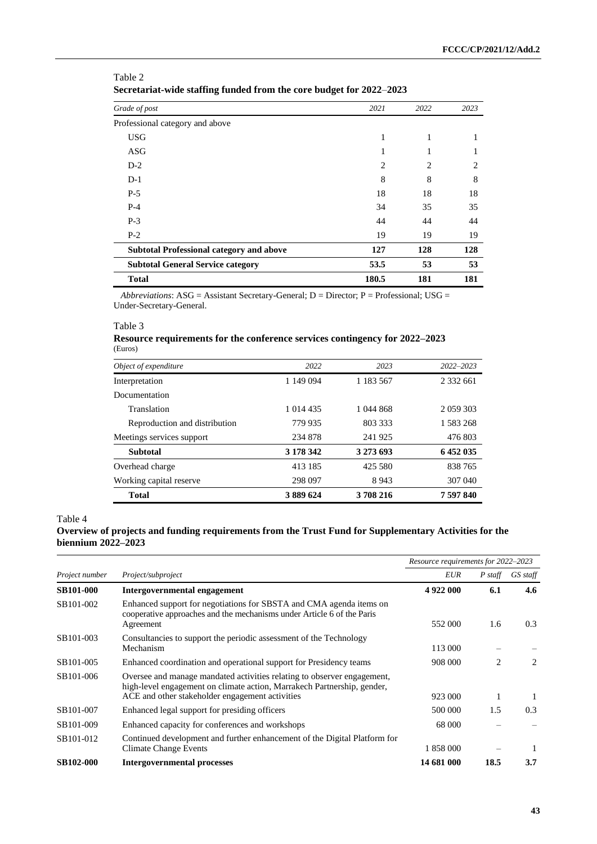| o                                               | o              |                |      |
|-------------------------------------------------|----------------|----------------|------|
| Grade of post                                   | 2021           | 2022           | 2023 |
| Professional category and above                 |                |                |      |
| <b>USG</b>                                      | 1              | 1              |      |
| <b>ASG</b>                                      | 1              | 1              |      |
| $D-2$                                           | $\overline{2}$ | $\overline{c}$ | 2    |
| $D-1$                                           | 8              | 8              | 8    |
| $P-5$                                           | 18             | 18             | 18   |
| $P-4$                                           | 34             | 35             | 35   |
| $P-3$                                           | 44             | 44             | 44   |
| $P-2$                                           | 19             | 19             | 19   |
| <b>Subtotal Professional category and above</b> | 127            | 128            | 128  |
| <b>Subtotal General Service category</b>        | 53.5           | 53             | 53   |
| <b>Total</b>                                    | 180.5          | 181            | 181  |

Table 2 **Secretariat-wide staffing funded from the core budget for 2022**–**2023**

*Abbreviations*: ASG = Assistant Secretary-General; D = Director; P = Professional; USG = Under-Secretary-General.

#### Table 3

#### **Resource requirements for the conference services contingency for 2022–2023** (Euros)

| Object of expenditure         | 2022      | 2023      | 2022-2023   |
|-------------------------------|-----------|-----------|-------------|
| Interpretation                | 1 149 094 | 1 183 567 | 2 3 3 6 6 1 |
| Documentation                 |           |           |             |
| Translation                   | 1 014 435 | 1 044 868 | 2 059 303   |
| Reproduction and distribution | 779 935   | 803 333   | 1 583 268   |
| Meetings services support     | 234 878   | 241925    | 476 803     |
| <b>Subtotal</b>               | 3 178 342 | 3 273 693 | 6452035     |
| Overhead charge               | 413 185   | 425 580   | 838 765     |
| Working capital reserve       | 298 097   | 8943      | 307 040     |
| <b>Total</b>                  | 3 889 624 | 3708216   | 7 597 840   |

Table 4

#### **Overview of projects and funding requirements from the Trust Fund for Supplementary Activities for the biennium 2022–2023**

|                  |                                                                                                                                                                                                       | Resource requirements for 2022-2023 |           |          |
|------------------|-------------------------------------------------------------------------------------------------------------------------------------------------------------------------------------------------------|-------------------------------------|-----------|----------|
| Project number   | Project/subproject                                                                                                                                                                                    | EUR                                 | $P$ staff | GS staff |
| <b>SB101-000</b> | Intergovernmental engagement                                                                                                                                                                          | 4922000                             | 6.1       | 4.6      |
| SB101-002        | Enhanced support for negotiations for SBSTA and CMA agenda items on<br>cooperative approaches and the mechanisms under Article 6 of the Paris<br>Agreement                                            | 552 000                             | 1.6       | 0.3      |
| SB101-003        | Consultancies to support the periodic assessment of the Technology<br>Mechanism                                                                                                                       | 113 000                             |           |          |
| SB101-005        | Enhanced coordination and operational support for Presidency teams                                                                                                                                    | 908 000                             | 2         | 2        |
| SB101-006        | Oversee and manage mandated activities relating to observer engagement,<br>high-level engagement on climate action, Marrakech Partnership, gender,<br>ACE and other stakeholder engagement activities | 923 000                             |           |          |
| SB101-007        | Enhanced legal support for presiding officers                                                                                                                                                         | 500 000                             | 1.5       | 0.3      |
| SB101-009        | Enhanced capacity for conferences and workshops                                                                                                                                                       | 68 000                              |           |          |
| SB101-012        | Continued development and further enhancement of the Digital Platform for<br><b>Climate Change Events</b>                                                                                             | 1 858 000                           |           |          |
| <b>SB102-000</b> | <b>Intergovernmental processes</b>                                                                                                                                                                    | 14 681 000                          | 18.5      | 3.7      |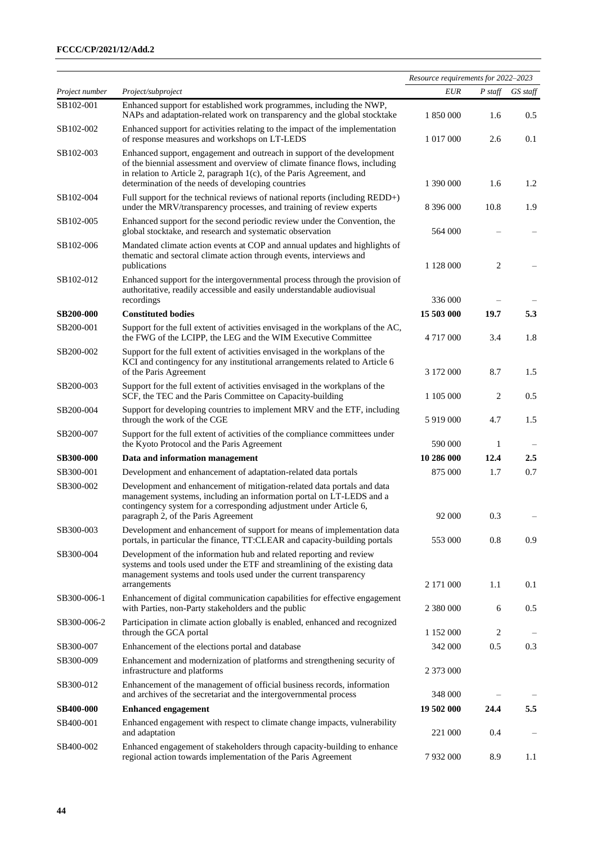|                  |                                                                                                                                                                                                                                                                                       | Resource requirements for 2022-2023 |           |          |
|------------------|---------------------------------------------------------------------------------------------------------------------------------------------------------------------------------------------------------------------------------------------------------------------------------------|-------------------------------------|-----------|----------|
| Project number   | Project/subproject                                                                                                                                                                                                                                                                    | <b>EUR</b>                          | $P$ staff | GS staff |
| SB102-001        | Enhanced support for established work programmes, including the NWP,<br>NAPs and adaptation-related work on transparency and the global stocktake                                                                                                                                     | 1 850 000                           | 1.6       | 0.5      |
| SB102-002        | Enhanced support for activities relating to the impact of the implementation<br>of response measures and workshops on LT-LEDS                                                                                                                                                         | 1 017 000                           | 2.6       | 0.1      |
| SB102-003        | Enhanced support, engagement and outreach in support of the development<br>of the biennial assessment and overview of climate finance flows, including<br>in relation to Article 2, paragraph 1(c), of the Paris Agreement, and<br>determination of the needs of developing countries | 1 390 000                           | 1.6       | 1.2      |
| SB102-004        | Full support for the technical reviews of national reports (including REDD+)<br>under the MRV/transparency processes, and training of review experts                                                                                                                                  | 8 396 000                           | 10.8      | 1.9      |
| SB102-005        | Enhanced support for the second periodic review under the Convention, the<br>global stocktake, and research and systematic observation                                                                                                                                                | 564 000                             |           |          |
| SB102-006        | Mandated climate action events at COP and annual updates and highlights of<br>thematic and sectoral climate action through events, interviews and<br>publications                                                                                                                     | 1 128 000                           | 2         |          |
| SB102-012        | Enhanced support for the intergovernmental process through the provision of<br>authoritative, readily accessible and easily understandable audiovisual                                                                                                                                | 336 000                             |           |          |
| <b>SB200-000</b> | recordings<br><b>Constituted bodies</b>                                                                                                                                                                                                                                               | 15 503 000                          | 19.7      | 5.3      |
| SB200-001        | Support for the full extent of activities envisaged in the workplans of the AC,<br>the FWG of the LCIPP, the LEG and the WIM Executive Committee                                                                                                                                      | 4 7 1 7 0 0 0                       | 3.4       | 1.8      |
| SB200-002        | Support for the full extent of activities envisaged in the workplans of the<br>KCI and contingency for any institutional arrangements related to Article 6<br>of the Paris Agreement                                                                                                  | 3 172 000                           | 8.7       | 1.5      |
| SB200-003        | Support for the full extent of activities envisaged in the workplans of the<br>SCF, the TEC and the Paris Committee on Capacity-building                                                                                                                                              | 1 105 000                           | 2         | 0.5      |
| SB200-004        | Support for developing countries to implement MRV and the ETF, including<br>through the work of the CGE                                                                                                                                                                               | 5919000                             | 4.7       | 1.5      |
| SB200-007        | Support for the full extent of activities of the compliance committees under<br>the Kyoto Protocol and the Paris Agreement                                                                                                                                                            | 590 000                             | 1         |          |
| <b>SB300-000</b> | Data and information management                                                                                                                                                                                                                                                       | 10 286 000                          | 12.4      | 2.5      |
| SB300-001        | Development and enhancement of adaptation-related data portals                                                                                                                                                                                                                        | 875 000                             | 1.7       | 0.7      |
| SB300-002        | Development and enhancement of mitigation-related data portals and data<br>management systems, including an information portal on LT-LEDS and a<br>contingency system for a corresponding adjustment under Article 6,<br>paragraph 2, of the Paris Agreement                          | 92 000                              | 0.3       |          |
| SB300-003        | Development and enhancement of support for means of implementation data<br>portals, in particular the finance, TT:CLEAR and capacity-building portals                                                                                                                                 | 553 000                             | 0.8       | 0.9      |
| SB300-004        | Development of the information hub and related reporting and review<br>systems and tools used under the ETF and streamlining of the existing data<br>management systems and tools used under the current transparency<br>arrangements                                                 | 2 171 000                           | 1.1       | 0.1      |
| SB300-006-1      | Enhancement of digital communication capabilities for effective engagement<br>with Parties, non-Party stakeholders and the public                                                                                                                                                     | 2 380 000                           | 6         | 0.5      |
| SB300-006-2      | Participation in climate action globally is enabled, enhanced and recognized<br>through the GCA portal                                                                                                                                                                                | 1 152 000                           | 2         |          |
| SB300-007        | Enhancement of the elections portal and database                                                                                                                                                                                                                                      | 342 000                             | 0.5       | 0.3      |
| SB300-009        | Enhancement and modernization of platforms and strengthening security of<br>infrastructure and platforms                                                                                                                                                                              | 2 373 000                           |           |          |
| SB300-012        | Enhancement of the management of official business records, information<br>and archives of the secretariat and the intergovernmental process                                                                                                                                          | 348 000                             |           |          |
| <b>SB400-000</b> | <b>Enhanced engagement</b>                                                                                                                                                                                                                                                            | 19 502 000                          | 24.4      | 5.5      |
| SB400-001        | Enhanced engagement with respect to climate change impacts, vulnerability<br>and adaptation                                                                                                                                                                                           | 221 000                             | 0.4       |          |
| SB400-002        | Enhanced engagement of stakeholders through capacity-building to enhance<br>regional action towards implementation of the Paris Agreement                                                                                                                                             | 7932000                             | 8.9       | 1.1      |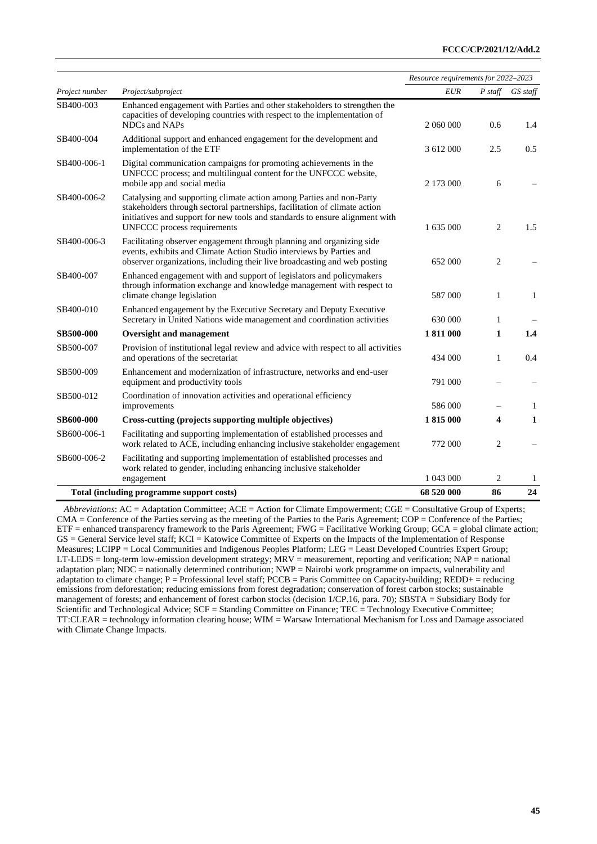|                  |                                                                                                                                                                                                                                                                   | Resource requirements for 2022-2023 |           |               |
|------------------|-------------------------------------------------------------------------------------------------------------------------------------------------------------------------------------------------------------------------------------------------------------------|-------------------------------------|-----------|---------------|
| Project number   | Project/subproject                                                                                                                                                                                                                                                | <b>EUR</b>                          | $P$ staff | GS staff      |
| SB400-003        | Enhanced engagement with Parties and other stakeholders to strengthen the<br>capacities of developing countries with respect to the implementation of<br>NDCs and NAPs                                                                                            | 2 060 000                           | 0.6       | 1.4           |
| SB400-004        | Additional support and enhanced engagement for the development and<br>implementation of the ETF                                                                                                                                                                   | 3 612 000                           | 2.5       | $0.5^{\circ}$ |
| SB400-006-1      | Digital communication campaigns for promoting achievements in the<br>UNFCCC process; and multilingual content for the UNFCCC website,<br>mobile app and social media                                                                                              | 2 173 000                           | 6         |               |
| SB400-006-2      | Catalysing and supporting climate action among Parties and non-Party<br>stakeholders through sectoral partnerships, facilitation of climate action<br>initiatives and support for new tools and standards to ensure alignment with<br>UNFCCC process requirements | 1 635 000                           | 2         | 1.5           |
| SB400-006-3      | Facilitating observer engagement through planning and organizing side<br>events, exhibits and Climate Action Studio interviews by Parties and<br>observer organizations, including their live broadcasting and web posting                                        | 652 000                             | 2         |               |
| SB400-007        | Enhanced engagement with and support of legislators and policymakers<br>through information exchange and knowledge management with respect to<br>climate change legislation                                                                                       | 587 000                             | 1         | $\mathbf{1}$  |
| SB400-010        | Enhanced engagement by the Executive Secretary and Deputy Executive<br>Secretary in United Nations wide management and coordination activities                                                                                                                    | 630 000                             | 1         |               |
| <b>SB500-000</b> | Oversight and management                                                                                                                                                                                                                                          | 1811000                             | 1         | 1.4           |
| SB500-007        | Provision of institutional legal review and advice with respect to all activities<br>and operations of the secretariat                                                                                                                                            | 434 000                             | 1         | 0.4           |
| SB500-009        | Enhancement and modernization of infrastructure, networks and end-user<br>equipment and productivity tools                                                                                                                                                        | 791 000                             |           |               |
| SB500-012        | Coordination of innovation activities and operational efficiency<br>improvements                                                                                                                                                                                  | 586 000                             |           | 1             |
| <b>SB600-000</b> | Cross-cutting (projects supporting multiple objectives)                                                                                                                                                                                                           | 1815 000                            | 4         | 1             |
| SB600-006-1      | Facilitating and supporting implementation of established processes and<br>work related to ACE, including enhancing inclusive stakeholder engagement                                                                                                              | 772 000                             | 2         |               |
| SB600-006-2      | Facilitating and supporting implementation of established processes and<br>work related to gender, including enhancing inclusive stakeholder<br>engagement                                                                                                        | 1 043 000                           | 2         | 1             |
|                  | Total (including programme support costs)                                                                                                                                                                                                                         | 68 520 000                          | 86        | 24            |

*Abbreviations*: AC = Adaptation Committee; ACE = Action for Climate Empowerment; CGE = Consultative Group of Experts; CMA = Conference of the Parties serving as the meeting of the Parties to the Paris Agreement; COP = Conference of the Parties;  $ETF = enhanced transparency framework to the Paris Agreement; FWG = Facilitative Working Group; GCA = global climate action;$ GS = General Service level staff; KCI = Katowice Committee of Experts on the Impacts of the Implementation of Response Measures; LCIPP = Local Communities and Indigenous Peoples Platform; LEG = Least Developed Countries Expert Group; LT-LEDS = long-term low-emission development strategy;  $\text{MRV}$  = measurement, reporting and verification;  $\text{NAP}$  = national adaptation plan; NDC = nationally determined contribution; NWP = Nairobi work programme on impacts, vulnerability and adaptation to climate change;  $P =$  Professional level staff; PCCB = Paris Committee on Capacity-building; REDD+ = reducing emissions from deforestation; reducing emissions from forest degradation; conservation of forest carbon stocks; sustainable management of forests; and enhancement of forest carbon stocks (decision 1/CP.16, para. 70); SBSTA = Subsidiary Body for Scientific and Technological Advice; SCF = Standing Committee on Finance; TEC = Technology Executive Committee; TT:CLEAR = technology information clearing house; WIM = Warsaw International Mechanism for Loss and Damage associated with Climate Change Impacts.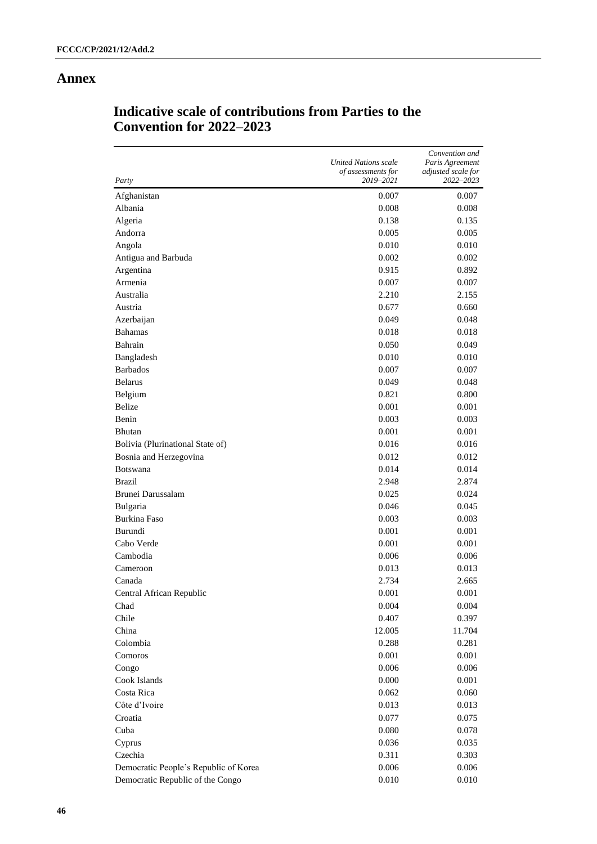## **Annex**

| Party                                 | <b>United Nations scale</b><br>of assessments for<br>2019-2021 | Convention and<br>Paris Agreement<br>adjusted scale for<br>2022–2023 |
|---------------------------------------|----------------------------------------------------------------|----------------------------------------------------------------------|
| Afghanistan                           | 0.007                                                          | 0.007                                                                |
| Albania                               | 0.008                                                          | 0.008                                                                |
| Algeria                               | 0.138                                                          | 0.135                                                                |
| Andorra                               | 0.005                                                          | 0.005                                                                |
| Angola                                | 0.010                                                          | 0.010                                                                |
| Antigua and Barbuda                   | 0.002                                                          | 0.002                                                                |
| Argentina                             | 0.915                                                          | 0.892                                                                |
| Armenia                               | 0.007                                                          | 0.007                                                                |
| Australia                             | 2.210                                                          | 2.155                                                                |
| Austria                               | 0.677                                                          | 0.660                                                                |
| Azerbaijan                            | 0.049                                                          | 0.048                                                                |
| <b>Bahamas</b>                        | 0.018                                                          | 0.018                                                                |
| Bahrain                               | 0.050                                                          | 0.049                                                                |
| Bangladesh                            | 0.010                                                          | 0.010                                                                |
| <b>Barbados</b>                       | 0.007                                                          | 0.007                                                                |
| <b>Belarus</b>                        | 0.049                                                          | 0.048                                                                |
| Belgium                               | 0.821                                                          | 0.800                                                                |
| Belize                                | 0.001                                                          | 0.001                                                                |
| Benin                                 | 0.003                                                          | 0.003                                                                |
| Bhutan                                | 0.001                                                          | 0.001                                                                |
| Bolivia (Plurinational State of)      | 0.016                                                          | 0.016                                                                |
| Bosnia and Herzegovina                | 0.012                                                          | 0.012                                                                |
| <b>Botswana</b>                       | 0.014                                                          | 0.014                                                                |
| <b>Brazil</b>                         | 2.948                                                          | 2.874                                                                |
| Brunei Darussalam                     | 0.025                                                          | 0.024                                                                |
| Bulgaria                              | 0.046                                                          | 0.045                                                                |
| Burkina Faso                          | 0.003                                                          | 0.003                                                                |
| Burundi                               | 0.001                                                          | 0.001                                                                |
| Cabo Verde                            | 0.001                                                          | 0.001                                                                |
| Cambodia                              | 0.006                                                          | 0.006                                                                |
| Cameroon                              | 0.013                                                          | 0.013                                                                |
| Canada                                | 2.734                                                          | 2.665                                                                |
| Central African Republic              | 0.001                                                          | 0.001                                                                |
| Chad                                  | 0.004                                                          | 0.004                                                                |
| Chile                                 | 0.407                                                          | 0.397                                                                |
| China                                 | 12.005                                                         | 11.704                                                               |
| Colombia                              | 0.288                                                          | 0.281                                                                |
| Comoros                               | 0.001                                                          | 0.001                                                                |
| Congo                                 | 0.006                                                          | 0.006                                                                |
| Cook Islands                          | 0.000                                                          | 0.001                                                                |
| Costa Rica                            | 0.062                                                          | 0.060                                                                |
| Côte d'Ivoire                         | 0.013                                                          | 0.013                                                                |
| Croatia                               | 0.077                                                          | 0.075                                                                |
| Cuba                                  | 0.080                                                          | 0.078                                                                |
| Cyprus                                | 0.036                                                          | 0.035                                                                |
| Czechia                               | 0.311                                                          | 0.303                                                                |
| Democratic People's Republic of Korea | 0.006                                                          | 0.006                                                                |
| Democratic Republic of the Congo      | 0.010                                                          | 0.010                                                                |

## **Indicative scale of contributions from Parties to the Convention for 2022–2023**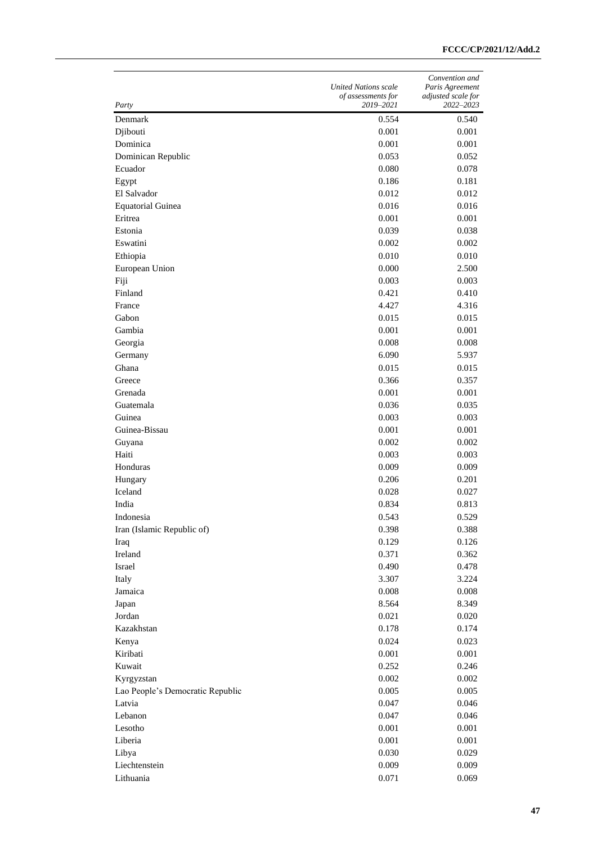|                                  | <b>United Nations scale</b><br>of assessments for | Convention and<br>Paris Agreement<br>adjusted scale for |
|----------------------------------|---------------------------------------------------|---------------------------------------------------------|
| Party                            | 2019–2021                                         | 2022-2023                                               |
| Denmark                          | 0.554                                             | 0.540                                                   |
| Djibouti                         | 0.001                                             | 0.001                                                   |
| Dominica                         | 0.001                                             | 0.001                                                   |
| Dominican Republic               | 0.053                                             | 0.052                                                   |
| Ecuador                          | 0.080                                             | 0.078                                                   |
| Egypt                            | 0.186                                             | 0.181                                                   |
| El Salvador                      | 0.012                                             | 0.012                                                   |
| <b>Equatorial Guinea</b>         | 0.016                                             | 0.016                                                   |
| Eritrea                          | 0.001                                             | 0.001                                                   |
| Estonia                          | 0.039                                             | 0.038                                                   |
| Eswatini                         | 0.002                                             | 0.002                                                   |
| Ethiopia                         | 0.010                                             | 0.010                                                   |
| European Union                   | 0.000                                             | 2.500                                                   |
| Fiji                             | 0.003                                             | 0.003                                                   |
| Finland                          | 0.421                                             | 0.410                                                   |
| France                           | 4.427                                             | 4.316                                                   |
| Gabon                            | 0.015                                             | 0.015                                                   |
| Gambia                           | 0.001                                             | 0.001                                                   |
| Georgia                          | 0.008                                             | 0.008                                                   |
| Germany                          | 6.090                                             | 5.937                                                   |
| Ghana                            | 0.015                                             | 0.015                                                   |
| Greece                           | 0.366                                             | 0.357                                                   |
| Grenada                          | 0.001                                             | 0.001                                                   |
| Guatemala                        | 0.036                                             | 0.035                                                   |
| Guinea                           | 0.003                                             | 0.003                                                   |
| Guinea-Bissau                    | 0.001                                             | 0.001                                                   |
| Guyana                           | 0.002                                             | 0.002                                                   |
| Haiti                            | 0.003                                             | 0.003                                                   |
| Honduras                         | 0.009                                             | 0.009                                                   |
| Hungary                          | 0.206                                             | 0.201                                                   |
| Iceland                          | 0.028                                             | 0.027                                                   |
| India                            | 0.834                                             | 0.813                                                   |
| Indonesia                        | 0.543                                             | 0.529                                                   |
| Iran (Islamic Republic of)       | 0.398                                             | 0.388                                                   |
| Iraq                             | 0.129                                             | 0.126                                                   |
| Ireland                          | 0.371                                             | 0.362                                                   |
| Israel                           | 0.490                                             | 0.478                                                   |
| Italy                            | 3.307                                             | 3.224                                                   |
| Jamaica                          | $0.008\,$                                         | 0.008                                                   |
| Japan                            | 8.564                                             | 8.349                                                   |
| Jordan                           | 0.021                                             | 0.020                                                   |
| Kazakhstan                       | 0.178                                             | 0.174                                                   |
| Kenya                            | 0.024                                             | 0.023                                                   |
| Kiribati                         | 0.001                                             | 0.001                                                   |
| Kuwait                           | 0.252                                             | 0.246                                                   |
| Kyrgyzstan                       | 0.002                                             | 0.002                                                   |
| Lao People's Democratic Republic | 0.005                                             | 0.005                                                   |
| Latvia                           | 0.047                                             | 0.046                                                   |
| Lebanon                          | 0.047                                             | 0.046                                                   |
| Lesotho                          | 0.001                                             | 0.001                                                   |
| Liberia                          | 0.001                                             | 0.001                                                   |
| Libya                            | 0.030                                             | 0.029                                                   |
| Liechtenstein                    | 0.009                                             | 0.009                                                   |
| Lithuania                        | 0.071                                             | 0.069                                                   |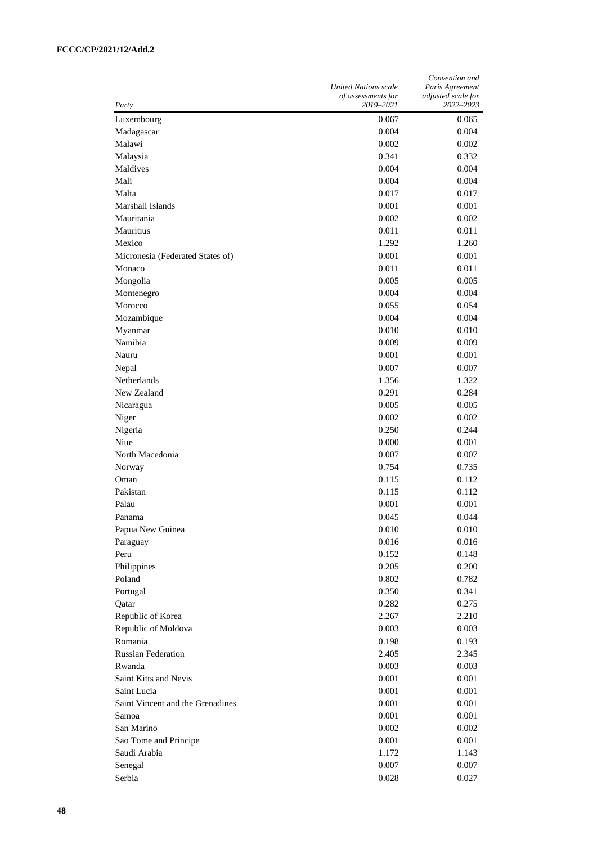|                                  | <b>United Nations scale</b><br>of assessments for | Convention and<br>Paris Agreement<br>adjusted scale for |
|----------------------------------|---------------------------------------------------|---------------------------------------------------------|
| Party                            | 2019–2021                                         | 2022–2023                                               |
| Luxembourg                       | 0.067                                             | 0.065                                                   |
| Madagascar                       | 0.004                                             | 0.004                                                   |
| Malawi                           | 0.002                                             | 0.002                                                   |
| Malaysia                         | 0.341                                             | 0.332                                                   |
| Maldives                         | 0.004                                             | 0.004                                                   |
| Mali                             | 0.004                                             | 0.004                                                   |
| Malta                            | 0.017                                             | 0.017                                                   |
| Marshall Islands                 | 0.001                                             | 0.001                                                   |
| Mauritania                       | 0.002                                             | 0.002                                                   |
| Mauritius                        | 0.011                                             | 0.011                                                   |
| Mexico                           | 1.292                                             | 1.260                                                   |
| Micronesia (Federated States of) | 0.001                                             | 0.001                                                   |
| Monaco                           | 0.011                                             | 0.011                                                   |
| Mongolia                         | 0.005                                             | 0.005                                                   |
| Montenegro                       | 0.004                                             | 0.004                                                   |
| Morocco                          | 0.055                                             | 0.054                                                   |
| Mozambique                       | 0.004                                             | 0.004                                                   |
| Myanmar                          | 0.010                                             | 0.010                                                   |
| Namibia                          | 0.009                                             | 0.009                                                   |
| Nauru                            | 0.001                                             | 0.001                                                   |
| Nepal                            | 0.007                                             | 0.007                                                   |
| Netherlands                      | 1.356                                             | 1.322                                                   |
| New Zealand                      | 0.291                                             | 0.284                                                   |
| Nicaragua                        | 0.005                                             | 0.005                                                   |
| Niger                            | 0.002                                             | 0.002                                                   |
| Nigeria                          | 0.250                                             | 0.244                                                   |
| Niue                             | 0.000                                             | 0.001                                                   |
| North Macedonia                  | 0.007                                             | 0.007                                                   |
| Norway                           | 0.754                                             | 0.735                                                   |
| Oman                             | 0.115                                             | 0.112                                                   |
| Pakistan                         | 0.115                                             | 0.112                                                   |
| Palau                            | 0.001                                             | 0.001                                                   |
| Panama                           | 0.045                                             | 0.044                                                   |
| Papua New Guinea                 | 0.010                                             | 0.010                                                   |
| Paraguay                         | 0.016                                             | 0.016                                                   |
| Peru                             | 0.152                                             | 0.148                                                   |
| Philippines                      | 0.205                                             | 0.200                                                   |
| Poland                           | 0.802                                             | 0.782                                                   |
| Portugal                         | 0.350                                             | 0.341                                                   |
| Qatar                            | 0.282                                             | 0.275                                                   |
| Republic of Korea                | 2.267                                             | 2.210                                                   |
| Republic of Moldova              | 0.003                                             | 0.003                                                   |
| Romania                          | 0.198                                             | 0.193                                                   |
| <b>Russian Federation</b>        | 2.405                                             | 2.345                                                   |
| Rwanda                           | 0.003                                             | 0.003                                                   |
| Saint Kitts and Nevis            | 0.001                                             | 0.001                                                   |
| Saint Lucia                      | 0.001                                             | 0.001                                                   |
| Saint Vincent and the Grenadines | 0.001                                             | 0.001                                                   |
| Samoa                            | 0.001                                             | 0.001                                                   |
| San Marino                       | 0.002                                             | 0.002                                                   |
| Sao Tome and Principe            | 0.001                                             | 0.001                                                   |
| Saudi Arabia                     | 1.172                                             | 1.143                                                   |
| Senegal                          | 0.007                                             | 0.007                                                   |
| Serbia                           | 0.028                                             | 0.027                                                   |
|                                  |                                                   |                                                         |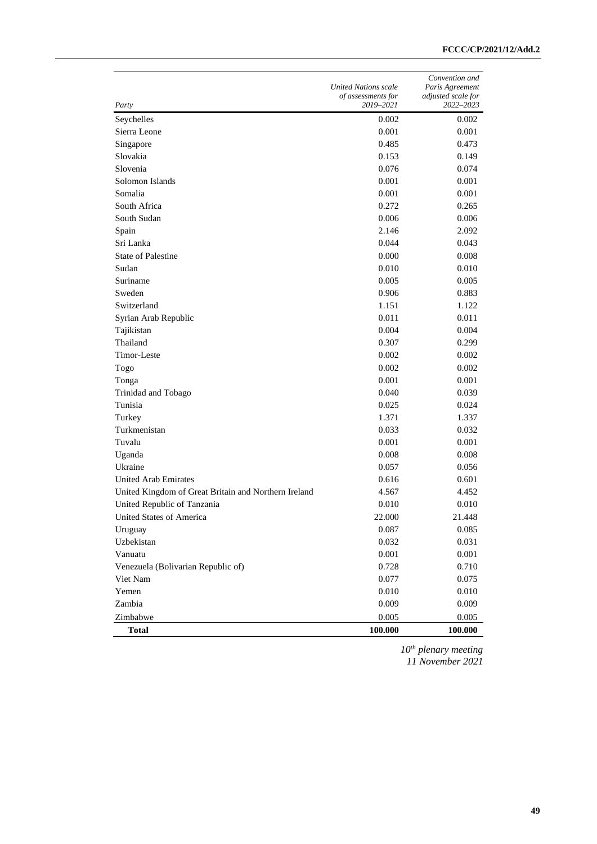| Party                                                | <b>United Nations scale</b><br>of assessments for<br>2019-2021 | Convention and<br>Paris Agreement<br>adjusted scale for<br>2022-2023 |
|------------------------------------------------------|----------------------------------------------------------------|----------------------------------------------------------------------|
| Seychelles                                           | 0.002                                                          | 0.002                                                                |
| Sierra Leone                                         | 0.001                                                          | 0.001                                                                |
| Singapore                                            | 0.485                                                          | 0.473                                                                |
| Slovakia                                             | 0.153                                                          | 0.149                                                                |
| Slovenia                                             | 0.076                                                          | 0.074                                                                |
| Solomon Islands                                      | 0.001                                                          | 0.001                                                                |
| Somalia                                              | 0.001                                                          | 0.001                                                                |
| South Africa                                         | 0.272                                                          | 0.265                                                                |
| South Sudan                                          | 0.006                                                          | 0.006                                                                |
| Spain                                                | 2.146                                                          | 2.092                                                                |
| Sri Lanka                                            | 0.044                                                          | 0.043                                                                |
| <b>State of Palestine</b>                            | 0.000                                                          | 0.008                                                                |
| Sudan                                                | 0.010                                                          | 0.010                                                                |
| Suriname                                             | 0.005                                                          | 0.005                                                                |
| Sweden                                               | 0.906                                                          | 0.883                                                                |
| Switzerland                                          | 1.151                                                          | 1.122                                                                |
| Syrian Arab Republic                                 | 0.011                                                          | 0.011                                                                |
| Tajikistan                                           | 0.004                                                          | 0.004                                                                |
| Thailand                                             | 0.307                                                          | 0.299                                                                |
| Timor-Leste                                          | 0.002                                                          | 0.002                                                                |
| Togo                                                 | 0.002                                                          | 0.002                                                                |
| Tonga                                                | 0.001                                                          | 0.001                                                                |
| Trinidad and Tobago                                  | 0.040                                                          | 0.039                                                                |
| Tunisia                                              | 0.025                                                          | 0.024                                                                |
| Turkey                                               | 1.371                                                          | 1.337                                                                |
| Turkmenistan                                         | 0.033                                                          | 0.032                                                                |
| Tuvalu                                               | 0.001                                                          | 0.001                                                                |
| Uganda                                               | 0.008                                                          | 0.008                                                                |
| Ukraine                                              | 0.057                                                          | 0.056                                                                |
| <b>United Arab Emirates</b>                          | 0.616                                                          | 0.601                                                                |
| United Kingdom of Great Britain and Northern Ireland | 4.567                                                          | 4.452                                                                |
| United Republic of Tanzania                          | 0.010                                                          | 0.010                                                                |
| United States of America                             | 22.000                                                         | 21.448                                                               |
| Uruguay                                              | 0.087                                                          | 0.085                                                                |
| Uzbekistan                                           | 0.032                                                          | 0.031                                                                |
| Vanuatu                                              | 0.001                                                          | 0.001                                                                |
| Venezuela (Bolivarian Republic of)                   | 0.728                                                          | 0.710                                                                |
| Viet Nam                                             | 0.077                                                          | 0.075                                                                |
| Yemen                                                | 0.010                                                          | 0.010                                                                |
| Zambia                                               | 0.009                                                          | 0.009                                                                |
| Zimbabwe                                             | 0.005                                                          | 0.005                                                                |
| <b>Total</b>                                         | 100.000                                                        | 100.000                                                              |

*10th plenary meeting 11 November 2021*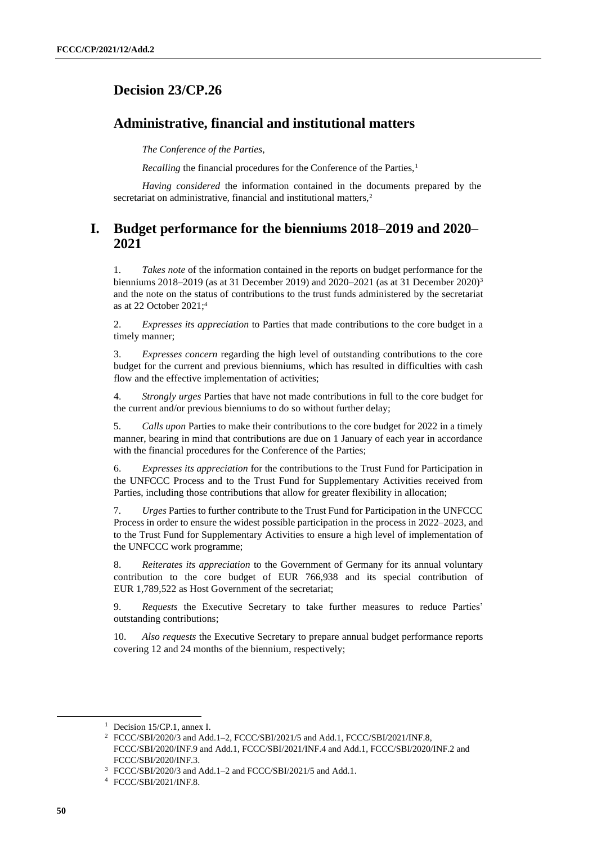## <span id="page-49-0"></span>**Decision 23/CP.26**

## **Administrative, financial and institutional matters**

*The Conference of the Parties*,

*Recalling* the financial procedures for the Conference of the Parties,<sup>1</sup>

*Having considered* the information contained in the documents prepared by the secretariat on administrative, financial and institutional matters,<sup>2</sup>

## **I. Budget performance for the bienniums 2018–2019 and 2020– 2021**

1. *Takes note* of the information contained in the reports on budget performance for the bienniums 2018–2019 (as at 31 December 2019) and 2020–2021 (as at 31 December 2020)<sup>3</sup> and the note on the status of contributions to the trust funds administered by the secretariat as at 22 October 2021;<sup>4</sup>

2. *Expresses its appreciation* to Parties that made contributions to the core budget in a timely manner;

3. *Expresses concern* regarding the high level of outstanding contributions to the core budget for the current and previous bienniums, which has resulted in difficulties with cash flow and the effective implementation of activities;

4. *Strongly urges* Parties that have not made contributions in full to the core budget for the current and/or previous bienniums to do so without further delay;

5. *Calls upon* Parties to make their contributions to the core budget for 2022 in a timely manner, bearing in mind that contributions are due on 1 January of each year in accordance with the financial procedures for the Conference of the Parties;

6. *Expresses its appreciation* for the contributions to the Trust Fund for Participation in the UNFCCC Process and to the Trust Fund for Supplementary Activities received from Parties, including those contributions that allow for greater flexibility in allocation;

7. *Urges* Parties to further contribute to the Trust Fund for Participation in the UNFCCC Process in order to ensure the widest possible participation in the process in 2022–2023, and to the Trust Fund for Supplementary Activities to ensure a high level of implementation of the UNFCCC work programme;

8. *Reiterates its appreciation* to the Government of Germany for its annual voluntary contribution to the core budget of EUR 766,938 and its special contribution of EUR 1,789,522 as Host Government of the secretariat;

9. *Requests* the Executive Secretary to take further measures to reduce Parties' outstanding contributions;

10. *Also requests* the Executive Secretary to prepare annual budget performance reports covering 12 and 24 months of the biennium, respectively;

<sup>&</sup>lt;sup>1</sup> Decision 15/CP.1, annex I.

<sup>2</sup> FCCC/SBI/2020/3 and Add.1–2, FCCC/SBI/2021/5 and Add.1, FCCC/SBI/2021/INF.8, FCCC/SBI/2020/INF.9 and Add.1, FCCC/SBI/2021/INF.4 and Add.1, FCCC/SBI/2020/INF.2 and FCCC/SBI/2020/INF.3.

<sup>3</sup> FCCC/SBI/2020/3 and Add.1–2 and FCCC/SBI/2021/5 and Add.1.

<sup>4</sup> FCCC/SBI/2021/INF.8.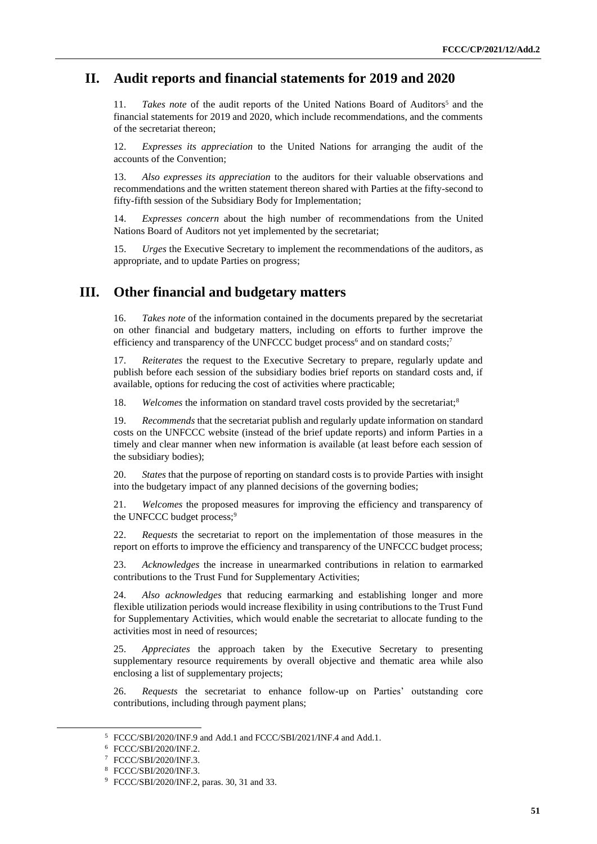## **II. Audit reports and financial statements for 2019 and 2020**

11. *Takes note* of the audit reports of the United Nations Board of Auditors<sup>5</sup> and the financial statements for 2019 and 2020, which include recommendations, and the comments of the secretariat thereon;

12. *Expresses its appreciation* to the United Nations for arranging the audit of the accounts of the Convention;

13. *Also expresses its appreciation* to the auditors for their valuable observations and recommendations and the written statement thereon shared with Parties at the fifty-second to fifty-fifth session of the Subsidiary Body for Implementation;

14. *Expresses concern* about the high number of recommendations from the United Nations Board of Auditors not yet implemented by the secretariat;

15. *Urges* the Executive Secretary to implement the recommendations of the auditors, as appropriate, and to update Parties on progress;

## **III. Other financial and budgetary matters**

16. *Takes note* of the information contained in the documents prepared by the secretariat on other financial and budgetary matters, including on efforts to further improve the efficiency and transparency of the UNFCCC budget process<sup>6</sup> and on standard costs;<sup>7</sup>

17. *Reiterates* the request to the Executive Secretary to prepare, regularly update and publish before each session of the subsidiary bodies brief reports on standard costs and, if available, options for reducing the cost of activities where practicable;

18. *Welcomes* the information on standard travel costs provided by the secretariat;<sup>8</sup>

19. *Recommends* that the secretariat publish and regularly update information on standard costs on the UNFCCC website (instead of the brief update reports) and inform Parties in a timely and clear manner when new information is available (at least before each session of the subsidiary bodies);

20. *States* that the purpose of reporting on standard costs is to provide Parties with insight into the budgetary impact of any planned decisions of the governing bodies;

21. *Welcomes* the proposed measures for improving the efficiency and transparency of the UNFCCC budget process;<sup>9</sup>

22. *Requests* the secretariat to report on the implementation of those measures in the report on efforts to improve the efficiency and transparency of the UNFCCC budget process;

23. *Acknowledges* the increase in unearmarked contributions in relation to earmarked contributions to the Trust Fund for Supplementary Activities;

24. *Also acknowledges* that reducing earmarking and establishing longer and more flexible utilization periods would increase flexibility in using contributions to the Trust Fund for Supplementary Activities, which would enable the secretariat to allocate funding to the activities most in need of resources;

25. *Appreciates* the approach taken by the Executive Secretary to presenting supplementary resource requirements by overall objective and thematic area while also enclosing a list of supplementary projects;

26. *Requests* the secretariat to enhance follow-up on Parties' outstanding core contributions, including through payment plans;

<sup>5</sup> FCCC/SBI/2020/INF.9 and Add.1 and FCCC/SBI/2021/INF.4 and Add.1.

<sup>6</sup> FCCC/SBI/2020/INF.2.

<sup>7</sup> FCCC/SBI/2020/INF.3.

<sup>8</sup> FCCC/SBI/2020/INF.3.

<sup>9</sup> FCCC/SBI/2020/INF.2, paras. 30, 31 and 33.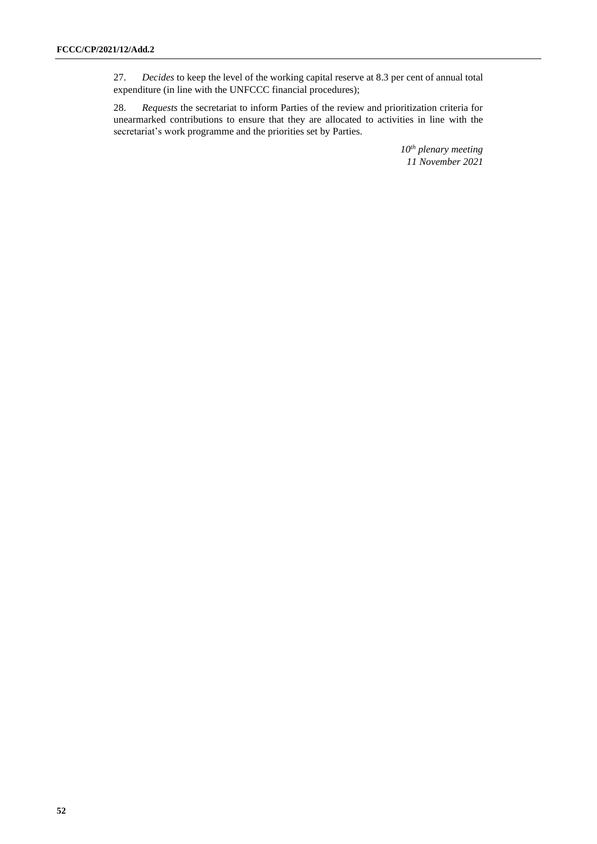27. *Decides* to keep the level of the working capital reserve at 8.3 per cent of annual total expenditure (in line with the UNFCCC financial procedures);

28. *Requests* the secretariat to inform Parties of the review and prioritization criteria for unearmarked contributions to ensure that they are allocated to activities in line with the secretariat's work programme and the priorities set by Parties.

> *10th plenary meeting 11 November 2021*